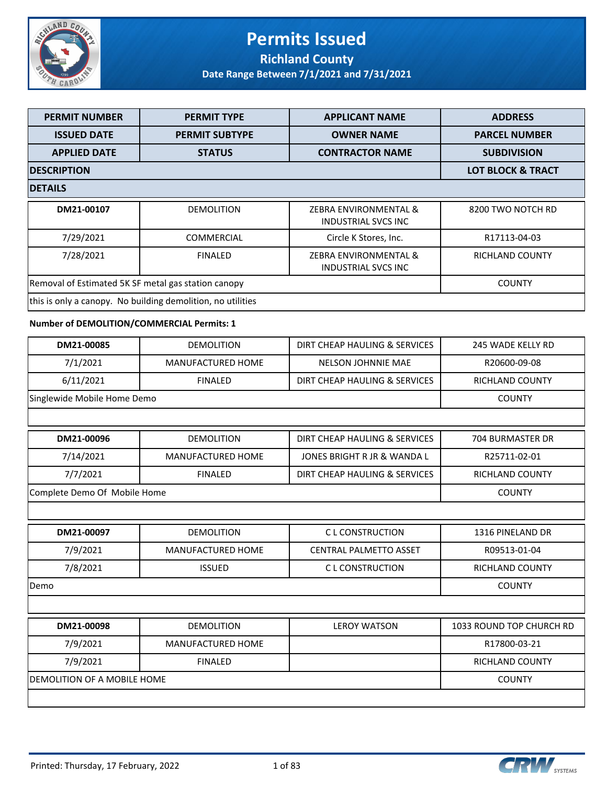

## **Permits Issued Richland County**

| <b>PERMIT NUMBER</b>                                | <b>PERMIT TYPE</b>                                          | <b>APPLICANT NAME</b>                               | <b>ADDRESS</b>               |
|-----------------------------------------------------|-------------------------------------------------------------|-----------------------------------------------------|------------------------------|
| <b>ISSUED DATE</b>                                  | <b>PERMIT SUBTYPE</b>                                       | <b>OWNER NAME</b>                                   | <b>PARCEL NUMBER</b>         |
| <b>APPLIED DATE</b>                                 | <b>STATUS</b>                                               | <b>CONTRACTOR NAME</b>                              | <b>SUBDIVISION</b>           |
| <b>DESCRIPTION</b>                                  |                                                             |                                                     | <b>LOT BLOCK &amp; TRACT</b> |
| <b>DETAILS</b>                                      |                                                             |                                                     |                              |
| DM21-00107                                          | <b>DEMOLITION</b>                                           | ZEBRA ENVIRONMENTAL &<br><b>INDUSTRIAL SVCS INC</b> | 8200 TWO NOTCH RD            |
| 7/29/2021                                           | COMMERCIAL                                                  | Circle K Stores, Inc.                               | R17113-04-03                 |
| 7/28/2021                                           | <b>FINALED</b>                                              | ZEBRA ENVIRONMENTAL &<br><b>INDUSTRIAL SVCS INC</b> | RICHLAND COUNTY              |
| Removal of Estimated 5K SF metal gas station canopy |                                                             |                                                     | <b>COUNTY</b>                |
|                                                     | this is only a canopy. No building demolition, no utilities |                                                     |                              |
| Number of DEMOLITION/COMMERCIAL Permits: 1          |                                                             |                                                     |                              |
| DM21-00085                                          | <b>DEMOLITION</b>                                           | DIRT CHEAP HAULING & SERVICES                       | 245 WADE KELLY RD            |
| 7/1/2021                                            | MANUFACTURED HOME                                           | NELSON JOHNNIE MAE                                  | R20600-09-08                 |
| 6/11/2021                                           | <b>FINALED</b>                                              | DIRT CHEAP HAULING & SERVICES                       | RICHLAND COUNTY              |
| Singlewide Mobile Home Demo                         | <b>COUNTY</b>                                               |                                                     |                              |
|                                                     |                                                             |                                                     |                              |
| DM21-00096                                          | <b>DEMOLITION</b>                                           | DIRT CHEAP HAULING & SERVICES                       | 704 BURMASTER DR             |
| 7/14/2021                                           | MANUFACTURED HOME                                           | JONES BRIGHT R JR & WANDA L                         | R25711-02-01                 |
| 7/7/2021                                            | <b>FINALED</b>                                              | DIRT CHEAP HAULING & SERVICES                       | RICHLAND COUNTY              |
| Complete Demo Of Mobile Home                        |                                                             |                                                     | <b>COUNTY</b>                |
|                                                     |                                                             |                                                     |                              |
| DM21-00097                                          | <b>DEMOLITION</b>                                           | <b>CL CONSTRUCTION</b>                              | 1316 PINELAND DR             |
| 7/9/2021                                            | MANUFACTURED HOME                                           | <b>CENTRAL PALMETTO ASSET</b>                       | R09513-01-04                 |
| 7/8/2021                                            | <b>ISSUED</b>                                               | C L CONSTRUCTION                                    | <b>RICHLAND COUNTY</b>       |
| Demo                                                |                                                             |                                                     | <b>COUNTY</b>                |
|                                                     |                                                             |                                                     |                              |
| DM21-00098                                          | <b>DEMOLITION</b>                                           | <b>LEROY WATSON</b>                                 | 1033 ROUND TOP CHURCH RD     |
| 7/9/2021                                            | <b>MANUFACTURED HOME</b>                                    |                                                     | R17800-03-21                 |
| 7/9/2021                                            | <b>FINALED</b>                                              |                                                     | RICHLAND COUNTY              |
| DEMOLITION OF A MOBILE HOME                         |                                                             |                                                     | <b>COUNTY</b>                |

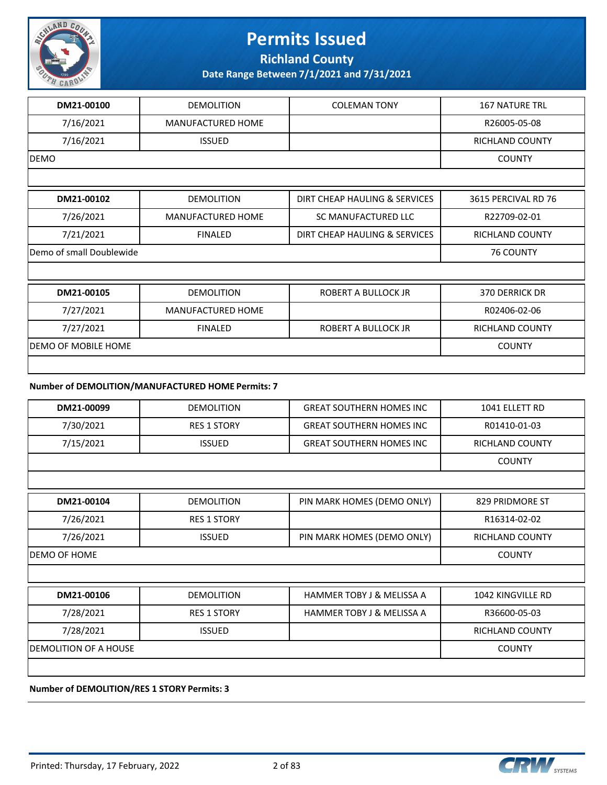

**Richland County**

**Date Range Between 7/1/2021 and 7/31/2021**

| DM21-00100               | <b>DEMOLITION</b>        | <b>COLEMAN TONY</b>           | <b>167 NATURE TRL</b>  |
|--------------------------|--------------------------|-------------------------------|------------------------|
| 7/16/2021                | <b>MANUFACTURED HOME</b> |                               | R26005-05-08           |
| 7/16/2021                | <b>ISSUED</b>            |                               | <b>RICHLAND COUNTY</b> |
| <b>DEMO</b>              |                          |                               | <b>COUNTY</b>          |
|                          |                          |                               |                        |
| DM21-00102               | <b>DEMOLITION</b>        | DIRT CHEAP HAULING & SERVICES | 3615 PERCIVAL RD 76    |
| 7/26/2021                | MANUFACTURED HOME        | SC MANUFACTURED LLC           | R22709-02-01           |
| 7/21/2021                | <b>FINALED</b>           | DIRT CHEAP HAULING & SERVICES | RICHLAND COUNTY        |
| Demo of small Doublewide |                          |                               |                        |
|                          |                          |                               |                        |
| DM21-00105               | <b>DEMOLITION</b>        | ROBERT A BULLOCK JR           | 370 DERRICK DR         |
| 7/27/2021                | MANUFACTURED HOME        |                               | R02406-02-06           |
| 7/27/2021                | <b>FINALED</b>           | ROBERT A BULLOCK JR           | <b>RICHLAND COUNTY</b> |
| DEMO OF MOBILE HOME      |                          |                               | <b>COUNTY</b>          |
|                          |                          |                               |                        |

#### **Number of DEMOLITION/MANUFACTURED HOME Permits: 7**

| DM21-00099                   | <b>DEMOLITION</b>  | <b>GREAT SOUTHERN HOMES INC</b>      | 1041 ELLETT RD         |
|------------------------------|--------------------|--------------------------------------|------------------------|
| 7/30/2021                    | <b>RES 1 STORY</b> | <b>GREAT SOUTHERN HOMES INC</b>      | R01410-01-03           |
| 7/15/2021                    | <b>ISSUED</b>      | <b>GREAT SOUTHERN HOMES INC</b>      | <b>RICHLAND COUNTY</b> |
|                              |                    |                                      | <b>COUNTY</b>          |
|                              |                    |                                      |                        |
| DM21-00104                   | <b>DEMOLITION</b>  | PIN MARK HOMES (DEMO ONLY)           | 829 PRIDMORE ST        |
| 7/26/2021                    | <b>RES 1 STORY</b> |                                      | R16314-02-02           |
| 7/26/2021                    | <b>ISSUED</b>      | PIN MARK HOMES (DEMO ONLY)           | <b>RICHLAND COUNTY</b> |
| <b>DEMO OF HOME</b>          | <b>COUNTY</b>      |                                      |                        |
|                              |                    |                                      |                        |
| DM21-00106                   | <b>DEMOLITION</b>  | <b>HAMMER TOBY J &amp; MELISSA A</b> | 1042 KINGVILLE RD      |
| 7/28/2021                    | <b>RES 1 STORY</b> | <b>HAMMER TOBY J &amp; MELISSA A</b> | R36600-05-03           |
| 7/28/2021                    | <b>ISSUED</b>      |                                      | <b>RICHLAND COUNTY</b> |
| <b>DEMOLITION OF A HOUSE</b> |                    |                                      | <b>COUNTY</b>          |
|                              |                    |                                      |                        |

**Number of DEMOLITION/RES 1 STORY Permits: 3**

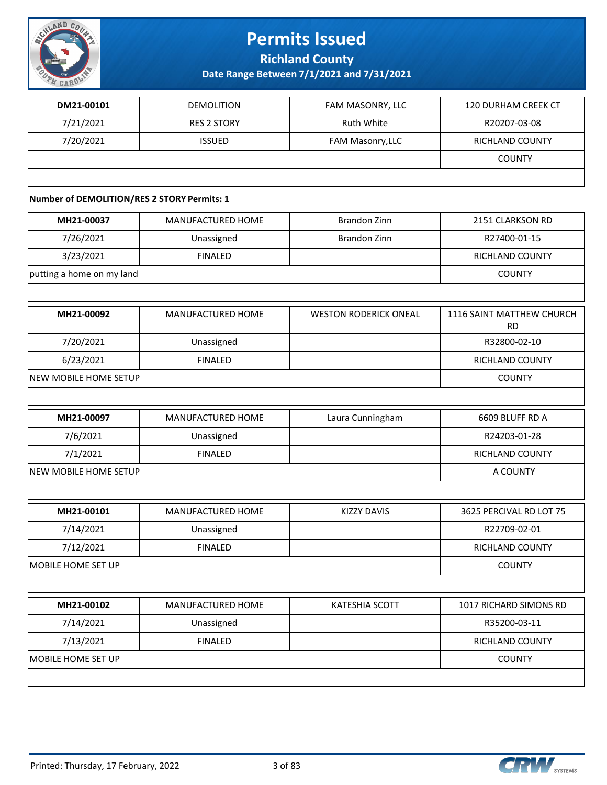

**Richland County**

**Date Range Between 7/1/2021 and 7/31/2021**

| DM21-00101 | <b>DEMOLITION</b>  | FAM MASONRY, LLC | <b>120 DURHAM CREEK CT</b> |
|------------|--------------------|------------------|----------------------------|
| 7/21/2021  | <b>RES 2 STORY</b> | Ruth White       | R20207-03-08               |
| 7/20/2021  | <b>ISSUED</b>      | FAM Masonry, LLC | RICHLAND COUNTY            |
|            |                    |                  | <b>COUNTY</b>              |
|            |                    |                  |                            |

#### **Number of DEMOLITION/RES 2 STORY Permits: 1**

| MH21-00037                | MANUFACTURED HOME | <b>Brandon Zinn</b>          | 2151 CLARKSON RD                       |
|---------------------------|-------------------|------------------------------|----------------------------------------|
| 7/26/2021                 | Unassigned        | Brandon Zinn                 | R27400-01-15                           |
| 3/23/2021                 | <b>FINALED</b>    |                              | <b>RICHLAND COUNTY</b>                 |
| putting a home on my land |                   |                              | <b>COUNTY</b>                          |
|                           |                   |                              |                                        |
| MH21-00092                | MANUFACTURED HOME | <b>WESTON RODERICK ONEAL</b> | 1116 SAINT MATTHEW CHURCH<br><b>RD</b> |
| 7/20/2021                 | Unassigned        |                              | R32800-02-10                           |
| 6/23/2021                 | <b>FINALED</b>    |                              | RICHLAND COUNTY                        |
| NEW MOBILE HOME SETUP     |                   |                              | <b>COUNTY</b>                          |
|                           |                   |                              |                                        |
| MH21-00097                | MANUFACTURED HOME | Laura Cunningham             | 6609 BLUFF RD A                        |
| 7/6/2021                  | Unassigned        |                              | R24203-01-28                           |
| 7/1/2021                  | <b>FINALED</b>    |                              | RICHLAND COUNTY                        |
| NEW MOBILE HOME SETUP     |                   |                              | A COUNTY                               |
|                           |                   |                              |                                        |
| MH21-00101                | MANUFACTURED HOME | <b>KIZZY DAVIS</b>           | 3625 PERCIVAL RD LOT 75                |
| 7/14/2021                 | Unassigned        |                              | R22709-02-01                           |
| 7/12/2021                 | <b>FINALED</b>    |                              | RICHLAND COUNTY                        |
| MOBILE HOME SET UP        |                   |                              | <b>COUNTY</b>                          |
|                           |                   |                              |                                        |
| MH21-00102                | MANUFACTURED HOME | <b>KATESHIA SCOTT</b>        | 1017 RICHARD SIMONS RD                 |
| 7/14/2021                 | Unassigned        |                              | R35200-03-11                           |
| 7/13/2021                 | <b>FINALED</b>    |                              | RICHLAND COUNTY                        |
| MOBILE HOME SET UP        |                   |                              | <b>COUNTY</b>                          |
|                           |                   |                              |                                        |
|                           |                   |                              |                                        |

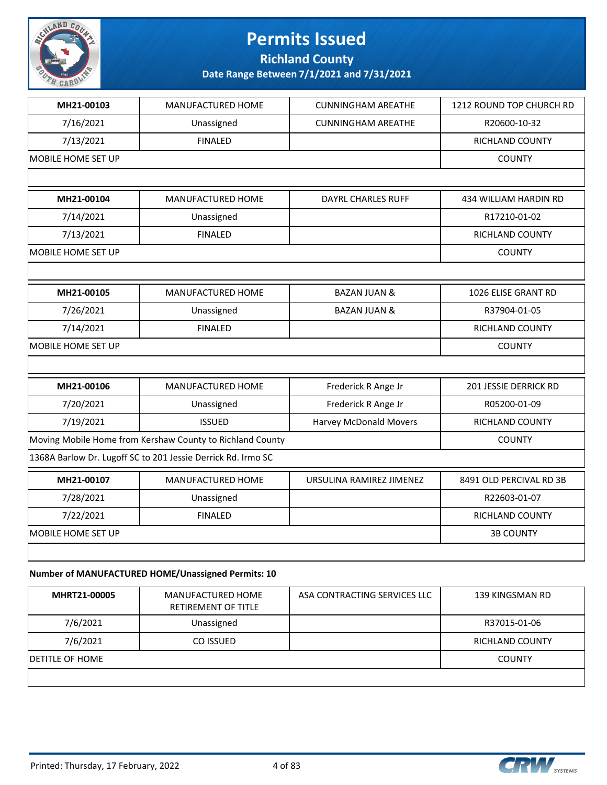

**Richland County**

**Date Range Between 7/1/2021 and 7/31/2021**

| MH21-00103         | MANUFACTURED HOME                                            | <b>CUNNINGHAM AREATHE</b> | 1212 ROUND TOP CHURCH RD |
|--------------------|--------------------------------------------------------------|---------------------------|--------------------------|
| 7/16/2021          | Unassigned                                                   | <b>CUNNINGHAM AREATHE</b> | R20600-10-32             |
| 7/13/2021          | <b>FINALED</b>                                               |                           | <b>RICHLAND COUNTY</b>   |
| MOBILE HOME SET UP |                                                              |                           | <b>COUNTY</b>            |
|                    |                                                              |                           |                          |
| MH21-00104         | MANUFACTURED HOME                                            | <b>DAYRL CHARLES RUFF</b> | 434 WILLIAM HARDIN RD    |
| 7/14/2021          | Unassigned                                                   |                           | R17210-01-02             |
| 7/13/2021          | <b>FINALED</b>                                               |                           | <b>RICHLAND COUNTY</b>   |
| MOBILE HOME SET UP |                                                              |                           | <b>COUNTY</b>            |
|                    |                                                              |                           |                          |
| MH21-00105         | MANUFACTURED HOME                                            | <b>BAZAN JUAN &amp;</b>   | 1026 ELISE GRANT RD      |
| 7/26/2021          | Unassigned                                                   | <b>BAZAN JUAN &amp;</b>   | R37904-01-05             |
| 7/14/2021          | <b>FINALED</b>                                               |                           | RICHLAND COUNTY          |
| MOBILE HOME SET UP | <b>COUNTY</b>                                                |                           |                          |
|                    |                                                              |                           |                          |
| MH21-00106         | MANUFACTURED HOME                                            | Frederick R Ange Jr       | 201 JESSIE DERRICK RD    |
| 7/20/2021          | Unassigned                                                   | Frederick R Ange Jr       | R05200-01-09             |
| 7/19/2021          | <b>ISSUED</b>                                                | Harvey McDonald Movers    | RICHLAND COUNTY          |
|                    | Moving Mobile Home from Kershaw County to Richland County    |                           | <b>COUNTY</b>            |
|                    | 1368A Barlow Dr. Lugoff SC to 201 Jessie Derrick Rd. Irmo SC |                           |                          |
| MH21-00107         | MANUFACTURED HOME                                            | URSULINA RAMIREZ JIMENEZ  | 8491 OLD PERCIVAL RD 3B  |
| 7/28/2021          | Unassigned                                                   |                           | R22603-01-07             |
| 7/22/2021          | <b>FINALED</b>                                               |                           | <b>RICHLAND COUNTY</b>   |
| MOBILE HOME SET UP |                                                              |                           | <b>3B COUNTY</b>         |
|                    |                                                              |                           |                          |
|                    |                                                              |                           |                          |

#### **Number of MANUFACTURED HOME/Unassigned Permits: 10**

| MHRT21-00005            | MANUFACTURED HOME<br><b>RETIREMENT OF TITLE</b> | ASA CONTRACTING SERVICES LLC | 139 KINGSMAN RD        |
|-------------------------|-------------------------------------------------|------------------------------|------------------------|
| 7/6/2021                | Unassigned                                      |                              | R37015-01-06           |
| 7/6/2021                | CO ISSUED                                       |                              | <b>RICHLAND COUNTY</b> |
| <b>IDETITLE OF HOME</b> |                                                 |                              | <b>COUNTY</b>          |
|                         |                                                 |                              |                        |

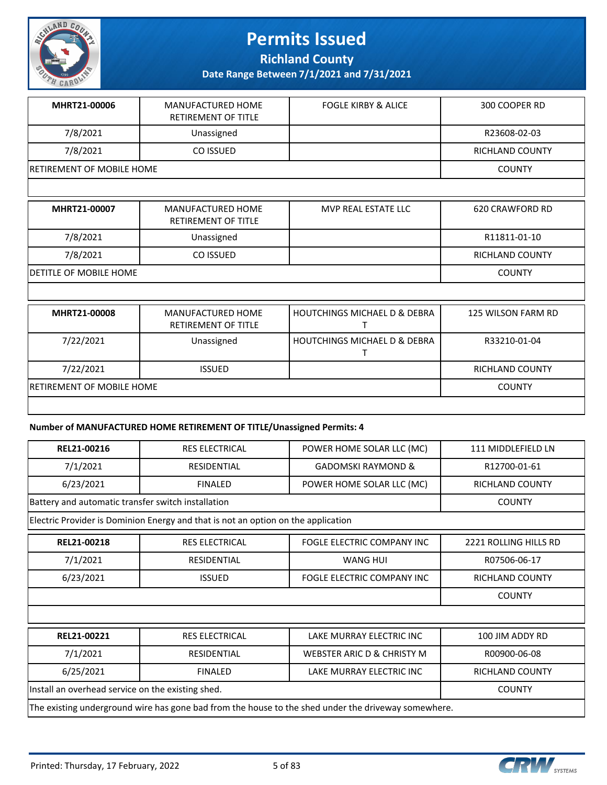

**Richland County**

**Date Range Between 7/1/2021 and 7/31/2021**

| MHRT21-00006                      | MANUFACTURED HOME<br><b>RETIREMENT OF TITLE</b> | <b>FOGLE KIRBY &amp; ALICE</b> | 300 COOPER RD   |
|-----------------------------------|-------------------------------------------------|--------------------------------|-----------------|
| 7/8/2021                          | Unassigned                                      |                                | R23608-02-03    |
| 7/8/2021                          | CO ISSUED                                       |                                | RICHLAND COUNTY |
| <b>IRETIREMENT OF MOBILE HOME</b> |                                                 |                                | <b>COUNTY</b>   |

| MHRT21-00007                   | MANUFACTURED HOME<br><b>RETIREMENT OF TITLE</b>  | MVP REAL ESTATE LLC                                                 | 620 CRAWFORD RD        |  |
|--------------------------------|--------------------------------------------------|---------------------------------------------------------------------|------------------------|--|
| 7/8/2021                       | Unassigned                                       |                                                                     | R11811-01-10           |  |
| 7/8/2021                       | CO ISSUED                                        |                                                                     | <b>RICHLAND COUNTY</b> |  |
| <b>IDETITLE OF MOBILE HOME</b> |                                                  |                                                                     | <b>COUNTY</b>          |  |
|                                |                                                  |                                                                     |                        |  |
| MHRT21-00008                   | MANUFACTURED HOME<br><u> 8531851451152551515</u> | <b>HOUTCHINGS MICHAEL D &amp; DEBRA</b><br>$\overline{\phantom{a}}$ | 125 WILSON FARM RD     |  |

|                                  | <b>RETIREMENT OF TITLE</b> |                                |                        |
|----------------------------------|----------------------------|--------------------------------|------------------------|
| 7/22/2021                        | Unassigned                 | l HOUTCHINGS MICHAEL D & DEBRA | R33210-01-04           |
|                                  |                            |                                |                        |
| 7/22/2021                        | <b>ISSUED</b>              |                                | <b>RICHLAND COUNTY</b> |
| <b>RETIREMENT OF MOBILE HOME</b> |                            |                                | <b>COUNTY</b>          |
|                                  |                            |                                |                        |

#### **Number of MANUFACTURED HOME RETIREMENT OF TITLE/Unassigned Permits: 4**

| REL21-00216                                                                                         | <b>RES ELECTRICAL</b>                                                             | POWER HOME SOLAR LLC (MC)             | 111 MIDDLEFIELD LN     |  |
|-----------------------------------------------------------------------------------------------------|-----------------------------------------------------------------------------------|---------------------------------------|------------------------|--|
| 7/1/2021                                                                                            | <b>RESIDENTIAL</b>                                                                | <b>GADOMSKI RAYMOND &amp;</b>         | R12700-01-61           |  |
| 6/23/2021                                                                                           | <b>FINALED</b>                                                                    | POWER HOME SOLAR LLC (MC)             | <b>RICHLAND COUNTY</b> |  |
| Battery and automatic transfer switch installation                                                  |                                                                                   |                                       | <b>COUNTY</b>          |  |
|                                                                                                     | Electric Provider is Dominion Energy and that is not an option on the application |                                       |                        |  |
| REL21-00218                                                                                         | <b>RES ELECTRICAL</b>                                                             | <b>FOGLE ELECTRIC COMPANY INC</b>     | 2221 ROLLING HILLS RD  |  |
| 7/1/2021                                                                                            | <b>RESIDENTIAL</b>                                                                | <b>WANG HUI</b>                       | R07506-06-17           |  |
| 6/23/2021                                                                                           | <b>ISSUED</b>                                                                     | FOGLE ELECTRIC COMPANY INC            | <b>RICHLAND COUNTY</b> |  |
|                                                                                                     |                                                                                   |                                       | <b>COUNTY</b>          |  |
|                                                                                                     |                                                                                   |                                       |                        |  |
| REL21-00221                                                                                         | <b>RES ELECTRICAL</b>                                                             | LAKE MURRAY ELECTRIC INC              | 100 JIM ADDY RD        |  |
| 7/1/2021                                                                                            | <b>RESIDENTIAL</b>                                                                | <b>WEBSTER ARIC D &amp; CHRISTY M</b> | R00900-06-08           |  |
| 6/25/2021                                                                                           | <b>FINALED</b>                                                                    | LAKE MURRAY ELECTRIC INC              | RICHLAND COUNTY        |  |
| Install an overhead service on the existing shed.                                                   | <b>COUNTY</b>                                                                     |                                       |                        |  |
| The existing underground wire has gone bad from the house to the shed under the driveway somewhere. |                                                                                   |                                       |                        |  |

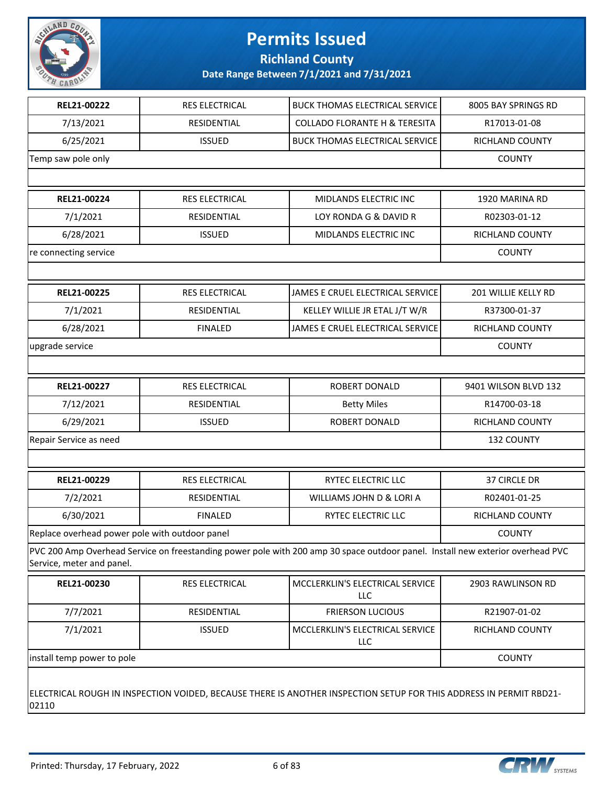

**Richland County**

| REL21-00222                                                                                                                 | RES ELECTRICAL        | <b>BUCK THOMAS ELECTRICAL SERVICE</b>                                                                                          | 8005 BAY SPRINGS RD  |
|-----------------------------------------------------------------------------------------------------------------------------|-----------------------|--------------------------------------------------------------------------------------------------------------------------------|----------------------|
| 7/13/2021                                                                                                                   | RESIDENTIAL           | <b>COLLADO FLORANTE H &amp; TERESITA</b>                                                                                       | R17013-01-08         |
| 6/25/2021                                                                                                                   | <b>ISSUED</b>         | <b>BUCK THOMAS ELECTRICAL SERVICE</b>                                                                                          | RICHLAND COUNTY      |
| Temp saw pole only                                                                                                          |                       |                                                                                                                                | <b>COUNTY</b>        |
|                                                                                                                             |                       |                                                                                                                                |                      |
| REL21-00224                                                                                                                 | <b>RES ELECTRICAL</b> | MIDLANDS ELECTRIC INC                                                                                                          | 1920 MARINA RD       |
| 7/1/2021                                                                                                                    | RESIDENTIAL           | LOY RONDA G & DAVID R                                                                                                          | R02303-01-12         |
| 6/28/2021                                                                                                                   | <b>ISSUED</b>         | MIDLANDS ELECTRIC INC                                                                                                          | RICHLAND COUNTY      |
| re connecting service                                                                                                       |                       |                                                                                                                                | <b>COUNTY</b>        |
|                                                                                                                             |                       |                                                                                                                                |                      |
| REL21-00225                                                                                                                 | RES ELECTRICAL        | JAMES E CRUEL ELECTRICAL SERVICE                                                                                               | 201 WILLIE KELLY RD  |
| 7/1/2021                                                                                                                    | RESIDENTIAL           | KELLEY WILLIE JR ETAL J/T W/R                                                                                                  | R37300-01-37         |
| 6/28/2021                                                                                                                   | <b>FINALED</b>        | JAMES E CRUEL ELECTRICAL SERVICE                                                                                               | RICHLAND COUNTY      |
| upgrade service                                                                                                             |                       |                                                                                                                                | <b>COUNTY</b>        |
|                                                                                                                             |                       |                                                                                                                                |                      |
| REL21-00227                                                                                                                 | RES ELECTRICAL        | ROBERT DONALD                                                                                                                  | 9401 WILSON BLVD 132 |
| 7/12/2021                                                                                                                   | RESIDENTIAL           | <b>Betty Miles</b>                                                                                                             | R14700-03-18         |
| 6/29/2021                                                                                                                   | <b>ISSUED</b>         | ROBERT DONALD                                                                                                                  | RICHLAND COUNTY      |
| Repair Service as need                                                                                                      | 132 COUNTY            |                                                                                                                                |                      |
|                                                                                                                             |                       |                                                                                                                                |                      |
| REL21-00229                                                                                                                 | <b>RES ELECTRICAL</b> | RYTEC ELECTRIC LLC                                                                                                             | 37 CIRCLE DR         |
| 7/2/2021                                                                                                                    | RESIDENTIAL           | WILLIAMS JOHN D & LORI A                                                                                                       | R02401-01-25         |
| 6/30/2021                                                                                                                   | <b>FINALED</b>        | RYTEC ELECTRIC LLC                                                                                                             | RICHLAND COUNTY      |
| Replace overhead power pole with outdoor panel                                                                              |                       |                                                                                                                                | <b>COUNTY</b>        |
| Service, meter and panel.                                                                                                   |                       | PVC 200 Amp Overhead Service on freestanding power pole with 200 amp 30 space outdoor panel. Install new exterior overhead PVC |                      |
| REL21-00230                                                                                                                 | RES ELECTRICAL        | MCCLERKLIN'S ELECTRICAL SERVICE<br><b>LLC</b>                                                                                  | 2903 RAWLINSON RD    |
| 7/7/2021                                                                                                                    | RESIDENTIAL           | <b>FRIERSON LUCIOUS</b>                                                                                                        | R21907-01-02         |
| 7/1/2021                                                                                                                    | <b>ISSUED</b>         | MCCLERKLIN'S ELECTRICAL SERVICE<br>LLC                                                                                         | RICHLAND COUNTY      |
| install temp power to pole                                                                                                  |                       |                                                                                                                                |                      |
| ELECTRICAL ROUGH IN INSPECTION VOIDED, BECAUSE THERE IS ANOTHER INSPECTION SETUP FOR THIS ADDRESS IN PERMIT RBD21-<br>02110 |                       |                                                                                                                                |                      |

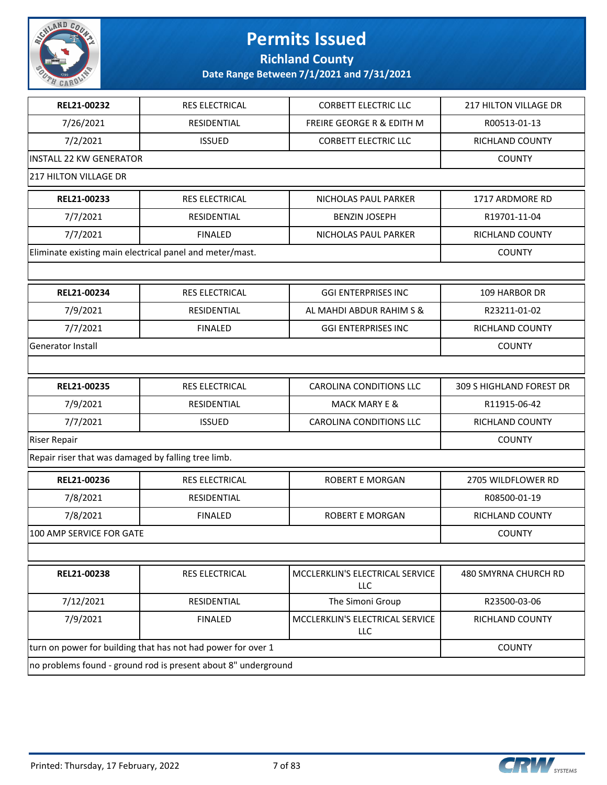

**Richland County**

| 7/26/2021<br><b>RESIDENTIAL</b><br><b>FREIRE GEORGE R &amp; EDITH M</b><br>R00513-01-13<br>7/2/2021<br><b>ISSUED</b><br><b>CORBETT ELECTRIC LLC</b><br>RICHLAND COUNTY |  |
|------------------------------------------------------------------------------------------------------------------------------------------------------------------------|--|
|                                                                                                                                                                        |  |
|                                                                                                                                                                        |  |
| <b>INSTALL 22 KW GENERATOR</b><br><b>COUNTY</b>                                                                                                                        |  |
| <b>217 HILTON VILLAGE DR</b>                                                                                                                                           |  |
| REL21-00233<br><b>RES ELECTRICAL</b><br>NICHOLAS PAUL PARKER<br>1717 ARDMORE RD                                                                                        |  |
| 7/7/2021<br>R19701-11-04<br>RESIDENTIAL<br><b>BENZIN JOSEPH</b>                                                                                                        |  |
| 7/7/2021<br>RICHLAND COUNTY<br><b>FINALED</b><br>NICHOLAS PAUL PARKER                                                                                                  |  |
| Eliminate existing main electrical panel and meter/mast.<br><b>COUNTY</b>                                                                                              |  |
|                                                                                                                                                                        |  |
| REL21-00234<br><b>RES ELECTRICAL</b><br><b>GGI ENTERPRISES INC</b><br><b>109 HARBOR DR</b>                                                                             |  |
| 7/9/2021<br>R23211-01-02<br><b>RESIDENTIAL</b><br>AL MAHDI ABDUR RAHIM S &                                                                                             |  |
| 7/7/2021<br><b>FINALED</b><br><b>GGI ENTERPRISES INC</b><br>RICHLAND COUNTY                                                                                            |  |
| Generator Install<br><b>COUNTY</b>                                                                                                                                     |  |
|                                                                                                                                                                        |  |
| REL21-00235<br><b>RES ELECTRICAL</b><br><b>CAROLINA CONDITIONS LLC</b><br>309 S HIGHLAND FOREST DR                                                                     |  |
| 7/9/2021<br>RESIDENTIAL<br><b>MACK MARY E &amp;</b><br>R11915-06-42                                                                                                    |  |
| 7/7/2021<br><b>ISSUED</b><br>CAROLINA CONDITIONS LLC<br>RICHLAND COUNTY                                                                                                |  |
| <b>Riser Repair</b><br><b>COUNTY</b>                                                                                                                                   |  |
| Repair riser that was damaged by falling tree limb.                                                                                                                    |  |
| REL21-00236<br><b>RES ELECTRICAL</b><br><b>ROBERT E MORGAN</b><br>2705 WILDFLOWER RD                                                                                   |  |
| 7/8/2021<br>RESIDENTIAL<br>R08500-01-19                                                                                                                                |  |
| 7/8/2021<br><b>ROBERT E MORGAN</b><br><b>RICHLAND COUNTY</b><br><b>FINALED</b>                                                                                         |  |
| 100 AMP SERVICE FOR GATE<br><b>COUNTY</b>                                                                                                                              |  |
|                                                                                                                                                                        |  |
| MCCLERKLIN'S ELECTRICAL SERVICE<br>REL21-00238<br>RES ELECTRICAL<br>480 SMYRNA CHURCH RD<br>LLC                                                                        |  |
| The Simoni Group<br>7/12/2021<br>RESIDENTIAL<br>R23500-03-06                                                                                                           |  |
| MCCLERKLIN'S ELECTRICAL SERVICE<br>7/9/2021<br><b>FINALED</b><br>RICHLAND COUNTY<br><b>LLC</b>                                                                         |  |
| turn on power for building that has not had power for over 1<br><b>COUNTY</b>                                                                                          |  |
| no problems found - ground rod is present about 8" underground                                                                                                         |  |

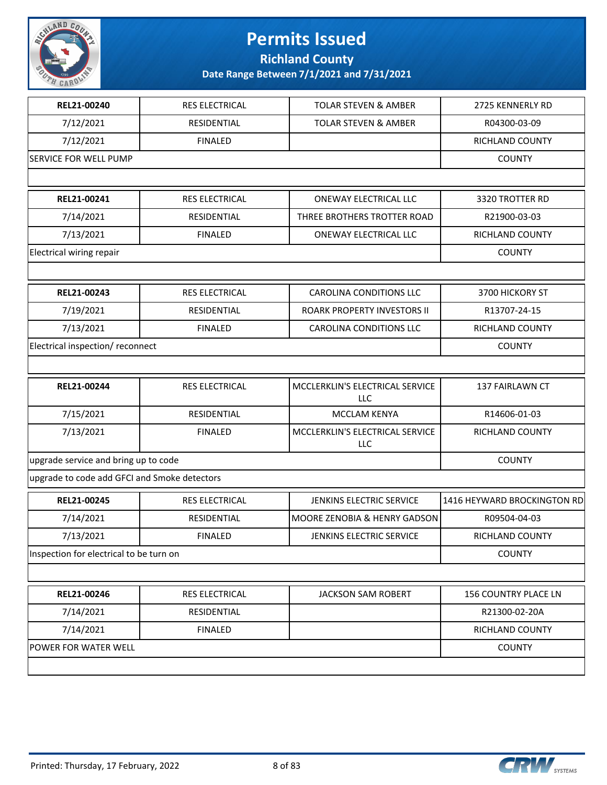

**Richland County**

| REL21-00240                                  | RES ELECTRICAL        | <b>TOLAR STEVEN &amp; AMBER</b>        | 2725 KENNERLY RD            |
|----------------------------------------------|-----------------------|----------------------------------------|-----------------------------|
| 7/12/2021                                    | RESIDENTIAL           | <b>TOLAR STEVEN &amp; AMBER</b>        | R04300-03-09                |
| 7/12/2021                                    | <b>FINALED</b>        |                                        | RICHLAND COUNTY             |
| <b>SERVICE FOR WELL PUMP</b>                 |                       |                                        | <b>COUNTY</b>               |
|                                              |                       |                                        |                             |
| REL21-00241                                  | <b>RES ELECTRICAL</b> | ONEWAY ELECTRICAL LLC                  | 3320 TROTTER RD             |
| 7/14/2021                                    | RESIDENTIAL           | THREE BROTHERS TROTTER ROAD            | R21900-03-03                |
| 7/13/2021                                    | <b>FINALED</b>        | <b>ONEWAY ELECTRICAL LLC</b>           | RICHLAND COUNTY             |
| Electrical wiring repair                     |                       |                                        | <b>COUNTY</b>               |
|                                              |                       |                                        |                             |
| REL21-00243                                  | RES ELECTRICAL        | CAROLINA CONDITIONS LLC                | 3700 HICKORY ST             |
| 7/19/2021                                    | RESIDENTIAL           | ROARK PROPERTY INVESTORS II            | R13707-24-15                |
| 7/13/2021                                    | <b>FINALED</b>        | CAROLINA CONDITIONS LLC                | RICHLAND COUNTY             |
| Electrical inspection/ reconnect             |                       |                                        | <b>COUNTY</b>               |
|                                              |                       |                                        |                             |
| REL21-00244                                  | RES ELECTRICAL        | MCCLERKLIN'S ELECTRICAL SERVICE<br>LLC | 137 FAIRLAWN CT             |
| 7/15/2021                                    | RESIDENTIAL           | MCCLAM KENYA                           | R14606-01-03                |
| 7/13/2021                                    | <b>FINALED</b>        | MCCLERKLIN'S ELECTRICAL SERVICE<br>LLC | RICHLAND COUNTY             |
| upgrade service and bring up to code         |                       |                                        | <b>COUNTY</b>               |
| upgrade to code add GFCI and Smoke detectors |                       |                                        |                             |
| REL21-00245                                  | <b>RES ELECTRICAL</b> | JENKINS ELECTRIC SERVICE               | 1416 HEYWARD BROCKINGTON RD |
| 7/14/2021                                    | RESIDENTIAL           | MOORE ZENOBIA & HENRY GADSON           | R09504-04-03                |
| 7/13/2021                                    | <b>FINALED</b>        | <b>JENKINS ELECTRIC SERVICE</b>        | RICHLAND COUNTY             |
| Inspection for electrical to be turn on      |                       |                                        | <b>COUNTY</b>               |
|                                              |                       |                                        |                             |
| REL21-00246                                  | RES ELECTRICAL        | <b>JACKSON SAM ROBERT</b>              | 156 COUNTRY PLACE LN        |
| 7/14/2021                                    | RESIDENTIAL           |                                        | R21300-02-20A               |
| 7/14/2021                                    | <b>FINALED</b>        |                                        | RICHLAND COUNTY             |
| POWER FOR WATER WELL                         |                       |                                        | <b>COUNTY</b>               |
|                                              |                       |                                        |                             |

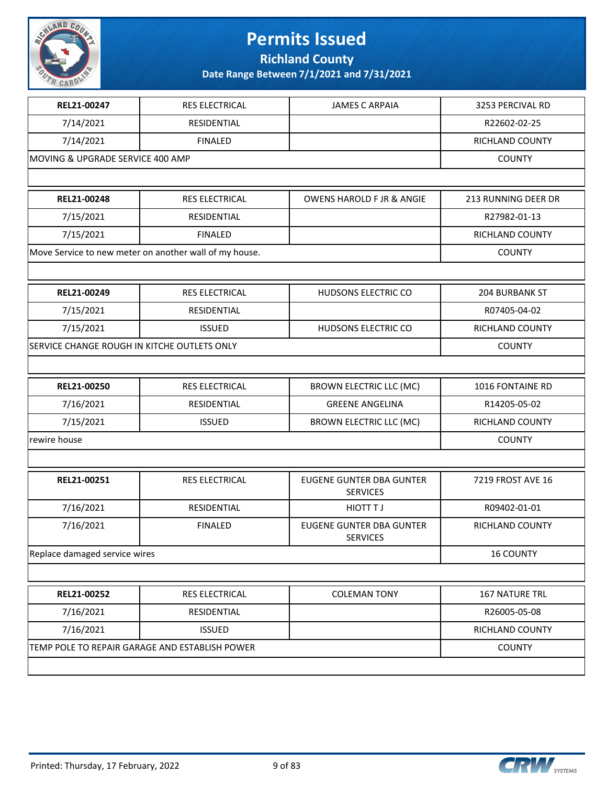

**Richland County**

| REL21-00247                                 | <b>RES ELECTRICAL</b>                                  | <b>JAMES C ARPAIA</b>                              | 3253 PERCIVAL RD      |
|---------------------------------------------|--------------------------------------------------------|----------------------------------------------------|-----------------------|
| 7/14/2021                                   | RESIDENTIAL                                            |                                                    | R22602-02-25          |
| 7/14/2021                                   | <b>FINALED</b>                                         |                                                    | RICHLAND COUNTY       |
| MOVING & UPGRADE SERVICE 400 AMP            |                                                        |                                                    | <b>COUNTY</b>         |
|                                             |                                                        |                                                    |                       |
| REL21-00248                                 | RES ELECTRICAL                                         | <b>OWENS HAROLD F JR &amp; ANGIE</b>               | 213 RUNNING DEER DR   |
| 7/15/2021                                   | RESIDENTIAL                                            |                                                    | R27982-01-13          |
| 7/15/2021                                   | <b>FINALED</b>                                         |                                                    | RICHLAND COUNTY       |
|                                             | Move Service to new meter on another wall of my house. |                                                    | <b>COUNTY</b>         |
|                                             |                                                        |                                                    |                       |
| REL21-00249                                 | RES ELECTRICAL                                         | HUDSONS ELECTRIC CO                                | 204 BURBANK ST        |
| 7/15/2021                                   | RESIDENTIAL                                            |                                                    | R07405-04-02          |
| 7/15/2021                                   | <b>ISSUED</b>                                          | HUDSONS ELECTRIC CO                                | RICHLAND COUNTY       |
| SERVICE CHANGE ROUGH IN KITCHE OUTLETS ONLY |                                                        |                                                    | <b>COUNTY</b>         |
|                                             |                                                        |                                                    |                       |
| REL21-00250                                 | RES ELECTRICAL                                         | <b>BROWN ELECTRIC LLC (MC)</b>                     | 1016 FONTAINE RD      |
| 7/16/2021                                   | RESIDENTIAL                                            | <b>GREENE ANGELINA</b>                             | R14205-05-02          |
| 7/15/2021                                   | <b>ISSUED</b>                                          | <b>BROWN ELECTRIC LLC (MC)</b>                     | RICHLAND COUNTY       |
| rewire house                                |                                                        |                                                    | <b>COUNTY</b>         |
|                                             |                                                        |                                                    |                       |
| REL21-00251                                 | RES ELECTRICAL                                         | EUGENE GUNTER DBA GUNTER<br><b>SERVICES</b>        | 7219 FROST AVE 16     |
| 7/16/2021                                   | RESIDENTIAL                                            | <b>HIOTT TJ</b>                                    | R09402-01-01          |
| 7/16/2021                                   | <b>FINALED</b>                                         | <b>EUGENE GUNTER DBA GUNTER</b><br><b>SERVICES</b> | RICHLAND COUNTY       |
| Replace damaged service wires               |                                                        |                                                    | <b>16 COUNTY</b>      |
|                                             |                                                        |                                                    |                       |
| REL21-00252                                 | RES ELECTRICAL                                         | <b>COLEMAN TONY</b>                                | <b>167 NATURE TRL</b> |
| 7/16/2021                                   | RESIDENTIAL                                            |                                                    | R26005-05-08          |
| 7/16/2021                                   | <b>ISSUED</b>                                          |                                                    | RICHLAND COUNTY       |
|                                             | TEMP POLE TO REPAIR GARAGE AND ESTABLISH POWER         |                                                    | <b>COUNTY</b>         |
|                                             |                                                        |                                                    |                       |

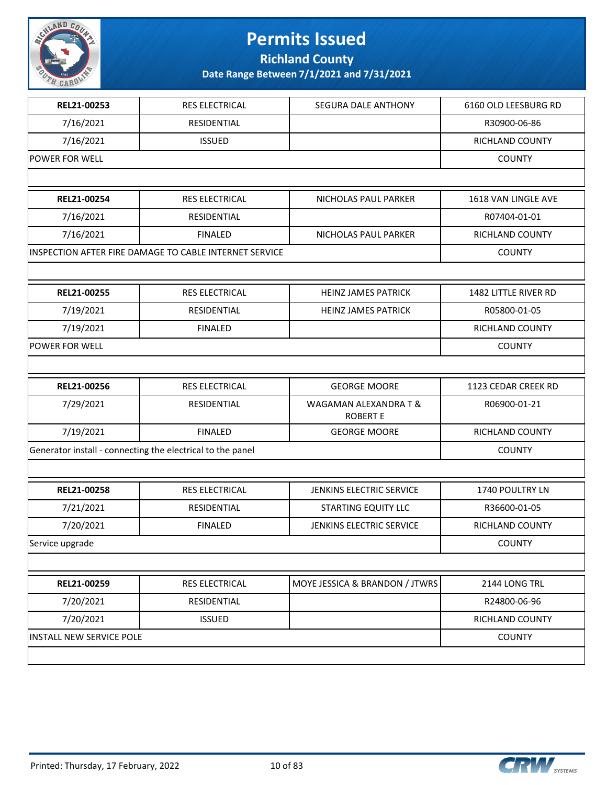

**Richland County**

| REL21-00253                                                | <b>RES ELECTRICAL</b>                                  | <b>SEGURA DALE ANTHONY</b>               | 6160 OLD LEESBURG RD   |
|------------------------------------------------------------|--------------------------------------------------------|------------------------------------------|------------------------|
| 7/16/2021                                                  | RESIDENTIAL                                            |                                          | R30900-06-86           |
| 7/16/2021                                                  | <b>ISSUED</b>                                          |                                          | RICHLAND COUNTY        |
| <b>POWER FOR WELL</b>                                      |                                                        |                                          | <b>COUNTY</b>          |
|                                                            |                                                        |                                          |                        |
| REL21-00254                                                | RES ELECTRICAL                                         | NICHOLAS PAUL PARKER                     | 1618 VAN LINGLE AVE    |
| 7/16/2021                                                  | RESIDENTIAL                                            |                                          | R07404-01-01           |
| 7/16/2021                                                  | <b>FINALED</b>                                         | NICHOLAS PAUL PARKER                     | RICHLAND COUNTY        |
|                                                            | INSPECTION AFTER FIRE DAMAGE TO CABLE INTERNET SERVICE |                                          | <b>COUNTY</b>          |
|                                                            |                                                        |                                          |                        |
| REL21-00255                                                | RES ELECTRICAL                                         | <b>HEINZ JAMES PATRICK</b>               | 1482 LITTLE RIVER RD   |
| 7/19/2021                                                  | RESIDENTIAL                                            | <b>HEINZ JAMES PATRICK</b>               | R05800-01-05           |
| 7/19/2021                                                  | <b>FINALED</b>                                         |                                          | <b>RICHLAND COUNTY</b> |
| POWER FOR WELL                                             |                                                        |                                          | <b>COUNTY</b>          |
|                                                            |                                                        |                                          |                        |
| REL21-00256                                                | RES ELECTRICAL                                         | <b>GEORGE MOORE</b>                      | 1123 CEDAR CREEK RD    |
| 7/29/2021                                                  | RESIDENTIAL                                            | WAGAMAN ALEXANDRA T &<br><b>ROBERT E</b> | R06900-01-21           |
| 7/19/2021                                                  | <b>FINALED</b>                                         | <b>GEORGE MOORE</b>                      | RICHLAND COUNTY        |
| Generator install - connecting the electrical to the panel |                                                        |                                          | <b>COUNTY</b>          |
|                                                            |                                                        |                                          |                        |
| REL21-00258                                                | <b>RES ELECTRICAL</b>                                  | <b>JENKINS ELECTRIC SERVICE</b>          | <b>1740 POULTRY LN</b> |
| 7/21/2021                                                  | RESIDENTIAL                                            | <b>STARTING EQUITY LLC</b>               | R36600-01-05           |
| 7/20/2021                                                  | <b>FINALED</b>                                         | JENKINS ELECTRIC SERVICE                 | RICHLAND COUNTY        |
| Service upgrade                                            |                                                        |                                          | <b>COUNTY</b>          |
|                                                            |                                                        |                                          |                        |
| REL21-00259                                                | RES ELECTRICAL                                         | MOYE JESSICA & BRANDON / JTWRS           | 2144 LONG TRL          |
| 7/20/2021                                                  | RESIDENTIAL                                            |                                          | R24800-06-96           |
| 7/20/2021                                                  | <b>ISSUED</b>                                          |                                          | RICHLAND COUNTY        |
| <b>INSTALL NEW SERVICE POLE</b>                            |                                                        |                                          | <b>COUNTY</b>          |
|                                                            |                                                        |                                          |                        |

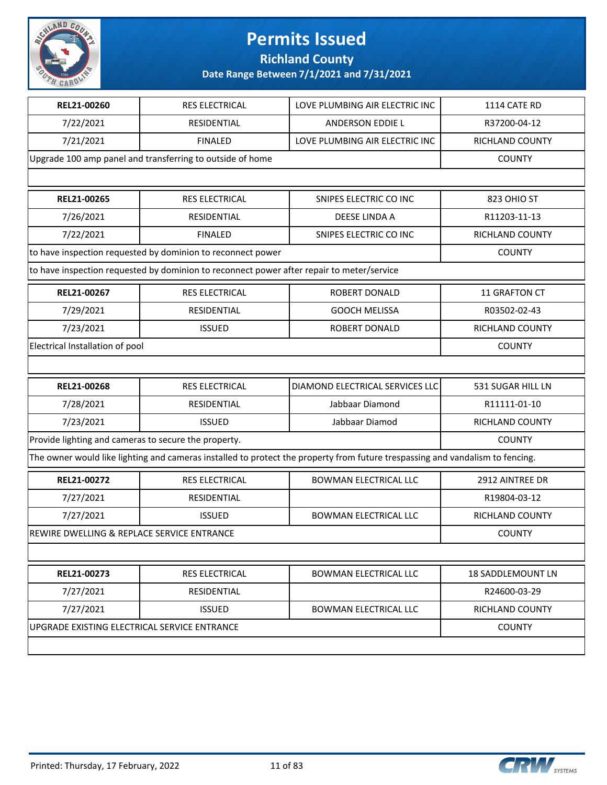

**Richland County**

| REL21-00260                                          | <b>RES ELECTRICAL</b>                                                                     | LOVE PLUMBING AIR ELECTRIC INC                                                                                                | 1114 CATE RD             |
|------------------------------------------------------|-------------------------------------------------------------------------------------------|-------------------------------------------------------------------------------------------------------------------------------|--------------------------|
| 7/22/2021                                            | RESIDENTIAL                                                                               | ANDERSON EDDIE L                                                                                                              | R37200-04-12             |
| 7/21/2021                                            | <b>FINALED</b>                                                                            | LOVE PLUMBING AIR ELECTRIC INC                                                                                                | RICHLAND COUNTY          |
|                                                      | Upgrade 100 amp panel and transferring to outside of home                                 |                                                                                                                               | <b>COUNTY</b>            |
|                                                      |                                                                                           |                                                                                                                               |                          |
| REL21-00265                                          | RES ELECTRICAL                                                                            | SNIPES ELECTRIC CO INC                                                                                                        | 823 OHIO ST              |
| 7/26/2021                                            | RESIDENTIAL                                                                               | <b>DEESE LINDA A</b>                                                                                                          | R11203-11-13             |
| 7/22/2021                                            | <b>FINALED</b>                                                                            | SNIPES ELECTRIC CO INC                                                                                                        | RICHLAND COUNTY          |
|                                                      | to have inspection requested by dominion to reconnect power                               |                                                                                                                               | <b>COUNTY</b>            |
|                                                      | to have inspection requested by dominion to reconnect power after repair to meter/service |                                                                                                                               |                          |
| REL21-00267                                          | <b>RES ELECTRICAL</b>                                                                     | ROBERT DONALD                                                                                                                 | 11 GRAFTON CT            |
| 7/29/2021                                            | <b>RESIDENTIAL</b>                                                                        | <b>GOOCH MELISSA</b>                                                                                                          | R03502-02-43             |
| 7/23/2021                                            | <b>ISSUED</b>                                                                             | ROBERT DONALD                                                                                                                 | RICHLAND COUNTY          |
| Electrical Installation of pool                      |                                                                                           |                                                                                                                               | <b>COUNTY</b>            |
|                                                      |                                                                                           |                                                                                                                               |                          |
| REL21-00268                                          | RES ELECTRICAL                                                                            | DIAMOND ELECTRICAL SERVICES LLC                                                                                               | 531 SUGAR HILL LN        |
|                                                      |                                                                                           |                                                                                                                               |                          |
| 7/28/2021                                            | <b>RESIDENTIAL</b>                                                                        | Jabbaar Diamond                                                                                                               | R11111-01-10             |
| 7/23/2021                                            | <b>ISSUED</b>                                                                             | Jabbaar Diamod                                                                                                                | RICHLAND COUNTY          |
| Provide lighting and cameras to secure the property. |                                                                                           |                                                                                                                               | <b>COUNTY</b>            |
|                                                      |                                                                                           | The owner would like lighting and cameras installed to protect the property from future trespassing and vandalism to fencing. |                          |
| REL21-00272                                          | <b>RES ELECTRICAL</b>                                                                     | <b>BOWMAN ELECTRICAL LLC</b>                                                                                                  | 2912 AINTREE DR          |
| 7/27/2021                                            | RESIDENTIAL                                                                               |                                                                                                                               | R19804-03-12             |
| 7/27/2021                                            | <b>ISSUED</b>                                                                             | <b>BOWMAN ELECTRICAL LLC</b>                                                                                                  | RICHLAND COUNTY          |
| REWIRE DWELLING & REPLACE SERVICE ENTRANCE           |                                                                                           |                                                                                                                               | <b>COUNTY</b>            |
|                                                      |                                                                                           |                                                                                                                               |                          |
| REL21-00273                                          | <b>RES ELECTRICAL</b>                                                                     | <b>BOWMAN ELECTRICAL LLC</b>                                                                                                  | <b>18 SADDLEMOUNT LN</b> |
| 7/27/2021                                            | RESIDENTIAL                                                                               |                                                                                                                               | R24600-03-29             |
| 7/27/2021                                            | <b>ISSUED</b>                                                                             | <b>BOWMAN ELECTRICAL LLC</b>                                                                                                  | RICHLAND COUNTY          |
| UPGRADE EXISTING ELECTRICAL SERVICE ENTRANCE         |                                                                                           |                                                                                                                               | <b>COUNTY</b>            |

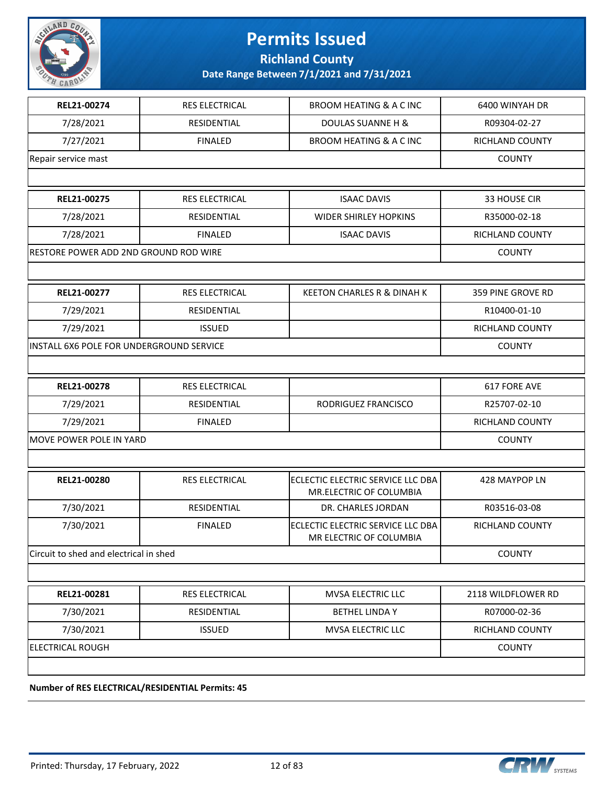

**Richland County**

**Date Range Between 7/1/2021 and 7/31/2021**

| REL21-00274                              | <b>RES ELECTRICAL</b> | <b>BROOM HEATING &amp; A C INC</b>                           | 6400 WINYAH DR         |
|------------------------------------------|-----------------------|--------------------------------------------------------------|------------------------|
| 7/28/2021                                | RESIDENTIAL           | <b>DOULAS SUANNE H &amp;</b>                                 | R09304-02-27           |
| 7/27/2021                                | <b>FINALED</b>        | <b>BROOM HEATING &amp; A C INC</b>                           | RICHLAND COUNTY        |
| Repair service mast                      |                       |                                                              | <b>COUNTY</b>          |
|                                          |                       |                                                              |                        |
| REL21-00275                              | <b>RES ELECTRICAL</b> | <b>ISAAC DAVIS</b>                                           | 33 HOUSE CIR           |
| 7/28/2021                                | RESIDENTIAL           | <b>WIDER SHIRLEY HOPKINS</b>                                 | R35000-02-18           |
| 7/28/2021                                | <b>FINALED</b>        | <b>ISAAC DAVIS</b>                                           | RICHLAND COUNTY        |
| RESTORE POWER ADD 2ND GROUND ROD WIRE    |                       |                                                              | <b>COUNTY</b>          |
|                                          |                       |                                                              |                        |
| REL21-00277                              | <b>RES ELECTRICAL</b> | <b>KEETON CHARLES R &amp; DINAH K</b>                        | 359 PINE GROVE RD      |
| 7/29/2021                                | RESIDENTIAL           |                                                              | R10400-01-10           |
| 7/29/2021                                | <b>ISSUED</b>         |                                                              | <b>RICHLAND COUNTY</b> |
| INSTALL 6X6 POLE FOR UNDERGROUND SERVICE |                       |                                                              | <b>COUNTY</b>          |
|                                          |                       |                                                              |                        |
| REL21-00278                              | <b>RES ELECTRICAL</b> |                                                              | 617 FORE AVE           |
| 7/29/2021                                | RESIDENTIAL           | RODRIGUEZ FRANCISCO                                          | R25707-02-10           |
| 7/29/2021                                | <b>FINALED</b>        |                                                              | RICHLAND COUNTY        |
| MOVE POWER POLE IN YARD                  | <b>COUNTY</b>         |                                                              |                        |
|                                          |                       |                                                              |                        |
| REL21-00280                              | <b>RES ELECTRICAL</b> | ECLECTIC ELECTRIC SERVICE LLC DBA<br>MR.ELECTRIC OF COLUMBIA | 428 MAYPOP LN          |
| 7/30/2021                                | RESIDENTIAL           | DR. CHARLES JORDAN                                           | R03516-03-08           |
| 7/30/2021                                | <b>FINALED</b>        | ECLECTIC ELECTRIC SERVICE LLC DBA<br>MR ELECTRIC OF COLUMBIA | RICHLAND COUNTY        |
| Circuit to shed and electrical in shed   |                       |                                                              | <b>COUNTY</b>          |
|                                          |                       |                                                              |                        |
| REL21-00281                              | <b>RES ELECTRICAL</b> | MVSA ELECTRIC LLC                                            | 2118 WILDFLOWER RD     |
| 7/30/2021                                | RESIDENTIAL           | <b>BETHEL LINDA Y</b>                                        | R07000-02-36           |
| 7/30/2021                                | <b>ISSUED</b>         | MVSA ELECTRIC LLC                                            | <b>RICHLAND COUNTY</b> |
| <b>ELECTRICAL ROUGH</b>                  |                       |                                                              | <b>COUNTY</b>          |
|                                          |                       |                                                              |                        |

**Number of RES ELECTRICAL/RESIDENTIAL Permits: 45**

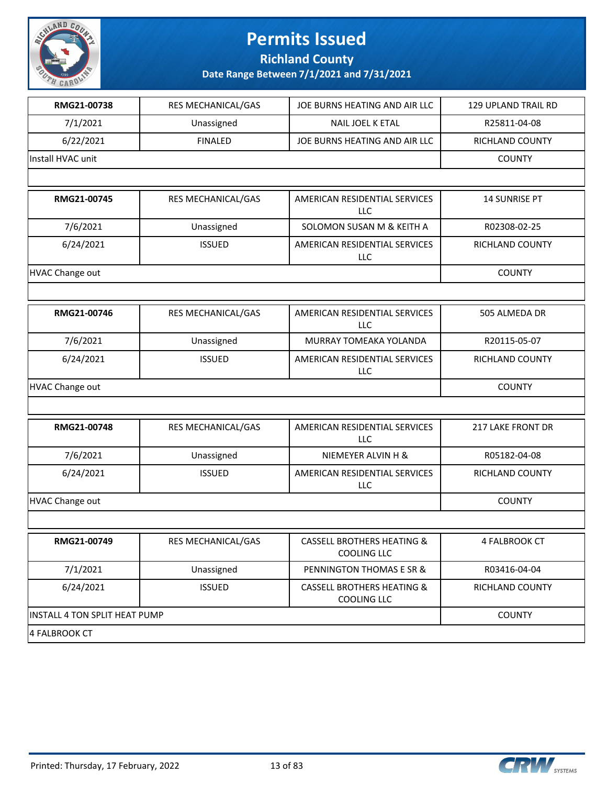

**Richland County**

| RMG21-00738                   | RES MECHANICAL/GAS | JOE BURNS HEATING AND AIR LLC                               | 129 UPLAND TRAIL RD |
|-------------------------------|--------------------|-------------------------------------------------------------|---------------------|
| 7/1/2021                      | Unassigned         | NAIL JOEL K ETAL                                            | R25811-04-08        |
| 6/22/2021                     | <b>FINALED</b>     | JOE BURNS HEATING AND AIR LLC                               | RICHLAND COUNTY     |
| Install HVAC unit             |                    |                                                             | <b>COUNTY</b>       |
|                               |                    |                                                             |                     |
| RMG21-00745                   | RES MECHANICAL/GAS | AMERICAN RESIDENTIAL SERVICES<br>LLC                        | 14 SUNRISE PT       |
| 7/6/2021                      | Unassigned         | SOLOMON SUSAN M & KEITH A                                   | R02308-02-25        |
| 6/24/2021                     | <b>ISSUED</b>      | AMERICAN RESIDENTIAL SERVICES<br>LLC                        | RICHLAND COUNTY     |
| <b>HVAC Change out</b>        |                    |                                                             | <b>COUNTY</b>       |
|                               |                    |                                                             |                     |
| RMG21-00746                   | RES MECHANICAL/GAS | AMERICAN RESIDENTIAL SERVICES<br>LLC                        | 505 ALMEDA DR       |
| 7/6/2021                      | Unassigned         | MURRAY TOMEAKA YOLANDA                                      | R20115-05-07        |
| 6/24/2021                     | <b>ISSUED</b>      | AMERICAN RESIDENTIAL SERVICES<br>LLC                        | RICHLAND COUNTY     |
| <b>HVAC Change out</b>        | <b>COUNTY</b>      |                                                             |                     |
|                               |                    |                                                             |                     |
| RMG21-00748                   | RES MECHANICAL/GAS | AMERICAN RESIDENTIAL SERVICES<br>LLC                        | 217 LAKE FRONT DR   |
| 7/6/2021                      | Unassigned         | NIEMEYER ALVIN H &                                          | R05182-04-08        |
| 6/24/2021                     | <b>ISSUED</b>      | AMERICAN RESIDENTIAL SERVICES<br><b>LLC</b>                 | RICHLAND COUNTY     |
| <b>HVAC Change out</b>        |                    |                                                             | <b>COUNTY</b>       |
|                               |                    |                                                             |                     |
| RMG21-00749                   | RES MECHANICAL/GAS | <b>CASSELL BROTHERS HEATING &amp;</b><br><b>COOLING LLC</b> | 4 FALBROOK CT       |
| 7/1/2021                      | Unassigned         | PENNINGTON THOMAS E SR &                                    | R03416-04-04        |
| 6/24/2021                     | <b>ISSUED</b>      | <b>CASSELL BROTHERS HEATING &amp;</b><br><b>COOLING LLC</b> | RICHLAND COUNTY     |
| INSTALL 4 TON SPLIT HEAT PUMP |                    |                                                             | <b>COUNTY</b>       |
| 4 FALBROOK CT                 |                    |                                                             |                     |

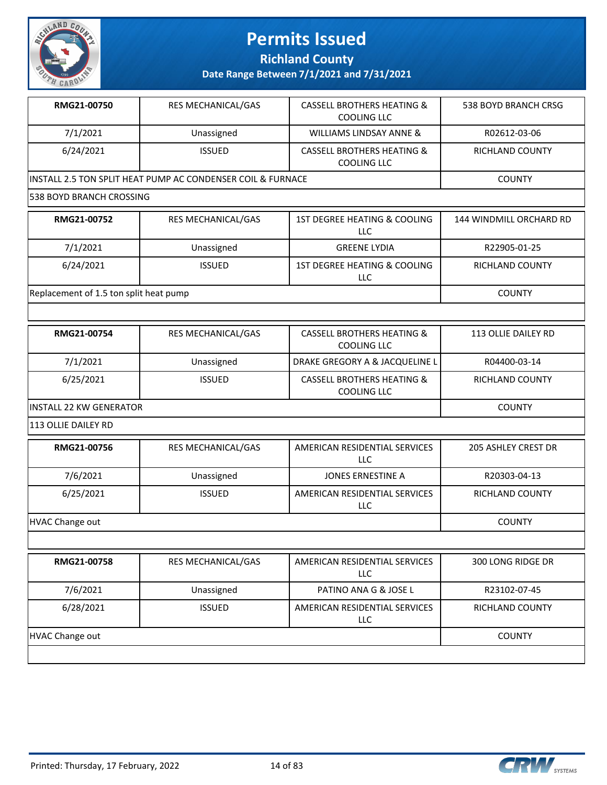

**Richland County**

**Date Range Between 7/1/2021 and 7/31/2021**

| RMG21-00750                            | RES MECHANICAL/GAS                                          | <b>CASSELL BROTHERS HEATING &amp;</b><br>COOLING LLC        | 538 BOYD BRANCH CRSG       |
|----------------------------------------|-------------------------------------------------------------|-------------------------------------------------------------|----------------------------|
| 7/1/2021                               | Unassigned                                                  | WILLIAMS LINDSAY ANNE &                                     | R02612-03-06               |
| 6/24/2021                              | <b>ISSUED</b>                                               | <b>CASSELL BROTHERS HEATING &amp;</b><br><b>COOLING LLC</b> | RICHLAND COUNTY            |
|                                        | INSTALL 2.5 TON SPLIT HEAT PUMP AC CONDENSER COIL & FURNACE |                                                             | <b>COUNTY</b>              |
| 538 BOYD BRANCH CROSSING               |                                                             |                                                             |                            |
| RMG21-00752                            | RES MECHANICAL/GAS                                          | 1ST DEGREE HEATING & COOLING<br><b>LLC</b>                  | 144 WINDMILL ORCHARD RD    |
| 7/1/2021                               | Unassigned                                                  | <b>GREENE LYDIA</b>                                         | R22905-01-25               |
| 6/24/2021                              | <b>ISSUED</b>                                               | 1ST DEGREE HEATING & COOLING<br>LLC                         | RICHLAND COUNTY            |
| Replacement of 1.5 ton split heat pump |                                                             |                                                             | <b>COUNTY</b>              |
|                                        |                                                             |                                                             |                            |
| RMG21-00754                            | RES MECHANICAL/GAS                                          | <b>CASSELL BROTHERS HEATING &amp;</b><br><b>COOLING LLC</b> | <b>113 OLLIE DAILEY RD</b> |
| 7/1/2021                               | Unassigned                                                  | DRAKE GREGORY A & JACQUELINE L                              | R04400-03-14               |
| 6/25/2021                              | <b>ISSUED</b>                                               | <b>CASSELL BROTHERS HEATING &amp;</b><br>COOLING LLC        | RICHLAND COUNTY            |
| <b>INSTALL 22 KW GENERATOR</b>         | <b>COUNTY</b>                                               |                                                             |                            |
| 113 OLLIE DAILEY RD                    |                                                             |                                                             |                            |
| RMG21-00756                            | RES MECHANICAL/GAS                                          | AMERICAN RESIDENTIAL SERVICES<br>LLC                        | <b>205 ASHLEY CREST DR</b> |
| 7/6/2021                               | Unassigned                                                  | JONES ERNESTINE A                                           | R20303-04-13               |
| 6/25/2021                              | <b>ISSUED</b>                                               | AMERICAN RESIDENTIAL SERVICES<br><b>LLC</b>                 | RICHLAND COUNTY            |
| <b>HVAC Change out</b>                 |                                                             |                                                             | <b>COUNTY</b>              |
|                                        |                                                             |                                                             |                            |
| RMG21-00758                            | RES MECHANICAL/GAS                                          | AMERICAN RESIDENTIAL SERVICES<br><b>LLC</b>                 | 300 LONG RIDGE DR          |
| 7/6/2021                               | Unassigned                                                  | PATINO ANA G & JOSE L                                       | R23102-07-45               |

HVAC Change out COUNTY

LLC

6/28/2021 | ISSUED | AMERICAN RESIDENTIAL SERVICES



RICHLAND COUNTY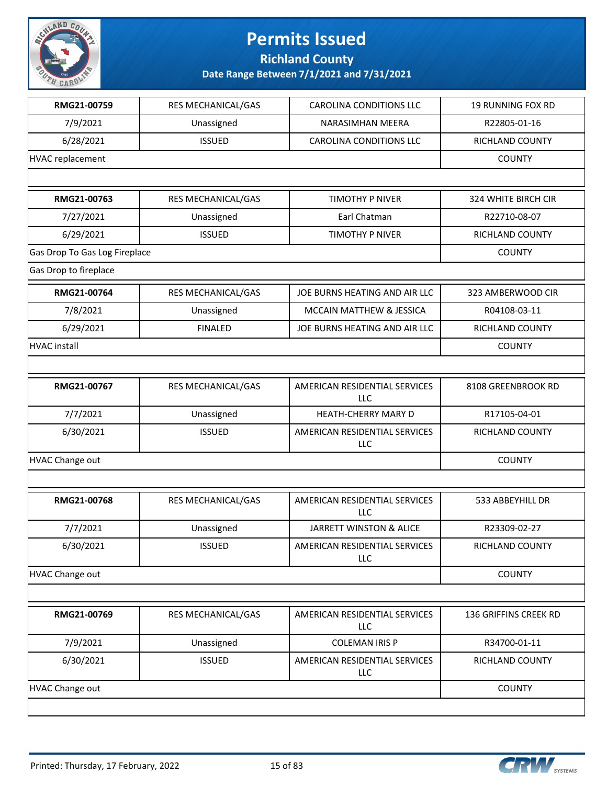

**Richland County**

| RMG21-00759                   | RES MECHANICAL/GAS | <b>CAROLINA CONDITIONS LLC</b>              | <b>19 RUNNING FOX RD</b> |
|-------------------------------|--------------------|---------------------------------------------|--------------------------|
| 7/9/2021                      | Unassigned         | NARASIMHAN MEERA                            | R22805-01-16             |
| 6/28/2021                     | <b>ISSUED</b>      | <b>CAROLINA CONDITIONS LLC</b>              | RICHLAND COUNTY          |
| <b>HVAC replacement</b>       |                    |                                             | <b>COUNTY</b>            |
|                               |                    |                                             |                          |
| RMG21-00763                   | RES MECHANICAL/GAS | TIMOTHY P NIVER                             | 324 WHITE BIRCH CIR      |
| 7/27/2021                     | Unassigned         | Earl Chatman                                | R22710-08-07             |
| 6/29/2021                     | <b>ISSUED</b>      | <b>TIMOTHY P NIVER</b>                      | RICHLAND COUNTY          |
| Gas Drop To Gas Log Fireplace |                    |                                             | <b>COUNTY</b>            |
| Gas Drop to fireplace         |                    |                                             |                          |
| RMG21-00764                   | RES MECHANICAL/GAS | JOE BURNS HEATING AND AIR LLC               | 323 AMBERWOOD CIR        |
| 7/8/2021                      | Unassigned         | MCCAIN MATTHEW & JESSICA                    | R04108-03-11             |
| 6/29/2021                     | <b>FINALED</b>     | JOE BURNS HEATING AND AIR LLC               | RICHLAND COUNTY          |
| <b>HVAC</b> install           |                    |                                             | <b>COUNTY</b>            |
|                               |                    |                                             |                          |
| RMG21-00767                   | RES MECHANICAL/GAS | AMERICAN RESIDENTIAL SERVICES<br>LLC        | 8108 GREENBROOK RD       |
| 7/7/2021                      | Unassigned         | HEATH-CHERRY MARY D                         | R17105-04-01             |
| 6/30/2021                     | <b>ISSUED</b>      | AMERICAN RESIDENTIAL SERVICES<br>LLC        | RICHLAND COUNTY          |
| <b>HVAC Change out</b>        |                    |                                             | <b>COUNTY</b>            |
|                               |                    |                                             |                          |
| RMG21-00768                   | RES MECHANICAL/GAS | AMERICAN RESIDENTIAL SERVICES<br>LLC        | 533 ABBEYHILL DR         |
| 7/7/2021                      | Unassigned         | JARRETT WINSTON & ALICE                     | R23309-02-27             |
| 6/30/2021                     | <b>ISSUED</b>      | AMERICAN RESIDENTIAL SERVICES<br>LLC        | RICHLAND COUNTY          |
| <b>HVAC Change out</b>        |                    |                                             | <b>COUNTY</b>            |
|                               |                    |                                             |                          |
| RMG21-00769                   | RES MECHANICAL/GAS | AMERICAN RESIDENTIAL SERVICES<br><b>LLC</b> | 136 GRIFFINS CREEK RD    |
| 7/9/2021                      | Unassigned         | <b>COLEMAN IRIS P</b>                       | R34700-01-11             |
| 6/30/2021                     | <b>ISSUED</b>      | AMERICAN RESIDENTIAL SERVICES<br><b>LLC</b> | RICHLAND COUNTY          |
| HVAC Change out               |                    |                                             | <b>COUNTY</b>            |
|                               |                    |                                             |                          |

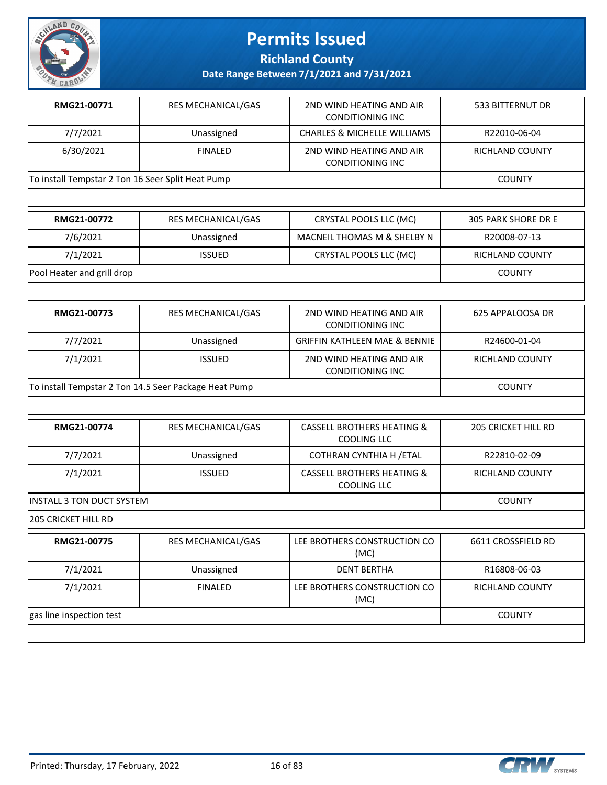

**Richland County**

| RMG21-00771                                       | <b>RES MECHANICAL/GAS</b> | 2ND WIND HEATING AND AIR<br>CONDITIONING INC        | 533 BITTERNUT DR |
|---------------------------------------------------|---------------------------|-----------------------------------------------------|------------------|
| 7/7/2021                                          | Unassigned                | <b>CHARLES &amp; MICHELLE WILLIAMS</b>              | R22010-06-04     |
| 6/30/2021                                         | <b>FINALED</b>            | 2ND WIND HEATING AND AIR<br><b>CONDITIONING INC</b> | RICHLAND COUNTY  |
| To install Tempstar 2 Ton 16 Seer Split Heat Pump |                           |                                                     | <b>COUNTY</b>    |

| RMG21-00772                | RES MECHANICAL/GAS | CRYSTAL POOLS LLC (MC)      | 305 PARK SHORE DR E |
|----------------------------|--------------------|-----------------------------|---------------------|
| 7/6/2021                   | Unassigned         | MACNEIL THOMAS M & SHELBY N | R20008-07-13        |
| 7/1/2021                   | <b>ISSUED</b>      | CRYSTAL POOLS LLC (MC)      | RICHLAND COUNTY     |
| Pool Heater and grill drop |                    |                             | <b>COUNTY</b>       |

| RMG21-00773 | <b>RES MECHANICAL/GAS</b>                             | 2ND WIND HEATING AND AIR<br><b>CONDITIONING INC</b> | 625 APPALOOSA DR |
|-------------|-------------------------------------------------------|-----------------------------------------------------|------------------|
| 7/7/2021    | Unassigned                                            | <b>GRIFFIN KATHLEEN MAE &amp; BENNIE</b>            | R24600-01-04     |
| 7/1/2021    | <b>ISSUED</b>                                         | 2ND WIND HEATING AND AIR<br><b>CONDITIONING INC</b> | RICHLAND COUNTY  |
|             | To install Tempstar 2 Ton 14.5 Seer Package Heat Pump |                                                     |                  |

| RMG21-00774                | <b>RES MECHANICAL/GAS</b> | <b>CASSELL BROTHERS HEATING &amp;</b><br>COOLING LLC | <b>205 CRICKET HILL RD</b> |
|----------------------------|---------------------------|------------------------------------------------------|----------------------------|
| 7/7/2021                   | Unassigned                | COTHRAN CYNTHIA H / ETAL                             | R22810-02-09               |
| 7/1/2021                   | <b>ISSUED</b>             | <b>CASSELL BROTHERS HEATING &amp;</b><br>COOLING LLC | <b>RICHLAND COUNTY</b>     |
| INSTALL 3 TON DUCT SYSTEM  |                           |                                                      | <b>COUNTY</b>              |
| <b>205 CRICKET HILL RD</b> |                           |                                                      |                            |
| RMG21-00775                | <b>RES MECHANICAL/GAS</b> | LEE BROTHERS CONSTRUCTION CO<br>(MC)                 | 6611 CROSSFIELD RD         |
| 7/1/2021                   | Unassigned                | <b>DENT BERTHA</b>                                   | R16808-06-03               |
| 7/1/2021                   | <b>FINALED</b>            | LEE BROTHERS CONSTRUCTION CO<br>(MC)                 | RICHLAND COUNTY            |
| gas line inspection test   |                           |                                                      | <b>COUNTY</b>              |

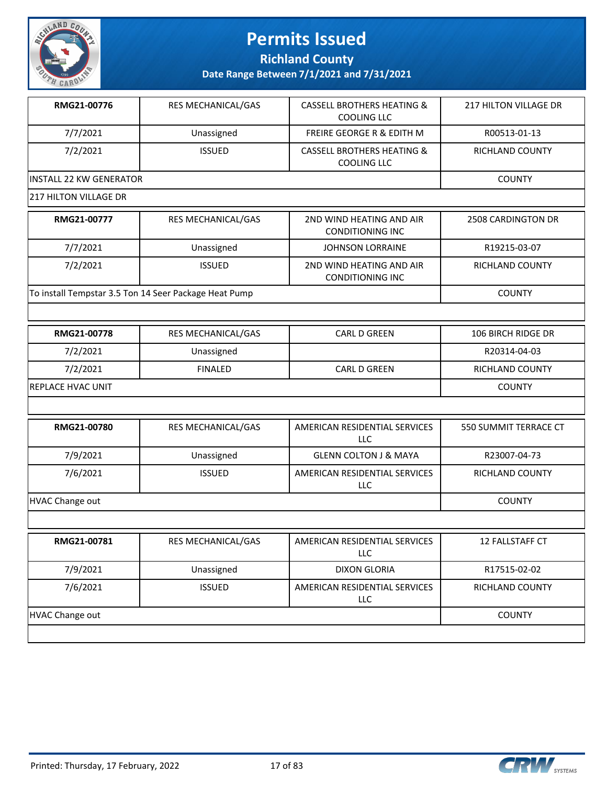

**Richland County**

| RMG21-00776                    | RES MECHANICAL/GAS                                    | <b>CASSELL BROTHERS HEATING &amp;</b><br><b>COOLING LLC</b> | 217 HILTON VILLAGE DR  |
|--------------------------------|-------------------------------------------------------|-------------------------------------------------------------|------------------------|
| 7/7/2021                       | Unassigned                                            | FREIRE GEORGE R & EDITH M                                   | R00513-01-13           |
| 7/2/2021                       | <b>ISSUED</b>                                         | <b>CASSELL BROTHERS HEATING &amp;</b><br>COOLING LLC        | <b>RICHLAND COUNTY</b> |
| <b>INSTALL 22 KW GENERATOR</b> |                                                       |                                                             | <b>COUNTY</b>          |
| <b>217 HILTON VILLAGE DR</b>   |                                                       |                                                             |                        |
| RMG21-00777                    | RES MECHANICAL/GAS                                    | 2ND WIND HEATING AND AIR<br><b>CONDITIONING INC</b>         | 2508 CARDINGTON DR     |
| 7/7/2021                       | Unassigned                                            | <b>JOHNSON LORRAINE</b>                                     | R19215-03-07           |
| 7/2/2021                       | <b>ISSUED</b>                                         | 2ND WIND HEATING AND AIR<br><b>CONDITIONING INC</b>         | RICHLAND COUNTY        |
|                                | To install Tempstar 3.5 Ton 14 Seer Package Heat Pump |                                                             | <b>COUNTY</b>          |
|                                |                                                       |                                                             |                        |
| RMG21-00778                    | RES MECHANICAL/GAS                                    | <b>CARL D GREEN</b>                                         | 106 BIRCH RIDGE DR     |
| 7/2/2021                       | Unassigned                                            |                                                             | R20314-04-03           |
| 7/2/2021                       | <b>FINALED</b>                                        | <b>CARL D GREEN</b>                                         | RICHLAND COUNTY        |
| REPLACE HVAC UNIT              | <b>COUNTY</b>                                         |                                                             |                        |
|                                |                                                       |                                                             |                        |
| RMG21-00780                    | RES MECHANICAL/GAS                                    | AMERICAN RESIDENTIAL SERVICES<br><b>LLC</b>                 | 550 SUMMIT TERRACE CT  |
| 7/9/2021                       | Unassigned                                            | <b>GLENN COLTON J &amp; MAYA</b>                            | R23007-04-73           |
| 7/6/2021                       |                                                       |                                                             |                        |
|                                | <b>ISSUED</b>                                         | AMERICAN RESIDENTIAL SERVICES<br>LLC                        | RICHLAND COUNTY        |
| <b>HVAC Change out</b>         |                                                       |                                                             | <b>COUNTY</b>          |
|                                |                                                       |                                                             |                        |
| RMG21-00781                    | RES MECHANICAL/GAS                                    | AMERICAN RESIDENTIAL SERVICES<br><b>LLC</b>                 | 12 FALLSTAFF CT        |
| 7/9/2021                       | Unassigned                                            | <b>DIXON GLORIA</b>                                         | R17515-02-02           |
| 7/6/2021                       | <b>ISSUED</b>                                         | AMERICAN RESIDENTIAL SERVICES<br><b>LLC</b>                 | <b>RICHLAND COUNTY</b> |

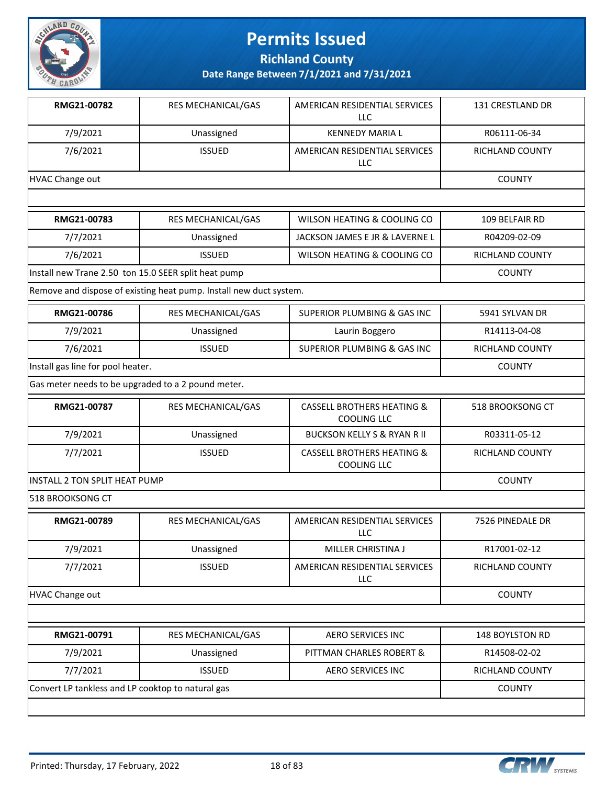

**Richland County**

| RMG21-00782                                          | RES MECHANICAL/GAS                                                 | AMERICAN RESIDENTIAL SERVICES<br>LLC                 | 131 CRESTLAND DR       |  |  |
|------------------------------------------------------|--------------------------------------------------------------------|------------------------------------------------------|------------------------|--|--|
| 7/9/2021                                             | Unassigned                                                         | <b>KENNEDY MARIA L</b>                               | R06111-06-34           |  |  |
| 7/6/2021                                             | <b>ISSUED</b>                                                      | AMERICAN RESIDENTIAL SERVICES<br>LLC                 | <b>RICHLAND COUNTY</b> |  |  |
| <b>HVAC Change out</b>                               |                                                                    |                                                      | <b>COUNTY</b>          |  |  |
|                                                      |                                                                    |                                                      |                        |  |  |
| RMG21-00783                                          | RES MECHANICAL/GAS                                                 | WILSON HEATING & COOLING CO                          | 109 BELFAIR RD         |  |  |
| 7/7/2021                                             | Unassigned                                                         | JACKSON JAMES E JR & LAVERNE L                       | R04209-02-09           |  |  |
| 7/6/2021                                             | <b>ISSUED</b>                                                      | WILSON HEATING & COOLING CO                          | RICHLAND COUNTY        |  |  |
| Install new Trane 2.50 ton 15.0 SEER split heat pump |                                                                    |                                                      | <b>COUNTY</b>          |  |  |
|                                                      | Remove and dispose of existing heat pump. Install new duct system. |                                                      |                        |  |  |
| RMG21-00786                                          | RES MECHANICAL/GAS                                                 | <b>SUPERIOR PLUMBING &amp; GAS INC</b>               | 5941 SYLVAN DR         |  |  |
| 7/9/2021                                             | Unassigned                                                         | Laurin Boggero                                       | R14113-04-08           |  |  |
| 7/6/2021                                             | <b>ISSUED</b>                                                      | <b>SUPERIOR PLUMBING &amp; GAS INC</b>               | RICHLAND COUNTY        |  |  |
| Install gas line for pool heater.                    |                                                                    |                                                      | <b>COUNTY</b>          |  |  |
| Gas meter needs to be upgraded to a 2 pound meter.   |                                                                    |                                                      |                        |  |  |
| RMG21-00787                                          | RES MECHANICAL/GAS                                                 | <b>CASSELL BROTHERS HEATING &amp;</b><br>COOLING LLC | 518 BROOKSONG CT       |  |  |
| 7/9/2021                                             | Unassigned                                                         | <b>BUCKSON KELLY S &amp; RYAN R II</b>               | R03311-05-12           |  |  |
| 7/7/2021                                             | <b>ISSUED</b>                                                      | <b>CASSELL BROTHERS HEATING &amp;</b><br>COOLING LLC | RICHLAND COUNTY        |  |  |
| <b>INSTALL 2 TON SPLIT HEAT PUMP</b>                 |                                                                    |                                                      | <b>COUNTY</b>          |  |  |
| 518 BROOKSONG CT                                     |                                                                    |                                                      |                        |  |  |
| RMG21-00789                                          | RES MECHANICAL/GAS                                                 | AMERICAN RESIDENTIAL SERVICES<br><b>LLC</b>          | 7526 PINEDALE DR       |  |  |
| 7/9/2021                                             | Unassigned                                                         | MILLER CHRISTINA J                                   | R17001-02-12           |  |  |
| 7/7/2021                                             | <b>ISSUED</b>                                                      | AMERICAN RESIDENTIAL SERVICES<br>LLC                 | RICHLAND COUNTY        |  |  |
| <b>HVAC Change out</b>                               |                                                                    |                                                      |                        |  |  |
|                                                      |                                                                    |                                                      |                        |  |  |
| RMG21-00791                                          | RES MECHANICAL/GAS                                                 | <b>AERO SERVICES INC</b>                             | 148 BOYLSTON RD        |  |  |
| 7/9/2021                                             | Unassigned                                                         | PITTMAN CHARLES ROBERT &                             | R14508-02-02           |  |  |
| 7/7/2021                                             | <b>ISSUED</b>                                                      | <b>AERO SERVICES INC</b>                             | RICHLAND COUNTY        |  |  |
|                                                      | Convert LP tankless and LP cooktop to natural gas                  |                                                      |                        |  |  |

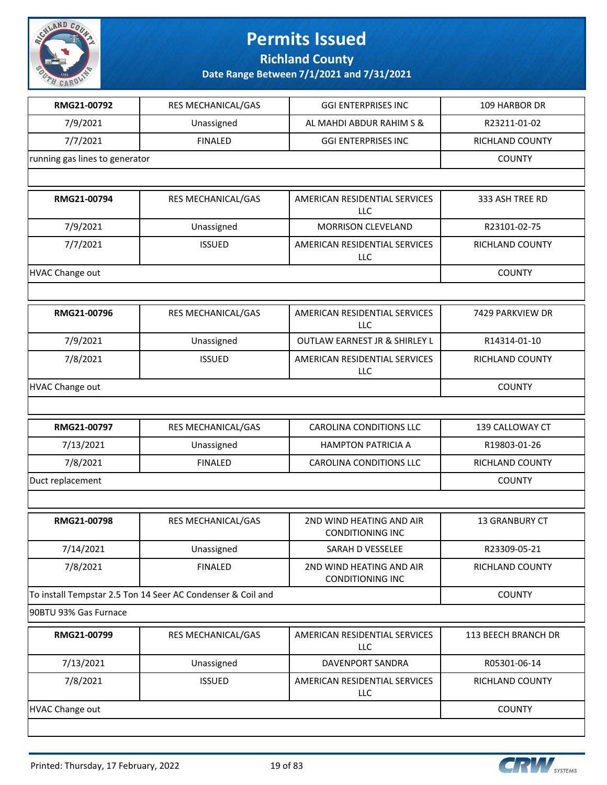

**Richland County**

| RMG21-00792            | RES MECHANICAL/GAS                                          | <b>GGI ENTERPRISES INC</b>                          | 109 HARBOR DR       |  |  |
|------------------------|-------------------------------------------------------------|-----------------------------------------------------|---------------------|--|--|
| 7/9/2021               | Unassigned                                                  | AL MAHDI ABDUR RAHIM S &                            | R23211-01-02        |  |  |
| 7/7/2021               | <b>FINALED</b>                                              | <b>GGI ENTERPRISES INC</b>                          | RICHLAND COUNTY     |  |  |
|                        | running gas lines to generator                              |                                                     |                     |  |  |
|                        |                                                             |                                                     |                     |  |  |
| RMG21-00794            | RES MECHANICAL/GAS                                          | AMERICAN RESIDENTIAL SERVICES<br>LLC                | 333 ASH TREE RD     |  |  |
| 7/9/2021               | Unassigned                                                  | <b>MORRISON CLEVELAND</b>                           | R23101-02-75        |  |  |
| 7/7/2021               | <b>ISSUED</b>                                               | AMERICAN RESIDENTIAL SERVICES<br>LLC                | RICHLAND COUNTY     |  |  |
| <b>HVAC Change out</b> |                                                             |                                                     | <b>COUNTY</b>       |  |  |
|                        |                                                             |                                                     |                     |  |  |
| RMG21-00796            | RES MECHANICAL/GAS                                          | AMERICAN RESIDENTIAL SERVICES<br><b>LLC</b>         | 7429 PARKVIEW DR    |  |  |
| 7/9/2021               | Unassigned                                                  | <b>OUTLAW EARNEST JR &amp; SHIRLEY L</b>            | R14314-01-10        |  |  |
| 7/8/2021               | <b>ISSUED</b>                                               | AMERICAN RESIDENTIAL SERVICES<br>LLC                | RICHLAND COUNTY     |  |  |
| <b>HVAC Change out</b> |                                                             |                                                     | <b>COUNTY</b>       |  |  |
|                        |                                                             |                                                     |                     |  |  |
| RMG21-00797            | RES MECHANICAL/GAS                                          | CAROLINA CONDITIONS LLC                             | 139 CALLOWAY CT     |  |  |
| 7/13/2021              | Unassigned                                                  | <b>HAMPTON PATRICIA A</b>                           | R19803-01-26        |  |  |
| 7/8/2021               | <b>FINALED</b>                                              | CAROLINA CONDITIONS LLC                             | RICHLAND COUNTY     |  |  |
| Duct replacement       | <b>COUNTY</b>                                               |                                                     |                     |  |  |
|                        |                                                             |                                                     |                     |  |  |
| RMG21-00798            | RES MECHANICAL/GAS                                          | 2ND WIND HEATING AND AIR<br><b>CONDITIONING INC</b> | 13 GRANBURY CT      |  |  |
| 7/14/2021              | Unassigned                                                  | SARAH D VESSELEE                                    | R23309-05-21        |  |  |
| 7/8/2021               | <b>FINALED</b>                                              | 2ND WIND HEATING AND AIR<br><b>CONDITIONING INC</b> | RICHLAND COUNTY     |  |  |
|                        | To install Tempstar 2.5 Ton 14 Seer AC Condenser & Coil and |                                                     | <b>COUNTY</b>       |  |  |
| 90BTU 93% Gas Furnace  |                                                             |                                                     |                     |  |  |
| RMG21-00799            | RES MECHANICAL/GAS                                          | AMERICAN RESIDENTIAL SERVICES<br><b>LLC</b>         | 113 BEECH BRANCH DR |  |  |
| 7/13/2021              | Unassigned                                                  | DAVENPORT SANDRA                                    | R05301-06-14        |  |  |
| 7/8/2021               | <b>ISSUED</b>                                               | AMERICAN RESIDENTIAL SERVICES<br><b>LLC</b>         | RICHLAND COUNTY     |  |  |
| <b>HVAC Change out</b> |                                                             |                                                     | <b>COUNTY</b>       |  |  |
|                        |                                                             |                                                     |                     |  |  |

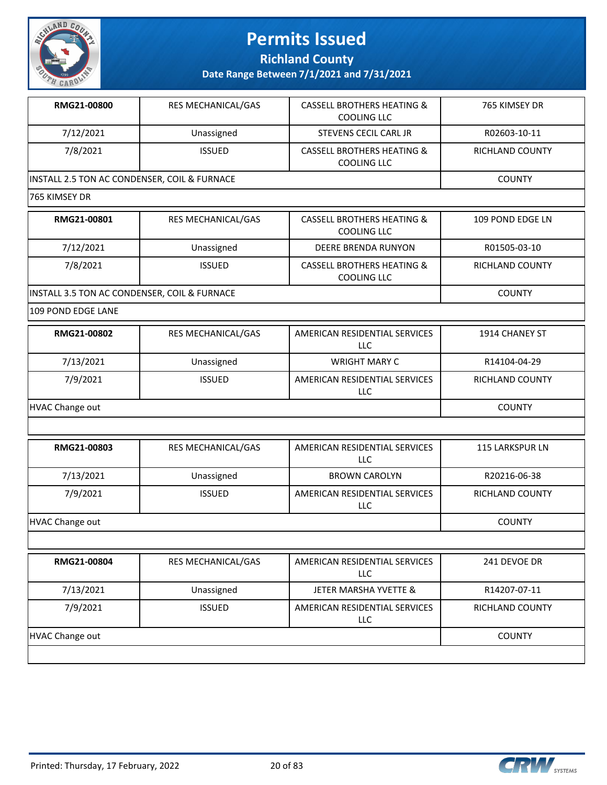

**Richland County**

| RMG21-00800                                  | RES MECHANICAL/GAS | <b>CASSELL BROTHERS HEATING &amp;</b><br>COOLING LLC        | 765 KIMSEY DR          |  |
|----------------------------------------------|--------------------|-------------------------------------------------------------|------------------------|--|
| 7/12/2021                                    | Unassigned         | <b>STEVENS CECIL CARL JR</b>                                | R02603-10-11           |  |
| 7/8/2021                                     | <b>ISSUED</b>      | <b>CASSELL BROTHERS HEATING &amp;</b><br><b>COOLING LLC</b> | <b>RICHLAND COUNTY</b> |  |
| INSTALL 2.5 TON AC CONDENSER, COIL & FURNACE |                    |                                                             | <b>COUNTY</b>          |  |
| 765 KIMSEY DR                                |                    |                                                             |                        |  |
| RMG21-00801                                  | RES MECHANICAL/GAS | <b>CASSELL BROTHERS HEATING &amp;</b><br><b>COOLING LLC</b> | 109 POND EDGE LN       |  |
| 7/12/2021                                    | Unassigned         | <b>DEERE BRENDA RUNYON</b>                                  | R01505-03-10           |  |
| 7/8/2021                                     | <b>ISSUED</b>      | <b>CASSELL BROTHERS HEATING &amp;</b><br>COOLING LLC        | <b>RICHLAND COUNTY</b> |  |
| INSTALL 3.5 TON AC CONDENSER, COIL & FURNACE | <b>COUNTY</b>      |                                                             |                        |  |
| 109 POND EDGE LANE                           |                    |                                                             |                        |  |
| RMG21-00802                                  | RES MECHANICAL/GAS | AMERICAN RESIDENTIAL SERVICES<br>LLC.                       | 1914 CHANEY ST         |  |
| 7/13/2021                                    | Unassigned         | <b>WRIGHT MARY C</b>                                        | R14104-04-29           |  |
| 7/9/2021                                     | <b>ISSUED</b>      | AMERICAN RESIDENTIAL SERVICES<br>LLC                        | <b>RICHLAND COUNTY</b> |  |
| <b>HVAC Change out</b>                       |                    |                                                             |                        |  |

| RMG21-00803     | <b>RES MECHANICAL/GAS</b> | AMERICAN RESIDENTIAL SERVICES<br>LLC | <b>115 LARKSPUR LN</b> |
|-----------------|---------------------------|--------------------------------------|------------------------|
| 7/13/2021       | Unassigned                | <b>BROWN CAROLYN</b>                 | R20216-06-38           |
| 7/9/2021        | <b>ISSUED</b>             | AMERICAN RESIDENTIAL SERVICES<br>LLC | RICHLAND COUNTY        |
| HVAC Change out |                           |                                      | <b>COUNTY</b>          |

| RMG21-00804     | <b>RES MECHANICAL/GAS</b> | AMERICAN RESIDENTIAL SERVICES<br>LLC. | 241 DEVOE DR           |
|-----------------|---------------------------|---------------------------------------|------------------------|
| 7/13/2021       | Unassigned                | JETER MARSHA YVETTE &                 | R14207-07-11           |
| 7/9/2021        | <b>ISSUED</b>             | AMERICAN RESIDENTIAL SERVICES<br>LLC. | <b>RICHLAND COUNTY</b> |
| HVAC Change out |                           |                                       | <b>COUNTY</b>          |
|                 |                           |                                       |                        |

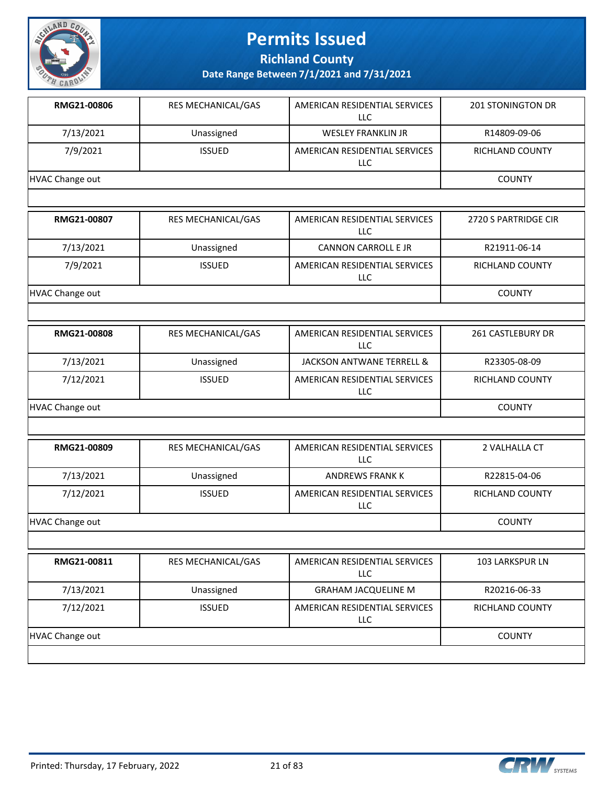

**Richland County**

| RMG21-00806            | <b>RES MECHANICAL/GAS</b> | AMERICAN RESIDENTIAL SERVICES<br><b>LLC</b> | <b>201 STONINGTON DR</b> |
|------------------------|---------------------------|---------------------------------------------|--------------------------|
| 7/13/2021              | Unassigned                | <b>WESLEY FRANKLIN JR</b>                   | R14809-09-06             |
| 7/9/2021               | <b>ISSUED</b>             | AMERICAN RESIDENTIAL SERVICES<br>LLC        | RICHLAND COUNTY          |
| <b>HVAC Change out</b> |                           |                                             | <b>COUNTY</b>            |
|                        |                           |                                             |                          |
| RMG21-00807            | RES MECHANICAL/GAS        | AMERICAN RESIDENTIAL SERVICES<br>LLC        | 2720 S PARTRIDGE CIR     |
| 7/13/2021              | Unassigned                | <b>CANNON CARROLL E JR</b>                  | R21911-06-14             |
| 7/9/2021               | <b>ISSUED</b>             | AMERICAN RESIDENTIAL SERVICES<br>LLC        | RICHLAND COUNTY          |
| <b>HVAC Change out</b> |                           |                                             | <b>COUNTY</b>            |
|                        |                           |                                             |                          |
| RMG21-00808            | RES MECHANICAL/GAS        | AMERICAN RESIDENTIAL SERVICES<br><b>LLC</b> | 261 CASTLEBURY DR        |
| 7/13/2021              | Unassigned                | JACKSON ANTWANE TERRELL &                   | R23305-08-09             |
| 7/12/2021              | <b>ISSUED</b>             | AMERICAN RESIDENTIAL SERVICES<br>LLC        | RICHLAND COUNTY          |
| <b>HVAC Change out</b> |                           |                                             | <b>COUNTY</b>            |
|                        |                           |                                             |                          |
| RMG21-00809            | RES MECHANICAL/GAS        | AMERICAN RESIDENTIAL SERVICES<br><b>LLC</b> | 2 VALHALLA CT            |
| 7/13/2021              | Unassigned                | <b>ANDREWS FRANK K</b>                      | R22815-04-06             |
| 7/12/2021              | <b>ISSUED</b>             | AMERICAN RESIDENTIAL SERVICES<br><b>LLC</b> | <b>RICHLAND COUNTY</b>   |
| <b>HVAC Change out</b> |                           |                                             | <b>COUNTY</b>            |
|                        |                           |                                             |                          |
| RMG21-00811            | RES MECHANICAL/GAS        | AMERICAN RESIDENTIAL SERVICES<br><b>LLC</b> | 103 LARKSPUR LN          |
| 7/13/2021              | Unassigned                | <b>GRAHAM JACQUELINE M</b>                  | R20216-06-33             |
| 7/12/2021              | <b>ISSUED</b>             | AMERICAN RESIDENTIAL SERVICES<br>LLC        | RICHLAND COUNTY          |
| HVAC Change out        |                           |                                             | <b>COUNTY</b>            |
|                        |                           |                                             |                          |

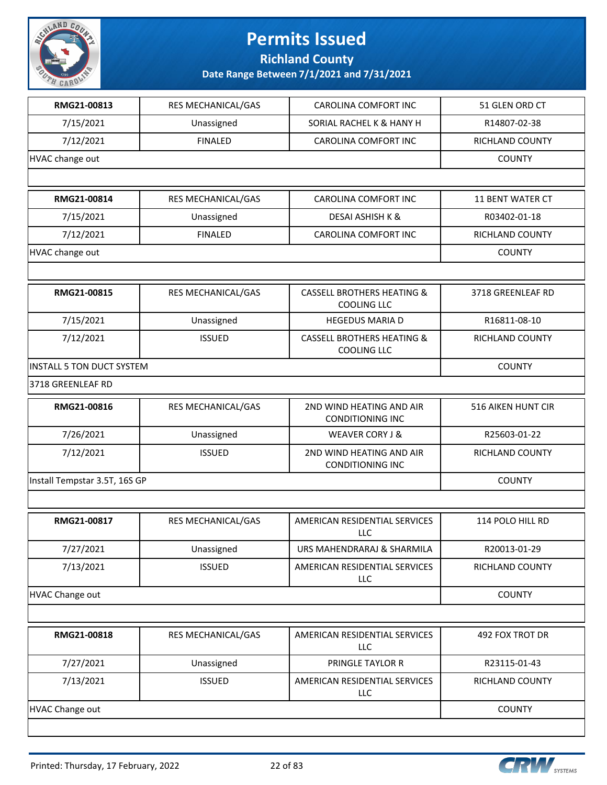

**Richland County**

| RMG21-00813                      | RES MECHANICAL/GAS | CAROLINA COMFORT INC                                        | 51 GLEN ORD CT            |
|----------------------------------|--------------------|-------------------------------------------------------------|---------------------------|
| 7/15/2021                        | Unassigned         | SORIAL RACHEL K & HANY H                                    | R14807-02-38              |
| 7/12/2021                        | <b>FINALED</b>     | CAROLINA COMFORT INC                                        | RICHLAND COUNTY           |
| HVAC change out                  |                    |                                                             | <b>COUNTY</b>             |
|                                  |                    |                                                             |                           |
| RMG21-00814                      | RES MECHANICAL/GAS | CAROLINA COMFORT INC                                        | 11 BENT WATER CT          |
| 7/15/2021                        | Unassigned         | <b>DESAI ASHISH K &amp;</b>                                 | R03402-01-18              |
| 7/12/2021                        | <b>FINALED</b>     | CAROLINA COMFORT INC                                        | RICHLAND COUNTY           |
| HVAC change out                  |                    |                                                             | <b>COUNTY</b>             |
|                                  |                    |                                                             |                           |
| RMG21-00815                      | RES MECHANICAL/GAS | <b>CASSELL BROTHERS HEATING &amp;</b><br>COOLING LLC        | 3718 GREENLEAF RD         |
| 7/15/2021                        | Unassigned         | <b>HEGEDUS MARIA D</b>                                      | R16811-08-10              |
| 7/12/2021                        | <b>ISSUED</b>      | <b>CASSELL BROTHERS HEATING &amp;</b><br><b>COOLING LLC</b> | RICHLAND COUNTY           |
| <b>INSTALL 5 TON DUCT SYSTEM</b> |                    |                                                             | <b>COUNTY</b>             |
| 3718 GREENLEAF RD                |                    |                                                             |                           |
| RMG21-00816                      | RES MECHANICAL/GAS | 2ND WIND HEATING AND AIR<br><b>CONDITIONING INC</b>         | <b>516 AIKEN HUNT CIR</b> |
| 7/26/2021                        | Unassigned         | <b>WEAVER CORY J &amp;</b>                                  | R25603-01-22              |
| 7/12/2021                        | <b>ISSUED</b>      | 2ND WIND HEATING AND AIR<br><b>CONDITIONING INC</b>         | RICHLAND COUNTY           |
| Install Tempstar 3.5T, 16S GP    |                    |                                                             | <b>COUNTY</b>             |
|                                  |                    |                                                             |                           |
| RMG21-00817                      | RES MECHANICAL/GAS | AMERICAN RESIDENTIAL SERVICES<br>LLC                        | 114 POLO HILL RD          |
| 7/27/2021                        | Unassigned         | URS MAHENDRARAJ & SHARMILA                                  | R20013-01-29              |
| 7/13/2021                        | <b>ISSUED</b>      | AMERICAN RESIDENTIAL SERVICES<br>LLC                        | RICHLAND COUNTY           |
| <b>HVAC Change out</b>           |                    |                                                             | <b>COUNTY</b>             |
|                                  |                    |                                                             |                           |
| RMG21-00818                      | RES MECHANICAL/GAS | AMERICAN RESIDENTIAL SERVICES<br>LLC                        | 492 FOX TROT DR           |
| 7/27/2021                        | Unassigned         | PRINGLE TAYLOR R                                            | R23115-01-43              |
| 7/13/2021                        | <b>ISSUED</b>      | AMERICAN RESIDENTIAL SERVICES<br>LLC                        | RICHLAND COUNTY           |
| <b>HVAC Change out</b>           |                    |                                                             | <b>COUNTY</b>             |
|                                  |                    |                                                             |                           |

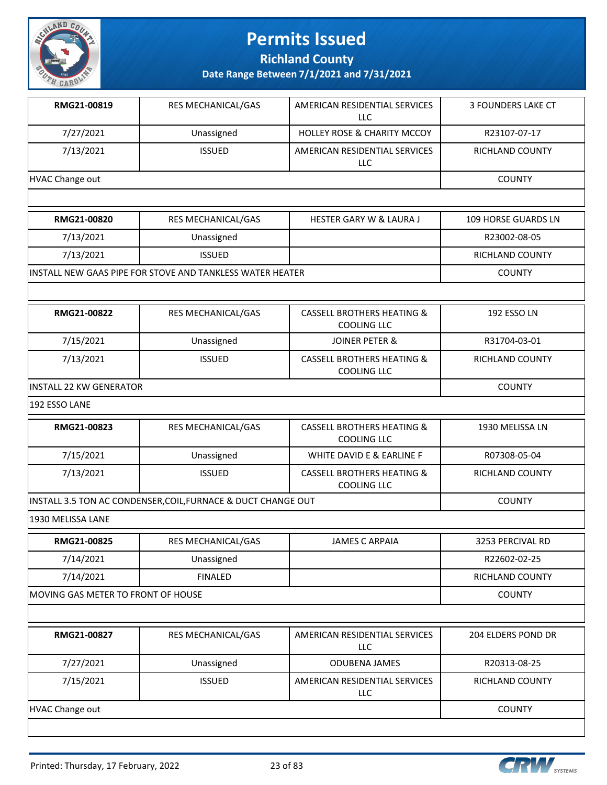

**Richland County**

| RMG21-00819                        | <b>RES MECHANICAL/GAS</b>                                     | AMERICAN RESIDENTIAL SERVICES<br>LLC                        | 3 FOUNDERS LAKE CT         |
|------------------------------------|---------------------------------------------------------------|-------------------------------------------------------------|----------------------------|
| 7/27/2021                          | Unassigned                                                    | <b>HOLLEY ROSE &amp; CHARITY MCCOY</b>                      | R23107-07-17               |
| 7/13/2021                          | <b>ISSUED</b>                                                 | AMERICAN RESIDENTIAL SERVICES<br>LLC                        | RICHLAND COUNTY            |
| <b>HVAC Change out</b>             |                                                               |                                                             | <b>COUNTY</b>              |
|                                    |                                                               |                                                             |                            |
| RMG21-00820                        | RES MECHANICAL/GAS                                            | <b>HESTER GARY W &amp; LAURA J</b>                          | <b>109 HORSE GUARDS LN</b> |
| 7/13/2021                          | Unassigned                                                    |                                                             | R23002-08-05               |
| 7/13/2021                          | <b>ISSUED</b>                                                 |                                                             | RICHLAND COUNTY            |
|                                    | INSTALL NEW GAAS PIPE FOR STOVE AND TANKLESS WATER HEATER     |                                                             | <b>COUNTY</b>              |
|                                    |                                                               |                                                             |                            |
| RMG21-00822                        | RES MECHANICAL/GAS                                            | <b>CASSELL BROTHERS HEATING &amp;</b><br><b>COOLING LLC</b> | 192 ESSO LN                |
| 7/15/2021                          | Unassigned                                                    | JOINER PETER &                                              | R31704-03-01               |
| 7/13/2021                          | <b>ISSUED</b>                                                 | <b>CASSELL BROTHERS HEATING &amp;</b><br><b>COOLING LLC</b> | <b>RICHLAND COUNTY</b>     |
| INSTALL 22 KW GENERATOR            | <b>COUNTY</b>                                                 |                                                             |                            |
| 192 ESSO LANE                      |                                                               |                                                             |                            |
| RMG21-00823                        | RES MECHANICAL/GAS                                            | <b>CASSELL BROTHERS HEATING &amp;</b><br><b>COOLING LLC</b> | 1930 MELISSA LN            |
| 7/15/2021                          | Unassigned                                                    | WHITE DAVID E & EARLINE F                                   | R07308-05-04               |
| 7/13/2021                          | <b>ISSUED</b>                                                 | <b>CASSELL BROTHERS HEATING &amp;</b><br><b>COOLING LLC</b> | RICHLAND COUNTY            |
|                                    | INSTALL 3.5 TON AC CONDENSER, COIL, FURNACE & DUCT CHANGE OUT |                                                             | <b>COUNTY</b>              |
| 1930 MELISSA LANE                  |                                                               |                                                             |                            |
| RMG21-00825                        | RES MECHANICAL/GAS                                            | <b>JAMES C ARPAIA</b>                                       | 3253 PERCIVAL RD           |
| 7/14/2021                          | Unassigned                                                    |                                                             | R22602-02-25               |
| 7/14/2021                          | <b>FINALED</b>                                                |                                                             | RICHLAND COUNTY            |
| MOVING GAS METER TO FRONT OF HOUSE |                                                               |                                                             | <b>COUNTY</b>              |
|                                    |                                                               |                                                             |                            |

| RMG21-00827            | <b>RES MECHANICAL/GAS</b> | AMERICAN RESIDENTIAL SERVICES<br>LLC | <b>204 ELDERS POND DR</b> |
|------------------------|---------------------------|--------------------------------------|---------------------------|
| 7/27/2021              | Unassigned                | <b>ODUBENA JAMES</b>                 | R20313-08-25              |
| 7/15/2021              | <b>ISSUED</b>             | AMERICAN RESIDENTIAL SERVICES<br>LLC | RICHLAND COUNTY           |
| <b>HVAC Change out</b> |                           |                                      | <b>COUNTY</b>             |
|                        |                           |                                      |                           |

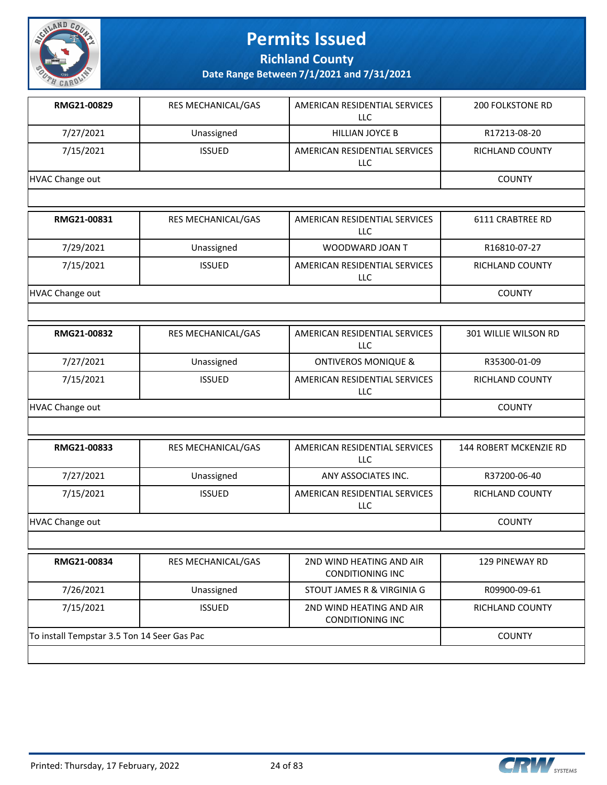

**Richland County**

| RMG21-00829                                 | RES MECHANICAL/GAS | AMERICAN RESIDENTIAL SERVICES<br><b>LLC</b>         | <b>200 FOLKSTONE RD</b> |
|---------------------------------------------|--------------------|-----------------------------------------------------|-------------------------|
| 7/27/2021                                   | Unassigned         | <b>HILLIAN JOYCE B</b>                              | R17213-08-20            |
| 7/15/2021                                   | <b>ISSUED</b>      | AMERICAN RESIDENTIAL SERVICES<br>LLC                | RICHLAND COUNTY         |
| <b>HVAC Change out</b>                      |                    |                                                     | <b>COUNTY</b>           |
|                                             |                    |                                                     |                         |
| RMG21-00831                                 | RES MECHANICAL/GAS | AMERICAN RESIDENTIAL SERVICES<br>LLC                | 6111 CRABTREE RD        |
| 7/29/2021                                   | Unassigned         | WOODWARD JOAN T                                     | R16810-07-27            |
| 7/15/2021                                   | <b>ISSUED</b>      | AMERICAN RESIDENTIAL SERVICES<br><b>LLC</b>         | RICHLAND COUNTY         |
| <b>HVAC Change out</b>                      |                    |                                                     | <b>COUNTY</b>           |
|                                             |                    |                                                     |                         |
| RMG21-00832                                 | RES MECHANICAL/GAS | AMERICAN RESIDENTIAL SERVICES<br><b>LLC</b>         | 301 WILLIE WILSON RD    |
| 7/27/2021                                   | Unassigned         | <b>ONTIVEROS MONIQUE &amp;</b>                      | R35300-01-09            |
| 7/15/2021                                   | <b>ISSUED</b>      | AMERICAN RESIDENTIAL SERVICES<br>LLC                | RICHLAND COUNTY         |
| <b>HVAC Change out</b>                      |                    |                                                     | <b>COUNTY</b>           |
|                                             |                    |                                                     |                         |
| RMG21-00833                                 | RES MECHANICAL/GAS | AMERICAN RESIDENTIAL SERVICES<br><b>LLC</b>         | 144 ROBERT MCKENZIE RD  |
| 7/27/2021                                   | Unassigned         | ANY ASSOCIATES INC.                                 | R37200-06-40            |
| 7/15/2021                                   | <b>ISSUED</b>      | AMERICAN RESIDENTIAL SERVICES<br>LLC                | RICHLAND COUNTY         |
| <b>HVAC Change out</b>                      |                    |                                                     | <b>COUNTY</b>           |
|                                             |                    |                                                     |                         |
| RMG21-00834                                 | RES MECHANICAL/GAS | 2ND WIND HEATING AND AIR<br><b>CONDITIONING INC</b> | 129 PINEWAY RD          |
| 7/26/2021                                   | Unassigned         | STOUT JAMES R & VIRGINIA G                          | R09900-09-61            |
| 7/15/2021                                   | <b>ISSUED</b>      | 2ND WIND HEATING AND AIR<br><b>CONDITIONING INC</b> | RICHLAND COUNTY         |
| To install Tempstar 3.5 Ton 14 Seer Gas Pac |                    |                                                     | <b>COUNTY</b>           |
|                                             |                    |                                                     |                         |

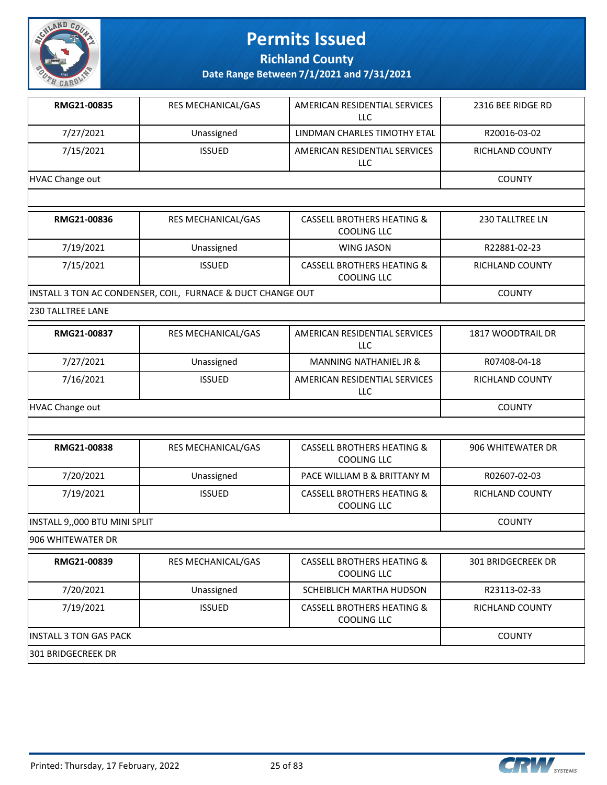

**Richland County**

**Date Range Between 7/1/2021 and 7/31/2021**

| RMG21-00835     | <b>RES MECHANICAL/GAS</b> | AMERICAN RESIDENTIAL SERVICES<br>LLC | 2316 BEE RIDGE RD |
|-----------------|---------------------------|--------------------------------------|-------------------|
| 7/27/2021       | Unassigned                | LINDMAN CHARLES TIMOTHY ETAL         | R20016-03-02      |
| 7/15/2021       | <b>ISSUED</b>             | AMERICAN RESIDENTIAL SERVICES<br>LLC | RICHLAND COUNTY   |
| HVAC Change out |                           |                                      | <b>COUNTY</b>     |

| RMG21-00836                                                 | <b>RES MECHANICAL/GAS</b> | <b>CASSELL BROTHERS HEATING &amp;</b><br><b>COOLING LLC</b> | 230 TALLTREE LN |
|-------------------------------------------------------------|---------------------------|-------------------------------------------------------------|-----------------|
| 7/19/2021                                                   | Unassigned                | WING JASON                                                  | R22881-02-23    |
| 7/15/2021                                                   | <b>ISSUED</b>             | <b>CASSELL BROTHERS HEATING &amp;</b><br>COOLING LLC        | RICHLAND COUNTY |
| INSTALL 3 TON AC CONDENSER, COIL, FURNACE & DUCT CHANGE OUT |                           |                                                             | <b>COUNTY</b>   |

230 TALLTREE LANE

| RMG21-00837     | <b>RES MECHANICAL/GAS</b> | AMERICAN RESIDENTIAL SERVICES<br>LLC | 1817 WOODTRAIL DR |
|-----------------|---------------------------|--------------------------------------|-------------------|
| 7/27/2021       | Unassigned                | MANNING NATHANIEL JR &               | R07408-04-18      |
| 7/16/2021       | <b>ISSUED</b>             | AMERICAN RESIDENTIAL SERVICES<br>LLC | RICHLAND COUNTY   |
| HVAC Change out |                           |                                      | <b>COUNTY</b>     |

| RMG21-00838                   | <b>RES MECHANICAL/GAS</b> | <b>CASSELL BROTHERS HEATING &amp;</b><br>COOLING LLC | 906 WHITEWATER DR |
|-------------------------------|---------------------------|------------------------------------------------------|-------------------|
| 7/20/2021                     | Unassigned                | PACE WILLIAM B & BRITTANY M                          | R02607-02-03      |
| 7/19/2021                     | <b>ISSUED</b>             | <b>CASSELL BROTHERS HEATING &amp;</b><br>COOLING LLC | RICHLAND COUNTY   |
| INSTALL 9,,000 BTU MINI SPLIT |                           |                                                      | <b>COUNTY</b>     |

906 WHITEWATER DR

| RMG21-00839                    | <b>RES MECHANICAL/GAS</b> | <b>CASSELL BROTHERS HEATING &amp;</b><br>COOLING LLC | 301 BRIDGECREEK DR |
|--------------------------------|---------------------------|------------------------------------------------------|--------------------|
| 7/20/2021                      | Unassigned                | SCHEIBLICH MARTHA HUDSON                             | R23113-02-33       |
| 7/19/2021                      | <b>ISSUED</b>             | CASSELL BROTHERS HEATING &<br>COOLING LLC            | RICHLAND COUNTY    |
| <b>IINSTALL 3 TON GAS PACK</b> |                           |                                                      | <b>COUNTY</b>      |
| 1301 BRIDGECREEK DR            |                           |                                                      |                    |

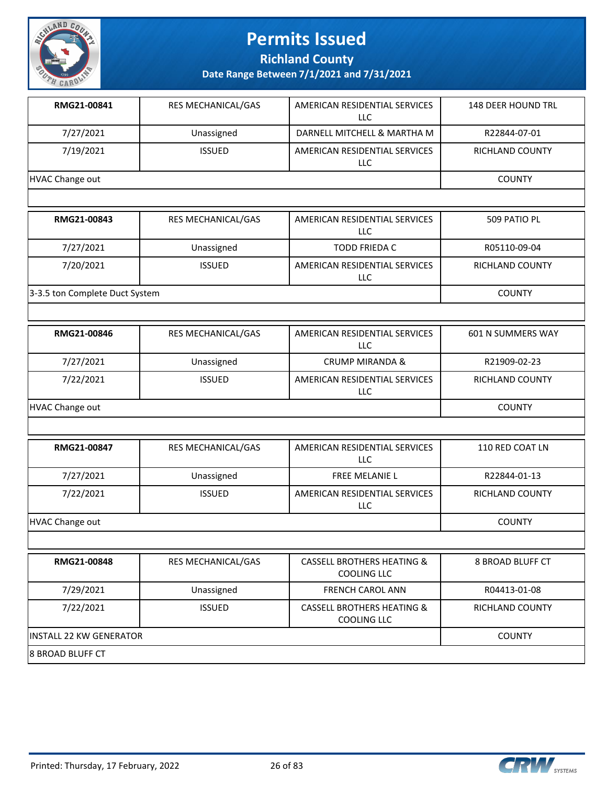

**Richland County**

**Date Range Between 7/1/2021 and 7/31/2021**

| RMG21-00841     | <b>RES MECHANICAL/GAS</b> | AMERICAN RESIDENTIAL SERVICES<br>LLC. | <b>148 DEER HOUND TRL</b> |
|-----------------|---------------------------|---------------------------------------|---------------------------|
| 7/27/2021       | Unassigned                | DARNELL MITCHELL & MARTHA M           | R22844-07-01              |
| 7/19/2021       | <b>ISSUED</b>             | AMERICAN RESIDENTIAL SERVICES<br>LLC. | <b>RICHLAND COUNTY</b>    |
| HVAC Change out |                           |                                       | <b>COUNTY</b>             |
|                 |                           |                                       |                           |
| RMG21-00843     | <b>RES MECHANICAL/GAS</b> | AMERICAN RESIDENTIAL SERVICES<br>LLC. | 509 PATIO PL              |
| 7/27/2021       | Unassigned                | <b>TODD FRIEDA C</b>                  | R05110-09-04              |
| 7/20/2021       | <b>ISSUED</b>             | AMERICAN RESIDENTIAL SERVICES         | <b>RICHLAND COUNTY</b>    |

LLC

3-3.5 ton Complete Duct System COUNTY

| RMG21-00846     | <b>RES MECHANICAL/GAS</b> | AMERICAN RESIDENTIAL SERVICES<br>LLC  | 601 N SUMMERS WAY |
|-----------------|---------------------------|---------------------------------------|-------------------|
| 7/27/2021       | Unassigned                | <b>CRUMP MIRANDA &amp;</b>            | R21909-02-23      |
| 7/22/2021       | <b>ISSUED</b>             | AMERICAN RESIDENTIAL SERVICES<br>LLC. | RICHLAND COUNTY   |
| HVAC Change out |                           |                                       | <b>COUNTY</b>     |

| RMG21-00847     | <b>RES MECHANICAL/GAS</b> | AMERICAN RESIDENTIAL SERVICES<br>LLC.       | 110 RED COAT LN |
|-----------------|---------------------------|---------------------------------------------|-----------------|
| 7/27/2021       | Unassigned                | <b>FREE MELANIE L</b>                       | R22844-01-13    |
| 7/22/2021       | <b>ISSUED</b>             | AMERICAN RESIDENTIAL SERVICES<br><b>LLC</b> | RICHLAND COUNTY |
| HVAC Change out |                           |                                             | <b>COUNTY</b>   |

| RMG21-00848              | <b>RES MECHANICAL/GAS</b> | <b>CASSELL BROTHERS HEATING &amp;</b><br>COOLING LLC | 8 BROAD BLUFF CT |
|--------------------------|---------------------------|------------------------------------------------------|------------------|
| 7/29/2021                | Unassigned                | <b>FRENCH CAROL ANN</b>                              | R04413-01-08     |
| 7/22/2021                | <b>ISSUED</b>             | <b>CASSELL BROTHERS HEATING &amp;</b><br>COOLING LLC | RICHLAND COUNTY  |
| lINSTALL 22 KW GENERATOR | <b>COUNTY</b>             |                                                      |                  |
| 18 BROAD BLUFF CT        |                           |                                                      |                  |

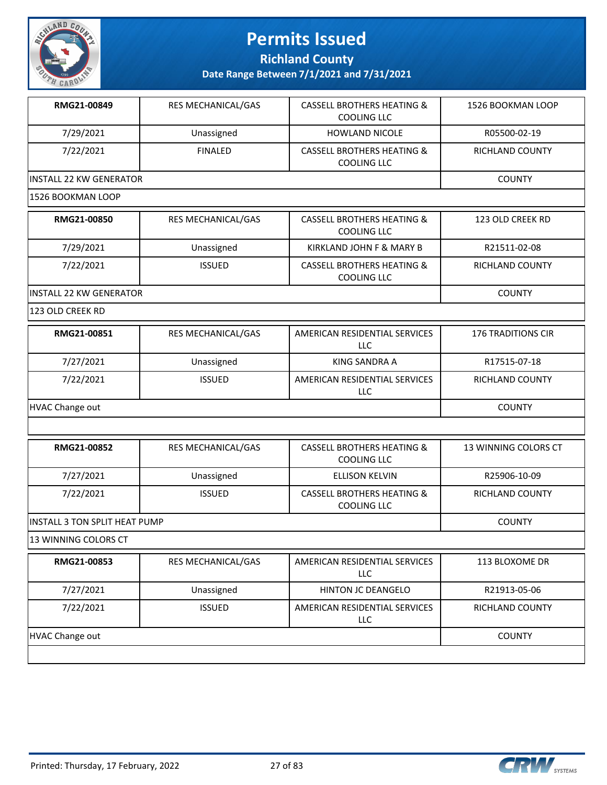

**Richland County**

| RMG21-00849                    | RES MECHANICAL/GAS | <b>CASSELL BROTHERS HEATING &amp;</b><br>COOLING LLC        | 1526 BOOKMAN LOOP         |
|--------------------------------|--------------------|-------------------------------------------------------------|---------------------------|
| 7/29/2021                      | Unassigned         | <b>HOWLAND NICOLE</b>                                       | R05500-02-19              |
| 7/22/2021                      | <b>FINALED</b>     | <b>CASSELL BROTHERS HEATING &amp;</b><br><b>COOLING LLC</b> | RICHLAND COUNTY           |
| <b>INSTALL 22 KW GENERATOR</b> |                    |                                                             | <b>COUNTY</b>             |
| 1526 BOOKMAN LOOP              |                    |                                                             |                           |
| RMG21-00850                    | RES MECHANICAL/GAS | <b>CASSELL BROTHERS HEATING &amp;</b><br><b>COOLING LLC</b> | 123 OLD CREEK RD          |
| 7/29/2021                      | Unassigned         | KIRKLAND JOHN F & MARY B                                    | R21511-02-08              |
| 7/22/2021                      | <b>ISSUED</b>      | <b>CASSELL BROTHERS HEATING &amp;</b><br><b>COOLING LLC</b> | RICHLAND COUNTY           |
| <b>INSTALL 22 KW GENERATOR</b> |                    |                                                             | <b>COUNTY</b>             |
| 123 OLD CREEK RD               |                    |                                                             |                           |
| RMG21-00851                    | RES MECHANICAL/GAS | AMERICAN RESIDENTIAL SERVICES<br>LLC                        | <b>176 TRADITIONS CIR</b> |
| 7/27/2021                      | Unassigned         | <b>KING SANDRA A</b>                                        | R17515-07-18              |
| 7/22/2021                      | <b>ISSUED</b>      | AMERICAN RESIDENTIAL SERVICES<br>LLC                        | RICHLAND COUNTY           |
| <b>HVAC Change out</b>         |                    |                                                             | <b>COUNTY</b>             |
|                                |                    |                                                             |                           |
| RMG21-00852                    | RES MECHANICAL/GAS | <b>CASSELL BROTHERS HEATING &amp;</b><br><b>COOLING LLC</b> | 13 WINNING COLORS CT      |
| 7/27/2021                      | Unassigned         | <b>ELLISON KELVIN</b>                                       | R25906-10-09              |
| 7/22/2021                      | <b>ISSUED</b>      | <b>CASSELL BROTHERS HEATING &amp;</b><br><b>COOLING LLC</b> | RICHLAND COUNTY           |
| INSTALL 3 TON SPLIT HEAT PUMP  |                    |                                                             | <b>COUNTY</b>             |
| 13 WINNING COLORS CT           |                    |                                                             |                           |
| RMG21-00853                    | RES MECHANICAL/GAS | AMERICAN RESIDENTIAL SERVICES<br><b>LLC</b>                 | 113 BLOXOME DR            |
| 7/27/2021                      | Unassigned         | HINTON JC DEANGELO                                          | R21913-05-06              |
| 7/22/2021                      | <b>ISSUED</b>      | AMERICAN RESIDENTIAL SERVICES<br>LLC                        | RICHLAND COUNTY           |
| <b>HVAC Change out</b>         |                    |                                                             | <b>COUNTY</b>             |
|                                |                    |                                                             |                           |

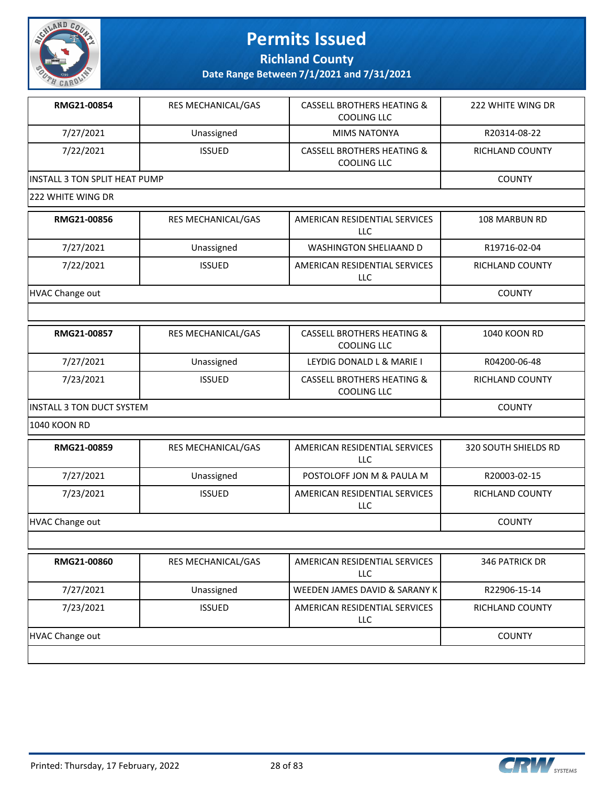

**Richland County**

| RMG21-00854                          | RES MECHANICAL/GAS | <b>CASSELL BROTHERS HEATING &amp;</b><br><b>COOLING LLC</b> | 222 WHITE WING DR      |
|--------------------------------------|--------------------|-------------------------------------------------------------|------------------------|
| 7/27/2021                            | Unassigned         | <b>MIMS NATONYA</b>                                         | R20314-08-22           |
| 7/22/2021                            | <b>ISSUED</b>      | <b>CASSELL BROTHERS HEATING &amp;</b><br><b>COOLING LLC</b> | <b>RICHLAND COUNTY</b> |
| <b>INSTALL 3 TON SPLIT HEAT PUMP</b> |                    |                                                             | <b>COUNTY</b>          |
| 222 WHITE WING DR                    |                    |                                                             |                        |
| RMG21-00856                          | RES MECHANICAL/GAS | AMERICAN RESIDENTIAL SERVICES<br><b>LLC</b>                 | <b>108 MARBUN RD</b>   |
| 7/27/2021                            | Unassigned         | WASHINGTON SHELIAAND D                                      | R19716-02-04           |
| 7/22/2021                            | <b>ISSUED</b>      | AMERICAN RESIDENTIAL SERVICES<br><b>LLC</b>                 | RICHLAND COUNTY        |
| <b>HVAC Change out</b>               |                    |                                                             | <b>COUNTY</b>          |
|                                      |                    |                                                             |                        |
| RMG21-00857                          | RES MECHANICAL/GAS | <b>CASSELL BROTHERS HEATING &amp;</b><br><b>COOLING LLC</b> | 1040 KOON RD           |
| 7/27/2021                            | Unassigned         | LEYDIG DONALD L & MARIE I                                   | R04200-06-48           |
| 7/23/2021                            | <b>ISSUED</b>      | <b>CASSELL BROTHERS HEATING &amp;</b><br><b>COOLING LLC</b> | <b>RICHLAND COUNTY</b> |
| <b>INSTALL 3 TON DUCT SYSTEM</b>     |                    | <b>COUNTY</b>                                               |                        |
| 1040 KOON RD                         |                    |                                                             |                        |
| RMG21-00859                          | RES MECHANICAL/GAS | AMERICAN RESIDENTIAL SERVICES<br>LLC                        | 320 SOUTH SHIELDS RD   |
| 7/27/2021                            | Unassigned         | POSTOLOFF JON M & PAULA M                                   | R20003-02-15           |
| 7/23/2021                            | <b>ISSUED</b>      | AMERICAN RESIDENTIAL SERVICES<br><b>LLC</b>                 | RICHLAND COUNTY        |
| <b>HVAC Change out</b>               |                    |                                                             | <b>COUNTY</b>          |
|                                      |                    |                                                             |                        |
| RMG21-00860                          | RES MECHANICAL/GAS | AMERICAN RESIDENTIAL SERVICES<br><b>LLC</b>                 | <b>346 PATRICK DR</b>  |
| 7/27/2021                            | Unassigned         | WEEDEN JAMES DAVID & SARANY K                               | R22906-15-14           |
| 7/23/2021                            | <b>ISSUED</b>      | AMERICAN RESIDENTIAL SERVICES<br>LLC                        | RICHLAND COUNTY        |
| <b>HVAC Change out</b>               |                    |                                                             | <b>COUNTY</b>          |
|                                      |                    |                                                             |                        |

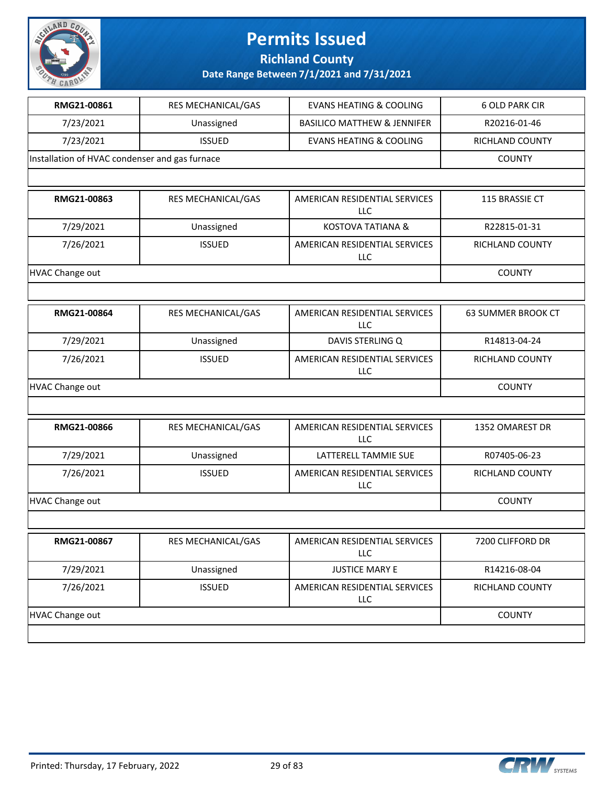

#### **Richland County**

| RMG21-00861                                    | RES MECHANICAL/GAS        | <b>EVANS HEATING &amp; COOLING</b>          | <b>6 OLD PARK CIR</b> |
|------------------------------------------------|---------------------------|---------------------------------------------|-----------------------|
| 7/23/2021                                      | Unassigned                | <b>BASILICO MATTHEW &amp; JENNIFER</b>      | R20216-01-46          |
| 7/23/2021                                      | <b>ISSUED</b>             | <b>EVANS HEATING &amp; COOLING</b>          | RICHLAND COUNTY       |
| Installation of HVAC condenser and gas furnace |                           |                                             | <b>COUNTY</b>         |
|                                                |                           |                                             |                       |
| RMG21-00863                                    | RES MECHANICAL/GAS        | AMERICAN RESIDENTIAL SERVICES<br>LLC        | 115 BRASSIE CT        |
| 7/29/2021                                      | Unassigned                | <b>KOSTOVA TATIANA &amp;</b>                | R22815-01-31          |
| 7/26/2021                                      | <b>ISSUED</b>             | AMERICAN RESIDENTIAL SERVICES<br><b>LLC</b> | RICHLAND COUNTY       |
| <b>HVAC Change out</b>                         |                           |                                             | <b>COUNTY</b>         |
|                                                |                           |                                             |                       |
| RMG21-00864                                    | RES MECHANICAL/GAS        | AMERICAN RESIDENTIAL SERVICES<br>LLC        | 63 SUMMER BROOK CT    |
| 7/29/2021                                      | Unassigned                | DAVIS STERLING Q                            | R14813-04-24          |
| 7/26/2021                                      | <b>ISSUED</b>             | AMERICAN RESIDENTIAL SERVICES<br>LLC        | RICHLAND COUNTY       |
| <b>HVAC Change out</b>                         |                           |                                             | <b>COUNTY</b>         |
|                                                |                           |                                             |                       |
| RMG21-00866                                    | RES MECHANICAL/GAS        | AMERICAN RESIDENTIAL SERVICES<br>LLC        | 1352 OMAREST DR       |
| 7/29/2021                                      | Unassigned                | LATTERELL TAMMIE SUE                        | R07405-06-23          |
| 7/26/2021                                      | <b>ISSUED</b>             | AMERICAN RESIDENTIAL SERVICES<br>LLC        | RICHLAND COUNTY       |
| <b>HVAC Change out</b>                         |                           |                                             | <b>COUNTY</b>         |
|                                                |                           |                                             |                       |
| RMG21-00867                                    | <b>RES MECHANICAL/GAS</b> | AMERICAN RESIDENTIAL SERVICES<br>LLC        | 7200 CLIFFORD DR      |
| 7/29/2021                                      | Unassigned                | <b>JUSTICE MARY E</b>                       | R14216-08-04          |
| 7/26/2021                                      | <b>ISSUED</b>             | AMERICAN RESIDENTIAL SERVICES<br>LLC        | RICHLAND COUNTY       |
| <b>HVAC Change out</b>                         |                           |                                             | <b>COUNTY</b>         |
|                                                |                           |                                             |                       |

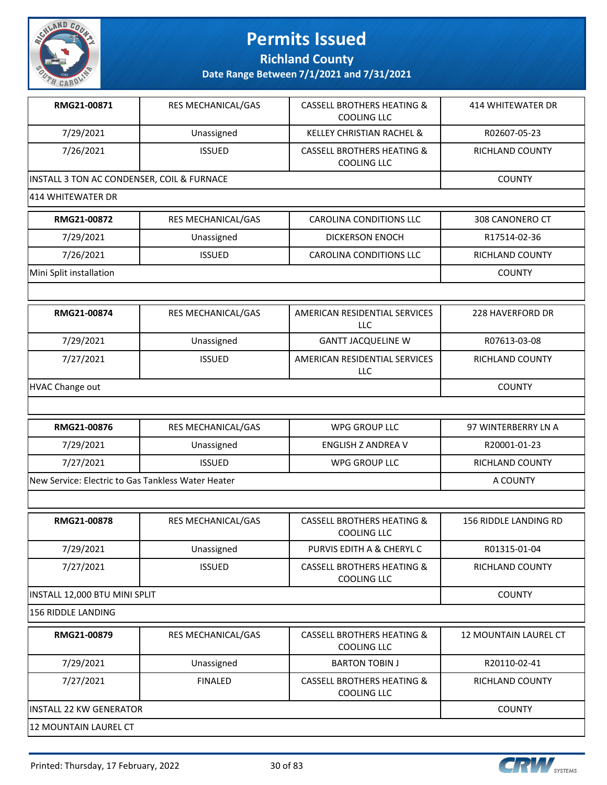

**Richland County**

| RMG21-00871                                        | RES MECHANICAL/GAS | <b>CASSELL BROTHERS HEATING &amp;</b><br><b>COOLING LLC</b> | <b>414 WHITEWATER DR</b>     |
|----------------------------------------------------|--------------------|-------------------------------------------------------------|------------------------------|
| 7/29/2021                                          | Unassigned         | <b>KELLEY CHRISTIAN RACHEL &amp;</b>                        | R02607-05-23                 |
| 7/26/2021                                          | <b>ISSUED</b>      | <b>CASSELL BROTHERS HEATING &amp;</b><br>COOLING LLC        | RICHLAND COUNTY              |
| INSTALL 3 TON AC CONDENSER, COIL & FURNACE         |                    |                                                             | <b>COUNTY</b>                |
| 414 WHITEWATER DR                                  |                    |                                                             |                              |
| RMG21-00872                                        | RES MECHANICAL/GAS | CAROLINA CONDITIONS LLC                                     | 308 CANONERO CT              |
| 7/29/2021                                          | Unassigned         | <b>DICKERSON ENOCH</b>                                      | R17514-02-36                 |
| 7/26/2021                                          | <b>ISSUED</b>      | CAROLINA CONDITIONS LLC                                     | RICHLAND COUNTY              |
| Mini Split installation                            |                    |                                                             | <b>COUNTY</b>                |
|                                                    |                    |                                                             |                              |
| RMG21-00874                                        | RES MECHANICAL/GAS | AMERICAN RESIDENTIAL SERVICES<br><b>LLC</b>                 | 228 HAVERFORD DR             |
| 7/29/2021                                          | Unassigned         | <b>GANTT JACQUELINE W</b>                                   | R07613-03-08                 |
| 7/27/2021                                          | <b>ISSUED</b>      | AMERICAN RESIDENTIAL SERVICES<br><b>LLC</b>                 | RICHLAND COUNTY              |
| HVAC Change out                                    |                    |                                                             | <b>COUNTY</b>                |
|                                                    |                    |                                                             |                              |
| RMG21-00876                                        | RES MECHANICAL/GAS | <b>WPG GROUP LLC</b>                                        | 97 WINTERBERRY LN A          |
| 7/29/2021                                          | Unassigned         | <b>ENGLISH Z ANDREA V</b>                                   | R20001-01-23                 |
| 7/27/2021                                          | <b>ISSUED</b>      | WPG GROUP LLC                                               | RICHLAND COUNTY              |
| New Service: Electric to Gas Tankless Water Heater |                    |                                                             | A COUNTY                     |
|                                                    |                    |                                                             |                              |
| RMG21-00878                                        | RES MECHANICAL/GAS | <b>CASSELL BROTHERS HEATING &amp;</b><br>COOLING LLC        | <b>156 RIDDLE LANDING RD</b> |
| 7/29/2021                                          | Unassigned         | PURVIS EDITH A & CHERYL C                                   | R01315-01-04                 |
| 7/27/2021                                          | <b>ISSUED</b>      | <b>CASSELL BROTHERS HEATING &amp;</b><br>COOLING LLC        | RICHLAND COUNTY              |
| INSTALL 12,000 BTU MINI SPLIT                      |                    |                                                             | <b>COUNTY</b>                |
| 156 RIDDLE LANDING                                 |                    |                                                             |                              |
| RMG21-00879                                        | RES MECHANICAL/GAS | <b>CASSELL BROTHERS HEATING &amp;</b><br><b>COOLING LLC</b> | <b>12 MOUNTAIN LAUREL CT</b> |
| 7/29/2021                                          | Unassigned         | <b>BARTON TOBIN J</b>                                       | R20110-02-41                 |
| 7/27/2021                                          | <b>FINALED</b>     | <b>CASSELL BROTHERS HEATING &amp;</b><br><b>COOLING LLC</b> | RICHLAND COUNTY              |
| <b>INSTALL 22 KW GENERATOR</b>                     |                    |                                                             | <b>COUNTY</b>                |
| 12 MOUNTAIN LAUREL CT                              |                    |                                                             |                              |

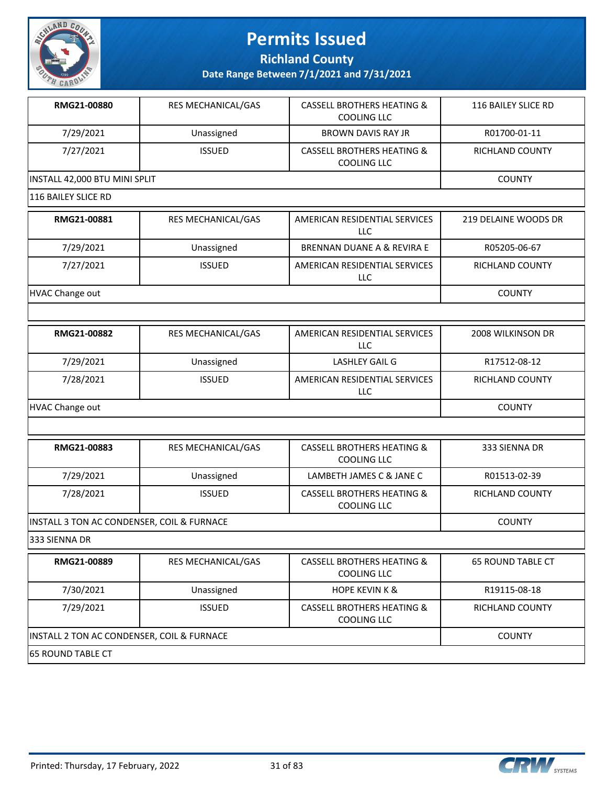

**Richland County**

**Date Range Between 7/1/2021 and 7/31/2021**

| RMG21-00880                                | RES MECHANICAL/GAS        | <b>CASSELL BROTHERS HEATING &amp;</b><br><b>COOLING LLC</b> | 116 BAILEY SLICE RD      |
|--------------------------------------------|---------------------------|-------------------------------------------------------------|--------------------------|
| 7/29/2021                                  | Unassigned                | <b>BROWN DAVIS RAY JR</b>                                   | R01700-01-11             |
| 7/27/2021                                  | <b>ISSUED</b>             | <b>CASSELL BROTHERS HEATING &amp;</b><br><b>COOLING LLC</b> | RICHLAND COUNTY          |
| INSTALL 42,000 BTU MINI SPLIT              | <b>COUNTY</b>             |                                                             |                          |
| 116 BAILEY SLICE RD                        |                           |                                                             |                          |
| RMG21-00881                                | RES MECHANICAL/GAS        | AMERICAN RESIDENTIAL SERVICES<br>LLC                        | 219 DELAINE WOODS DR     |
| 7/29/2021                                  | Unassigned                | BRENNAN DUANE A & REVIRA E                                  | R05205-06-67             |
| 7/27/2021                                  | <b>ISSUED</b>             | AMERICAN RESIDENTIAL SERVICES<br>LLC                        | RICHLAND COUNTY          |
| <b>HVAC Change out</b>                     |                           |                                                             | <b>COUNTY</b>            |
|                                            |                           |                                                             |                          |
| RMG21-00882                                | RES MECHANICAL/GAS        | AMERICAN RESIDENTIAL SERVICES<br><b>LLC</b>                 | 2008 WILKINSON DR        |
| 7/29/2021                                  | Unassigned                | LASHLEY GAIL G                                              | R17512-08-12             |
| 7/28/2021                                  | <b>ISSUED</b>             | AMERICAN RESIDENTIAL SERVICES<br>LLC                        | RICHLAND COUNTY          |
| HVAC Change out                            |                           |                                                             | <b>COUNTY</b>            |
|                                            |                           |                                                             |                          |
| RMG21-00883                                | RES MECHANICAL/GAS        | <b>CASSELL BROTHERS HEATING &amp;</b><br>COOLING LLC        | 333 SIENNA DR            |
| 7/29/2021                                  | Unassigned                | LAMBETH JAMES C & JANE C                                    | R01513-02-39             |
| 7/28/2021                                  | <b>ISSUED</b>             | <b>CASSELL BROTHERS HEATING &amp;</b><br>COOLING LLC        | RICHLAND COUNTY          |
| INSTALL 3 TON AC CONDENSER, COIL & FURNACE |                           |                                                             | <b>COUNTY</b>            |
| 333 SIENNA DR                              |                           |                                                             |                          |
| RMG21-00889                                | <b>RES MECHANICAL/GAS</b> | <b>CASSELL BROTHERS HEATING &amp;</b><br>COOLING LLC        | <b>65 ROUND TABLE CT</b> |
| 7/30/2021                                  | Unassigned                | <b>HOPE KEVIN K &amp;</b>                                   | R19115-08-18             |
| 7/29/2021                                  | <b>ISSUED</b>             | <b>CASSELL BROTHERS HEATING &amp;</b><br><b>COOLING LLC</b> | RICHLAND COUNTY          |
| INSTALL 2 TON AC CONDENSER, COIL & FURNACE |                           |                                                             | <b>COUNTY</b>            |
|                                            |                           |                                                             |                          |

65 ROUND TABLE CT

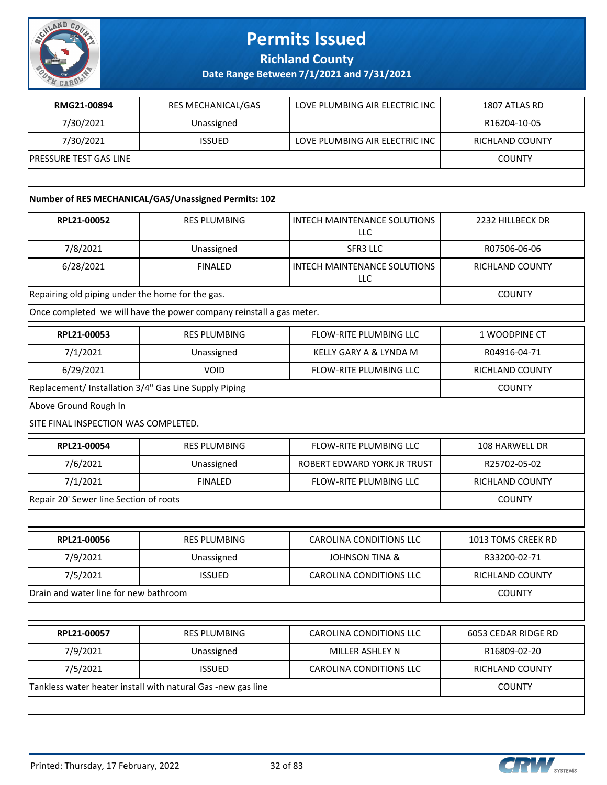

**Richland County**

**Date Range Between 7/1/2021 and 7/31/2021**

| RMG21-00894                    | <b>RES MECHANICAL/GAS</b> | LOVE PLUMBING AIR ELECTRIC INC | 1807 ATLAS RD   |
|--------------------------------|---------------------------|--------------------------------|-----------------|
| 7/30/2021                      | Unassigned                |                                | R16204-10-05    |
| 7/30/2021                      | <b>ISSUED</b>             | LOVE PLUMBING AIR ELECTRIC INC | RICHLAND COUNTY |
| <b>IPRESSURE TEST GAS LINE</b> |                           |                                | <b>COUNTY</b>   |
|                                |                           |                                |                 |

#### **Number of RES MECHANICAL/GAS/Unassigned Permits: 102**

| RPL21-00052                                           | <b>RES PLUMBING</b>                                                  | <b>INTECH MAINTENANCE SOLUTIONS</b><br><b>LLC</b> | 2232 HILLBECK DR       |
|-------------------------------------------------------|----------------------------------------------------------------------|---------------------------------------------------|------------------------|
| 7/8/2021                                              | Unassigned                                                           | SFR3 LLC                                          | R07506-06-06           |
| 6/28/2021                                             | <b>FINALED</b>                                                       | <b>INTECH MAINTENANCE SOLUTIONS</b><br>LLC        | <b>RICHLAND COUNTY</b> |
| Repairing old piping under the home for the gas.      |                                                                      |                                                   | <b>COUNTY</b>          |
|                                                       | Once completed we will have the power company reinstall a gas meter. |                                                   |                        |
| RPL21-00053                                           | <b>RES PLUMBING</b>                                                  | FLOW-RITE PLUMBING LLC                            | 1 WOODPINE CT          |
| 7/1/2021                                              | Unassigned                                                           | KELLY GARY A & LYNDA M                            | R04916-04-71           |
| 6/29/2021                                             | VOID                                                                 | <b>FLOW-RITE PLUMBING LLC</b>                     | <b>RICHLAND COUNTY</b> |
| Replacement/ Installation 3/4" Gas Line Supply Piping |                                                                      |                                                   | <b>COUNTY</b>          |
| Above Ground Rough In                                 |                                                                      |                                                   |                        |
| SITE FINAL INSPECTION WAS COMPLETED.                  |                                                                      |                                                   |                        |
| RPL21-00054                                           | <b>RES PLUMBING</b>                                                  | <b>FLOW-RITE PLUMBING LLC</b>                     | 108 HARWELL DR         |
| 7/6/2021                                              | Unassigned                                                           | ROBERT EDWARD YORK JR TRUST                       | R25702-05-02           |
| 7/1/2021                                              | <b>FINALED</b>                                                       | FLOW-RITE PLUMBING LLC                            | RICHLAND COUNTY        |
| Repair 20' Sewer line Section of roots                |                                                                      |                                                   | <b>COUNTY</b>          |
|                                                       |                                                                      |                                                   |                        |
| RPL21-00056                                           | <b>RES PLUMBING</b>                                                  | <b>CAROLINA CONDITIONS LLC</b>                    | 1013 TOMS CREEK RD     |
| 7/9/2021                                              | Unassigned                                                           | <b>JOHNSON TINA &amp;</b>                         | R33200-02-71           |
| 7/5/2021                                              | <b>ISSUED</b>                                                        | <b>CAROLINA CONDITIONS LLC</b>                    | RICHLAND COUNTY        |
| Drain and water line for new bathroom                 |                                                                      |                                                   | <b>COUNTY</b>          |
|                                                       |                                                                      |                                                   |                        |
| RPL21-00057                                           | <b>RES PLUMBING</b>                                                  | <b>CAROLINA CONDITIONS LLC</b>                    | 6053 CEDAR RIDGE RD    |
| 7/9/2021                                              | Unassigned                                                           | MILLER ASHLEY N                                   | R16809-02-20           |
| 7/5/2021                                              | <b>ISSUED</b>                                                        | <b>CAROLINA CONDITIONS LLC</b>                    | RICHLAND COUNTY        |
|                                                       | Tankless water heater install with natural Gas -new gas line         |                                                   | <b>COUNTY</b>          |
|                                                       |                                                                      |                                                   |                        |

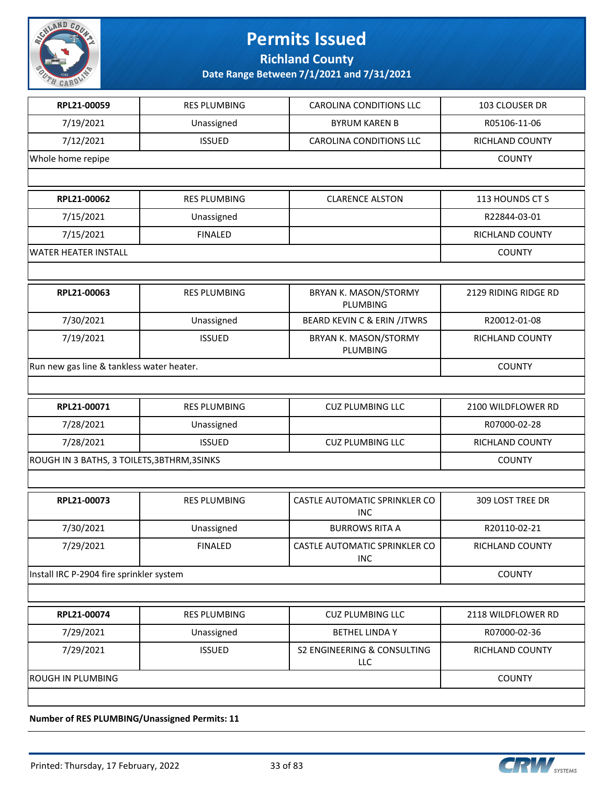

**Richland County**

#### **Date Range Between 7/1/2021 and 7/31/2021**

| RPL21-00059                                 | <b>RES PLUMBING</b> | <b>CAROLINA CONDITIONS LLC</b>                       | 103 CLOUSER DR       |
|---------------------------------------------|---------------------|------------------------------------------------------|----------------------|
| 7/19/2021                                   | Unassigned          | <b>BYRUM KAREN B</b>                                 | R05106-11-06         |
| 7/12/2021                                   | <b>ISSUED</b>       | <b>CAROLINA CONDITIONS LLC</b>                       | RICHLAND COUNTY      |
| Whole home repipe                           |                     |                                                      | <b>COUNTY</b>        |
|                                             |                     |                                                      |                      |
| RPL21-00062                                 | <b>RES PLUMBING</b> | <b>CLARENCE ALSTON</b>                               | 113 HOUNDS CT S      |
| 7/15/2021                                   | Unassigned          |                                                      | R22844-03-01         |
| 7/15/2021                                   | <b>FINALED</b>      |                                                      | RICHLAND COUNTY      |
| <b>WATER HEATER INSTALL</b>                 |                     |                                                      | <b>COUNTY</b>        |
|                                             |                     |                                                      |                      |
| RPL21-00063                                 | <b>RES PLUMBING</b> | BRYAN K. MASON/STORMY<br><b>PLUMBING</b>             | 2129 RIDING RIDGE RD |
| 7/30/2021                                   | Unassigned          | <b>BEARD KEVIN C &amp; ERIN /JTWRS</b>               | R20012-01-08         |
| 7/19/2021                                   | <b>ISSUED</b>       | BRYAN K. MASON/STORMY<br><b>PLUMBING</b>             | RICHLAND COUNTY      |
| Run new gas line & tankless water heater.   |                     |                                                      | <b>COUNTY</b>        |
|                                             |                     |                                                      |                      |
| RPL21-00071                                 | <b>RES PLUMBING</b> | <b>CUZ PLUMBING LLC</b>                              | 2100 WILDFLOWER RD   |
| 7/28/2021                                   | Unassigned          |                                                      | R07000-02-28         |
| 7/28/2021                                   | <b>ISSUED</b>       | <b>CUZ PLUMBING LLC</b>                              | RICHLAND COUNTY      |
| ROUGH IN 3 BATHS, 3 TOILETS, 3BTHRM, 3SINKS |                     |                                                      | <b>COUNTY</b>        |
|                                             |                     |                                                      |                      |
| RPL21-00073                                 | <b>RES PLUMBING</b> | CASTLE AUTOMATIC SPRINKLER CO<br><b>INC</b>          | 309 LOST TREE DR     |
| 7/30/2021                                   | Unassigned          | <b>BURROWS RITA A</b>                                | R20110-02-21         |
| 7/29/2021                                   | <b>FINALED</b>      | CASTLE AUTOMATIC SPRINKLER CO<br><b>INC</b>          | RICHLAND COUNTY      |
| Install IRC P-2904 fire sprinkler system    |                     |                                                      | <b>COUNTY</b>        |
|                                             |                     |                                                      |                      |
| RPL21-00074                                 | <b>RES PLUMBING</b> | <b>CUZ PLUMBING LLC</b>                              | 2118 WILDFLOWER RD   |
| 7/29/2021                                   | Unassigned          | <b>BETHEL LINDA Y</b>                                | R07000-02-36         |
| 7/29/2021                                   | <b>ISSUED</b>       | <b>S2 ENGINEERING &amp; CONSULTING</b><br><b>LLC</b> | RICHLAND COUNTY      |
| <b>ROUGH IN PLUMBING</b>                    |                     |                                                      | <b>COUNTY</b>        |
|                                             |                     |                                                      |                      |

**Number of RES PLUMBING/Unassigned Permits: 11**

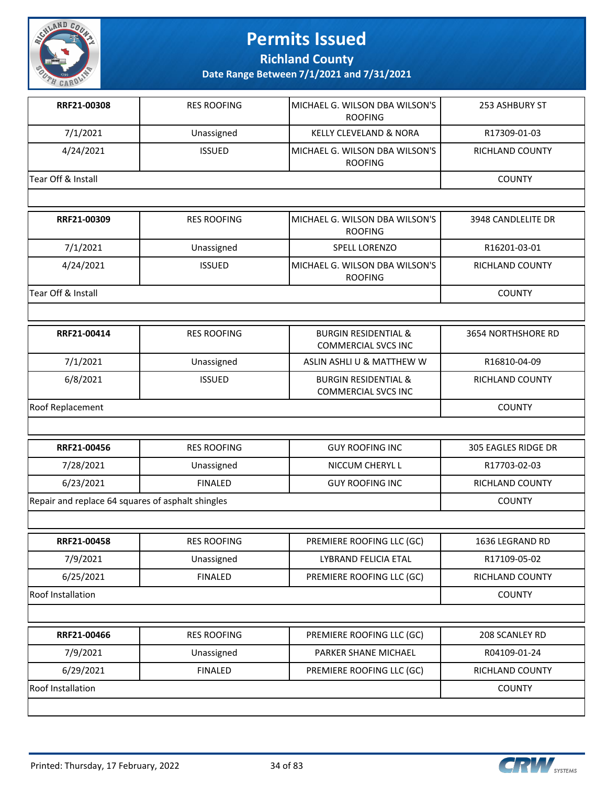

**Richland County**

| RRF21-00308                                       | <b>RES ROOFING</b> | MICHAEL G. WILSON DBA WILSON'S<br><b>ROOFING</b>              | 253 ASHBURY ST            |
|---------------------------------------------------|--------------------|---------------------------------------------------------------|---------------------------|
| 7/1/2021                                          | Unassigned         | <b>KELLY CLEVELAND &amp; NORA</b>                             | R17309-01-03              |
| 4/24/2021                                         | <b>ISSUED</b>      | MICHAEL G. WILSON DBA WILSON'S<br><b>ROOFING</b>              | <b>RICHLAND COUNTY</b>    |
| Tear Off & Install                                |                    |                                                               | <b>COUNTY</b>             |
|                                                   |                    |                                                               |                           |
| RRF21-00309                                       | <b>RES ROOFING</b> | MICHAEL G. WILSON DBA WILSON'S<br><b>ROOFING</b>              | 3948 CANDLELITE DR        |
| 7/1/2021                                          | Unassigned         | <b>SPELL LORENZO</b>                                          | R16201-03-01              |
| 4/24/2021                                         | <b>ISSUED</b>      | MICHAEL G. WILSON DBA WILSON'S<br><b>ROOFING</b>              | RICHLAND COUNTY           |
| Tear Off & Install                                |                    |                                                               | <b>COUNTY</b>             |
|                                                   |                    |                                                               |                           |
| RRF21-00414                                       | <b>RES ROOFING</b> | <b>BURGIN RESIDENTIAL &amp;</b><br><b>COMMERCIAL SVCS INC</b> | <b>3654 NORTHSHORE RD</b> |
| 7/1/2021                                          | Unassigned         | ASLIN ASHLI U & MATTHEW W                                     | R16810-04-09              |
| 6/8/2021                                          | <b>ISSUED</b>      | <b>BURGIN RESIDENTIAL &amp;</b><br><b>COMMERCIAL SVCS INC</b> | <b>RICHLAND COUNTY</b>    |
| Roof Replacement                                  |                    |                                                               | <b>COUNTY</b>             |
|                                                   |                    |                                                               |                           |
| RRF21-00456                                       | <b>RES ROOFING</b> | <b>GUY ROOFING INC</b>                                        | 305 EAGLES RIDGE DR       |
| 7/28/2021                                         | Unassigned         | NICCUM CHERYL L                                               | R17703-02-03              |
| 6/23/2021                                         | <b>FINALED</b>     | <b>GUY ROOFING INC</b>                                        | RICHLAND COUNTY           |
| Repair and replace 64 squares of asphalt shingles |                    |                                                               | <b>COUNTY</b>             |
|                                                   |                    |                                                               |                           |
| RRF21-00458                                       | <b>RES ROOFING</b> | PREMIERE ROOFING LLC (GC)                                     | 1636 LEGRAND RD           |
| 7/9/2021                                          | Unassigned         | LYBRAND FELICIA ETAL                                          | R17109-05-02              |
| 6/25/2021                                         | <b>FINALED</b>     | PREMIERE ROOFING LLC (GC)                                     | RICHLAND COUNTY           |
| Roof Installation                                 |                    |                                                               | <b>COUNTY</b>             |
|                                                   |                    |                                                               |                           |
| RRF21-00466                                       | <b>RES ROOFING</b> | PREMIERE ROOFING LLC (GC)                                     | 208 SCANLEY RD            |
| 7/9/2021                                          | Unassigned         | PARKER SHANE MICHAEL                                          | R04109-01-24              |
| 6/29/2021                                         | <b>FINALED</b>     | PREMIERE ROOFING LLC (GC)                                     | RICHLAND COUNTY           |
| Roof Installation                                 |                    |                                                               | <b>COUNTY</b>             |
|                                                   |                    |                                                               |                           |

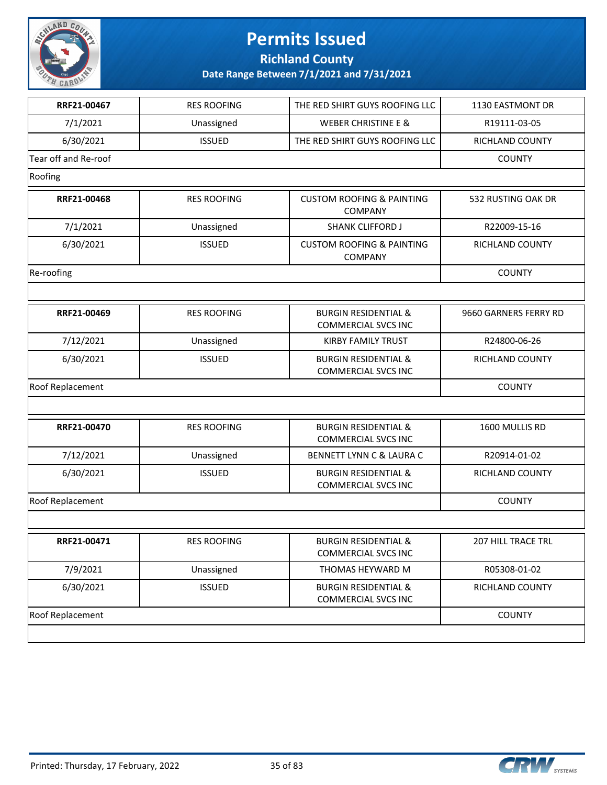

**Richland County**

| RRF21-00467             | <b>RES ROOFING</b> | THE RED SHIRT GUYS ROOFING LLC                                | 1130 EASTMONT DR      |
|-------------------------|--------------------|---------------------------------------------------------------|-----------------------|
| 7/1/2021                | Unassigned         | <b>WEBER CHRISTINE E &amp;</b>                                | R19111-03-05          |
| 6/30/2021               | <b>ISSUED</b>      | THE RED SHIRT GUYS ROOFING LLC                                | RICHLAND COUNTY       |
| Tear off and Re-roof    |                    |                                                               | <b>COUNTY</b>         |
| Roofing                 |                    |                                                               |                       |
| RRF21-00468             | <b>RES ROOFING</b> | <b>CUSTOM ROOFING &amp; PAINTING</b><br><b>COMPANY</b>        | 532 RUSTING OAK DR    |
| 7/1/2021                | Unassigned         | <b>SHANK CLIFFORD J</b>                                       | R22009-15-16          |
| 6/30/2021               | <b>ISSUED</b>      | <b>CUSTOM ROOFING &amp; PAINTING</b><br>COMPANY               | RICHLAND COUNTY       |
| Re-roofing              |                    |                                                               | <b>COUNTY</b>         |
|                         |                    |                                                               |                       |
| RRF21-00469             | <b>RES ROOFING</b> | <b>BURGIN RESIDENTIAL &amp;</b><br><b>COMMERCIAL SVCS INC</b> | 9660 GARNERS FERRY RD |
| 7/12/2021               | Unassigned         | <b>KIRBY FAMILY TRUST</b>                                     | R24800-06-26          |
| 6/30/2021               | <b>ISSUED</b>      | <b>BURGIN RESIDENTIAL &amp;</b><br><b>COMMERCIAL SVCS INC</b> | RICHLAND COUNTY       |
| <b>Roof Replacement</b> |                    |                                                               | <b>COUNTY</b>         |
|                         |                    |                                                               |                       |
| RRF21-00470             | <b>RES ROOFING</b> | <b>BURGIN RESIDENTIAL &amp;</b><br><b>COMMERCIAL SVCS INC</b> | 1600 MULLIS RD        |
| 7/12/2021               | Unassigned         | <b>BENNETT LYNN C &amp; LAURA C</b>                           | R20914-01-02          |
| 6/30/2021               | <b>ISSUED</b>      | <b>BURGIN RESIDENTIAL &amp;</b><br><b>COMMERCIAL SVCS INC</b> | RICHLAND COUNTY       |
| Roof Replacement        |                    |                                                               | <b>COUNTY</b>         |
|                         |                    |                                                               |                       |
| RRF21-00471             | <b>RES ROOFING</b> | <b>BURGIN RESIDENTIAL &amp;</b><br><b>COMMERCIAL SVCS INC</b> | 207 HILL TRACE TRL    |
| 7/9/2021                | Unassigned         | THOMAS HEYWARD M                                              | R05308-01-02          |
| 6/30/2021               | <b>ISSUED</b>      | <b>BURGIN RESIDENTIAL &amp;</b><br><b>COMMERCIAL SVCS INC</b> | RICHLAND COUNTY       |
| <b>Roof Replacement</b> |                    |                                                               | <b>COUNTY</b>         |
|                         |                    |                                                               |                       |

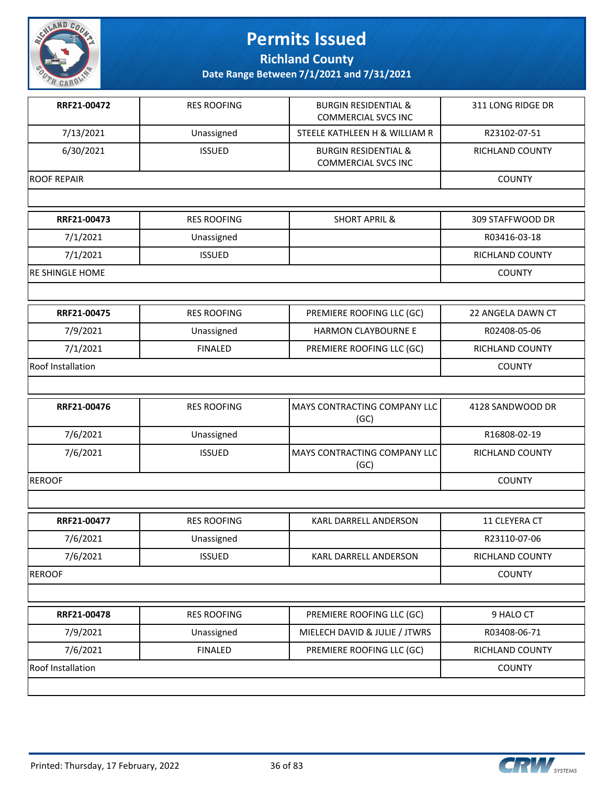

**Richland County**

| RRF21-00472            | <b>RES ROOFING</b> | <b>BURGIN RESIDENTIAL &amp;</b><br><b>COMMERCIAL SVCS INC</b> | 311 LONG RIDGE DR |
|------------------------|--------------------|---------------------------------------------------------------|-------------------|
| 7/13/2021              | Unassigned         | STEELE KATHLEEN H & WILLIAM R                                 | R23102-07-51      |
| 6/30/2021              | <b>ISSUED</b>      | <b>BURGIN RESIDENTIAL &amp;</b><br><b>COMMERCIAL SVCS INC</b> | RICHLAND COUNTY   |
| <b>ROOF REPAIR</b>     |                    |                                                               | <b>COUNTY</b>     |
|                        |                    |                                                               |                   |
| RRF21-00473            | <b>RES ROOFING</b> | <b>SHORT APRIL &amp;</b>                                      | 309 STAFFWOOD DR  |
| 7/1/2021               | Unassigned         |                                                               | R03416-03-18      |
| 7/1/2021               | <b>ISSUED</b>      |                                                               | RICHLAND COUNTY   |
| <b>RE SHINGLE HOME</b> |                    |                                                               | <b>COUNTY</b>     |
|                        |                    |                                                               |                   |
| RRF21-00475            | <b>RES ROOFING</b> | PREMIERE ROOFING LLC (GC)                                     | 22 ANGELA DAWN CT |
| 7/9/2021               | Unassigned         | <b>HARMON CLAYBOURNE E</b>                                    | R02408-05-06      |
| 7/1/2021               | <b>FINALED</b>     | PREMIERE ROOFING LLC (GC)                                     | RICHLAND COUNTY   |
| Roof Installation      |                    |                                                               | <b>COUNTY</b>     |
|                        |                    |                                                               |                   |
| RRF21-00476            | <b>RES ROOFING</b> | MAYS CONTRACTING COMPANY LLC<br>(GC)                          | 4128 SANDWOOD DR  |
| 7/6/2021               | Unassigned         |                                                               | R16808-02-19      |
| 7/6/2021               | <b>ISSUED</b>      | MAYS CONTRACTING COMPANY LLC<br>(GC)                          | RICHLAND COUNTY   |
| <b>REROOF</b>          |                    |                                                               | <b>COUNTY</b>     |
|                        |                    |                                                               |                   |
| RRF21-00477            | <b>RES ROOFING</b> | KARL DARRELL ANDERSON                                         | 11 CLEYERA CT     |
| 7/6/2021               | Unassigned         |                                                               | R23110-07-06      |
| 7/6/2021               | <b>ISSUED</b>      | KARL DARRELL ANDERSON                                         | RICHLAND COUNTY   |
| <b>REROOF</b>          |                    |                                                               | <b>COUNTY</b>     |
|                        |                    |                                                               |                   |
| RRF21-00478            |                    | PREMIERE ROOFING LLC (GC)                                     | 9 HALO CT         |
|                        | <b>RES ROOFING</b> |                                                               |                   |
| 7/9/2021               | Unassigned         | MIELECH DAVID & JULIE / JTWRS                                 | R03408-06-71      |
| 7/6/2021               | <b>FINALED</b>     | PREMIERE ROOFING LLC (GC)                                     | RICHLAND COUNTY   |
| Roof Installation      |                    |                                                               | <b>COUNTY</b>     |

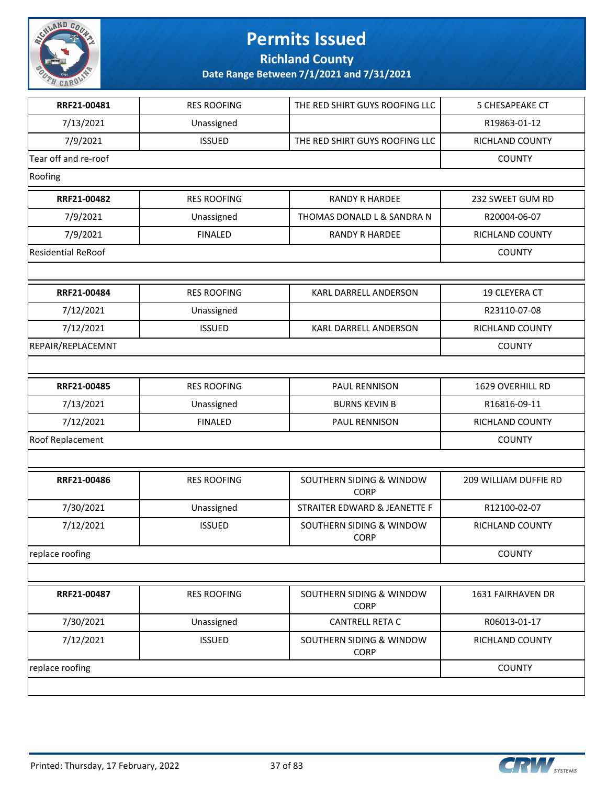

**Richland County**

| RRF21-00481               | <b>RES ROOFING</b> | THE RED SHIRT GUYS ROOFING LLC          | <b>5 CHESAPEAKE CT</b> |
|---------------------------|--------------------|-----------------------------------------|------------------------|
| 7/13/2021                 | Unassigned         |                                         | R19863-01-12           |
| 7/9/2021                  | <b>ISSUED</b>      | THE RED SHIRT GUYS ROOFING LLC          | RICHLAND COUNTY        |
| Tear off and re-roof      |                    |                                         | <b>COUNTY</b>          |
| Roofing                   |                    |                                         |                        |
| RRF21-00482               | <b>RES ROOFING</b> | <b>RANDY R HARDEE</b>                   | 232 SWEET GUM RD       |
| 7/9/2021                  | Unassigned         | THOMAS DONALD L & SANDRA N              | R20004-06-07           |
| 7/9/2021                  | <b>FINALED</b>     | <b>RANDY R HARDEE</b>                   | RICHLAND COUNTY        |
| <b>Residential ReRoof</b> |                    |                                         | <b>COUNTY</b>          |
|                           |                    |                                         |                        |
| RRF21-00484               | <b>RES ROOFING</b> | KARL DARRELL ANDERSON                   | 19 CLEYERA CT          |
| 7/12/2021                 | Unassigned         |                                         | R23110-07-08           |
| 7/12/2021                 | <b>ISSUED</b>      | KARL DARRELL ANDERSON                   | RICHLAND COUNTY        |
| REPAIR/REPLACEMNT         |                    |                                         | <b>COUNTY</b>          |
|                           |                    |                                         |                        |
| RRF21-00485               | <b>RES ROOFING</b> | PAUL RENNISON                           | 1629 OVERHILL RD       |
| 7/13/2021                 | Unassigned         | <b>BURNS KEVIN B</b>                    | R16816-09-11           |
| 7/12/2021                 | <b>FINALED</b>     | PAUL RENNISON                           | RICHLAND COUNTY        |
| Roof Replacement          |                    |                                         | <b>COUNTY</b>          |
|                           |                    |                                         |                        |
| RRF21-00486               | <b>RES ROOFING</b> | SOUTHERN SIDING & WINDOW<br><b>CORP</b> | 209 WILLIAM DUFFIE RD  |
| 7/30/2021                 | Unassigned         | STRAITER EDWARD & JEANETTE F            | R12100-02-07           |
| 7/12/2021                 | <b>ISSUED</b>      | SOUTHERN SIDING & WINDOW<br><b>CORP</b> | <b>RICHLAND COUNTY</b> |
| replace roofing           |                    |                                         | <b>COUNTY</b>          |
|                           |                    |                                         |                        |
| RRF21-00487               | <b>RES ROOFING</b> | SOUTHERN SIDING & WINDOW<br><b>CORP</b> | 1631 FAIRHAVEN DR      |
| 7/30/2021                 | Unassigned         | <b>CANTRELL RETA C</b>                  | R06013-01-17           |
| 7/12/2021                 | <b>ISSUED</b>      | SOUTHERN SIDING & WINDOW<br><b>CORP</b> | RICHLAND COUNTY        |
| replace roofing           |                    |                                         | <b>COUNTY</b>          |
|                           |                    |                                         |                        |

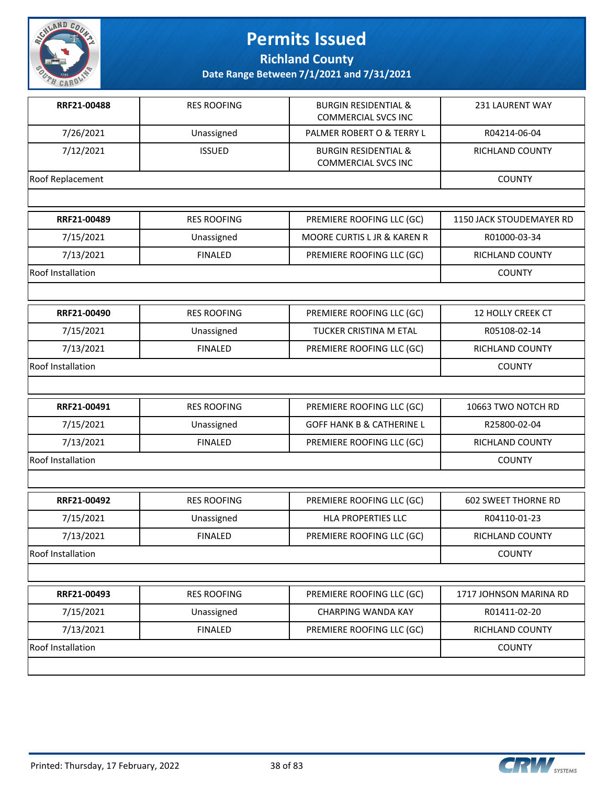

**Richland County**

| RRF21-00488       | <b>RES ROOFING</b> | <b>BURGIN RESIDENTIAL &amp;</b><br><b>COMMERCIAL SVCS INC</b> | 231 LAURENT WAY            |
|-------------------|--------------------|---------------------------------------------------------------|----------------------------|
| 7/26/2021         | Unassigned         | PALMER ROBERT O & TERRY L                                     | R04214-06-04               |
| 7/12/2021         | <b>ISSUED</b>      | <b>BURGIN RESIDENTIAL &amp;</b><br><b>COMMERCIAL SVCS INC</b> | RICHLAND COUNTY            |
| Roof Replacement  |                    |                                                               | <b>COUNTY</b>              |
|                   |                    |                                                               |                            |
| RRF21-00489       | <b>RES ROOFING</b> | PREMIERE ROOFING LLC (GC)                                     | 1150 JACK STOUDEMAYER RD   |
| 7/15/2021         | Unassigned         | MOORE CURTIS L JR & KAREN R                                   | R01000-03-34               |
| 7/13/2021         | <b>FINALED</b>     | PREMIERE ROOFING LLC (GC)                                     | RICHLAND COUNTY            |
| Roof Installation |                    |                                                               | <b>COUNTY</b>              |
|                   |                    |                                                               |                            |
| RRF21-00490       | <b>RES ROOFING</b> | PREMIERE ROOFING LLC (GC)                                     | 12 HOLLY CREEK CT          |
| 7/15/2021         | Unassigned         | TUCKER CRISTINA M ETAL                                        | R05108-02-14               |
| 7/13/2021         | <b>FINALED</b>     | PREMIERE ROOFING LLC (GC)                                     | RICHLAND COUNTY            |
| Roof Installation |                    |                                                               | <b>COUNTY</b>              |
|                   |                    |                                                               |                            |
| RRF21-00491       | <b>RES ROOFING</b> | PREMIERE ROOFING LLC (GC)                                     | 10663 TWO NOTCH RD         |
| 7/15/2021         | Unassigned         | <b>GOFF HANK B &amp; CATHERINE L</b>                          | R25800-02-04               |
| 7/13/2021         | <b>FINALED</b>     | PREMIERE ROOFING LLC (GC)                                     | RICHLAND COUNTY            |
| Roof Installation |                    |                                                               | <b>COUNTY</b>              |
|                   |                    |                                                               |                            |
| RRF21-00492       | <b>RES ROOFING</b> | PREMIERE ROOFING LLC (GC)                                     | <b>602 SWEET THORNE RD</b> |
| 7/15/2021         | Unassigned         | <b>HLA PROPERTIES LLC</b>                                     | R04110-01-23               |
| 7/13/2021         | <b>FINALED</b>     | PREMIERE ROOFING LLC (GC)                                     | <b>RICHLAND COUNTY</b>     |
| Roof Installation |                    |                                                               | <b>COUNTY</b>              |
|                   |                    |                                                               |                            |
| RRF21-00493       | <b>RES ROOFING</b> | PREMIERE ROOFING LLC (GC)                                     | 1717 JOHNSON MARINA RD     |
| 7/15/2021         | Unassigned         | <b>CHARPING WANDA KAY</b>                                     | R01411-02-20               |
| 7/13/2021         | <b>FINALED</b>     | PREMIERE ROOFING LLC (GC)                                     | RICHLAND COUNTY            |
| Roof Installation |                    |                                                               | <b>COUNTY</b>              |
|                   |                    |                                                               |                            |

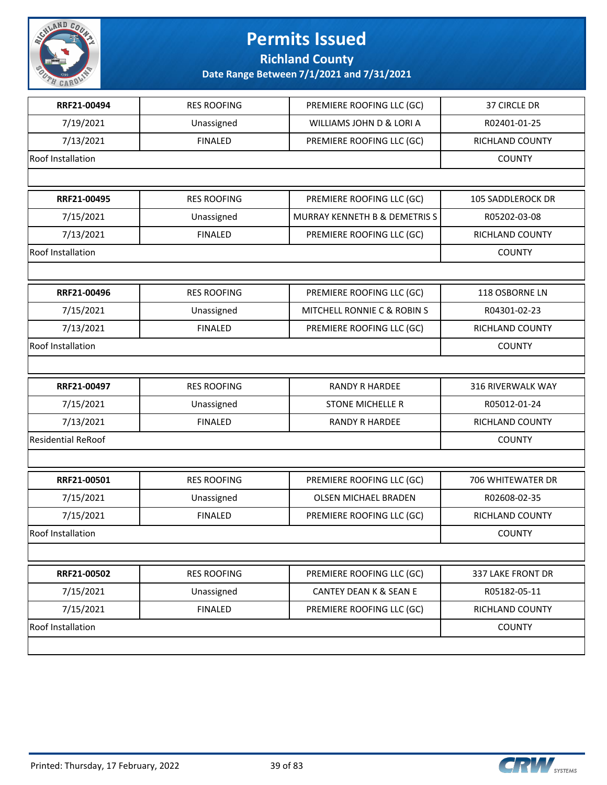

**Richland County**

| RRF21-00494               | <b>RES ROOFING</b> | PREMIERE ROOFING LLC (GC)     | 37 CIRCLE DR             |
|---------------------------|--------------------|-------------------------------|--------------------------|
| 7/19/2021                 | Unassigned         | WILLIAMS JOHN D & LORI A      | R02401-01-25             |
| 7/13/2021                 | <b>FINALED</b>     | PREMIERE ROOFING LLC (GC)     | RICHLAND COUNTY          |
| <b>Roof Installation</b>  |                    |                               | <b>COUNTY</b>            |
|                           |                    |                               |                          |
| RRF21-00495               | <b>RES ROOFING</b> | PREMIERE ROOFING LLC (GC)     | <b>105 SADDLEROCK DR</b> |
| 7/15/2021                 | Unassigned         | MURRAY KENNETH B & DEMETRIS S | R05202-03-08             |
| 7/13/2021                 | <b>FINALED</b>     | PREMIERE ROOFING LLC (GC)     | RICHLAND COUNTY          |
| Roof Installation         |                    |                               | <b>COUNTY</b>            |
|                           |                    |                               |                          |
| RRF21-00496               | <b>RES ROOFING</b> | PREMIERE ROOFING LLC (GC)     | 118 OSBORNE LN           |
| 7/15/2021                 | Unassigned         | MITCHELL RONNIE C & ROBIN S   | R04301-02-23             |
| 7/13/2021                 | <b>FINALED</b>     | PREMIERE ROOFING LLC (GC)     | <b>RICHLAND COUNTY</b>   |
| Roof Installation         |                    |                               | <b>COUNTY</b>            |
|                           |                    |                               |                          |
| RRF21-00497               | <b>RES ROOFING</b> | <b>RANDY R HARDEE</b>         | 316 RIVERWALK WAY        |
| 7/15/2021                 | Unassigned         | <b>STONE MICHELLE R</b>       | R05012-01-24             |
| 7/13/2021                 | <b>FINALED</b>     | <b>RANDY R HARDEE</b>         | RICHLAND COUNTY          |
| <b>Residential ReRoof</b> |                    |                               | <b>COUNTY</b>            |
|                           |                    |                               |                          |
| RRF21-00501               | <b>RES ROOFING</b> | PREMIERE ROOFING LLC (GC)     | 706 WHITEWATER DR        |
| 7/15/2021                 | Unassigned         | <b>OLSEN MICHAEL BRADEN</b>   | R02608-02-35             |
| 7/15/2021                 | <b>FINALED</b>     | PREMIERE ROOFING LLC (GC)     | RICHLAND COUNTY          |
| <b>Roof Installation</b>  |                    |                               | <b>COUNTY</b>            |
|                           |                    |                               |                          |
| RRF21-00502               | <b>RES ROOFING</b> | PREMIERE ROOFING LLC (GC)     | 337 LAKE FRONT DR        |
| 7/15/2021                 | Unassigned         | CANTEY DEAN K & SEAN E        | R05182-05-11             |
| 7/15/2021                 | <b>FINALED</b>     | PREMIERE ROOFING LLC (GC)     | RICHLAND COUNTY          |
| <b>Roof Installation</b>  |                    |                               | <b>COUNTY</b>            |
|                           |                    |                               |                          |

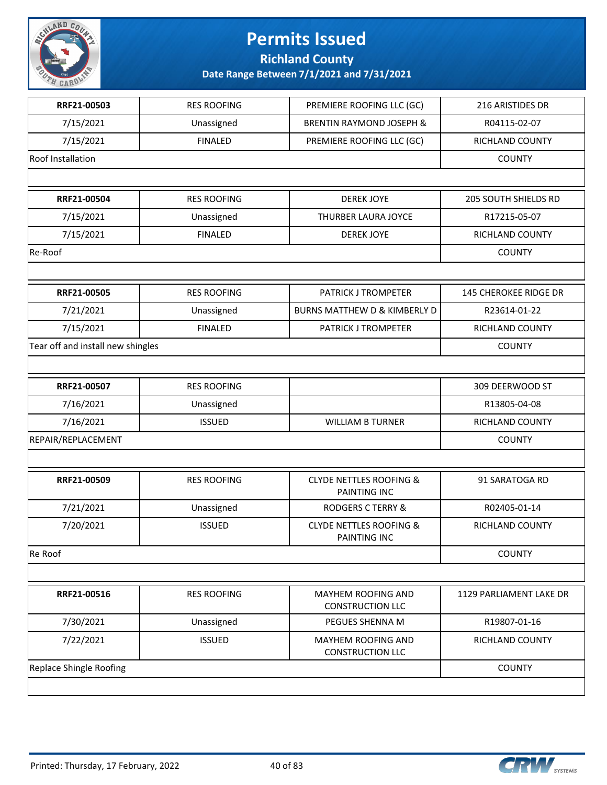

**Richland County**

| RRF21-00503                       | <b>RES ROOFING</b> | PREMIERE ROOFING LLC (GC)                          | 216 ARISTIDES DR             |
|-----------------------------------|--------------------|----------------------------------------------------|------------------------------|
| 7/15/2021                         | Unassigned         | <b>BRENTIN RAYMOND JOSEPH &amp;</b>                | R04115-02-07                 |
| 7/15/2021                         | <b>FINALED</b>     | PREMIERE ROOFING LLC (GC)                          | RICHLAND COUNTY              |
| Roof Installation                 |                    |                                                    | <b>COUNTY</b>                |
|                                   |                    |                                                    |                              |
| RRF21-00504                       | <b>RES ROOFING</b> | <b>DEREK JOYE</b>                                  | <b>205 SOUTH SHIELDS RD</b>  |
| 7/15/2021                         | Unassigned         | THURBER LAURA JOYCE                                | R17215-05-07                 |
| 7/15/2021                         | <b>FINALED</b>     | <b>DEREK JOYE</b>                                  | RICHLAND COUNTY              |
| Re-Roof                           |                    |                                                    | <b>COUNTY</b>                |
|                                   |                    |                                                    |                              |
| RRF21-00505                       | <b>RES ROOFING</b> | PATRICK J TROMPETER                                | <b>145 CHEROKEE RIDGE DR</b> |
| 7/21/2021                         | Unassigned         | <b>BURNS MATTHEW D &amp; KIMBERLY D</b>            | R23614-01-22                 |
| 7/15/2021                         | <b>FINALED</b>     | PATRICK J TROMPETER                                | RICHLAND COUNTY              |
| Tear off and install new shingles |                    |                                                    | <b>COUNTY</b>                |
|                                   |                    |                                                    |                              |
| RRF21-00507                       | <b>RES ROOFING</b> |                                                    | 309 DEERWOOD ST              |
| 7/16/2021                         | Unassigned         |                                                    | R13805-04-08                 |
| 7/16/2021                         | <b>ISSUED</b>      | <b>WILLIAM B TURNER</b>                            | RICHLAND COUNTY              |
| REPAIR/REPLACEMENT                |                    |                                                    | <b>COUNTY</b>                |
|                                   |                    |                                                    |                              |
| RRF21-00509                       | <b>RES ROOFING</b> | <b>CLYDE NETTLES ROOFING &amp;</b><br>PAINTING INC | 91 SARATOGA RD               |
| 7/21/2021                         | Unassigned         | <b>RODGERS C TERRY &amp;</b>                       | R02405-01-14                 |
| 7/20/2021                         | <b>ISSUED</b>      | <b>CLYDE NETTLES ROOFING &amp;</b><br>PAINTING INC | <b>RICHLAND COUNTY</b>       |
| Re Roof                           |                    |                                                    | <b>COUNTY</b>                |
|                                   |                    |                                                    |                              |
| RRF21-00516                       | <b>RES ROOFING</b> | MAYHEM ROOFING AND<br><b>CONSTRUCTION LLC</b>      | 1129 PARLIAMENT LAKE DR      |
| 7/30/2021                         | Unassigned         | PEGUES SHENNA M                                    | R19807-01-16                 |
| 7/22/2021                         | <b>ISSUED</b>      | MAYHEM ROOFING AND<br><b>CONSTRUCTION LLC</b>      | RICHLAND COUNTY              |
| <b>Replace Shingle Roofing</b>    |                    |                                                    | <b>COUNTY</b>                |
|                                   |                    |                                                    |                              |

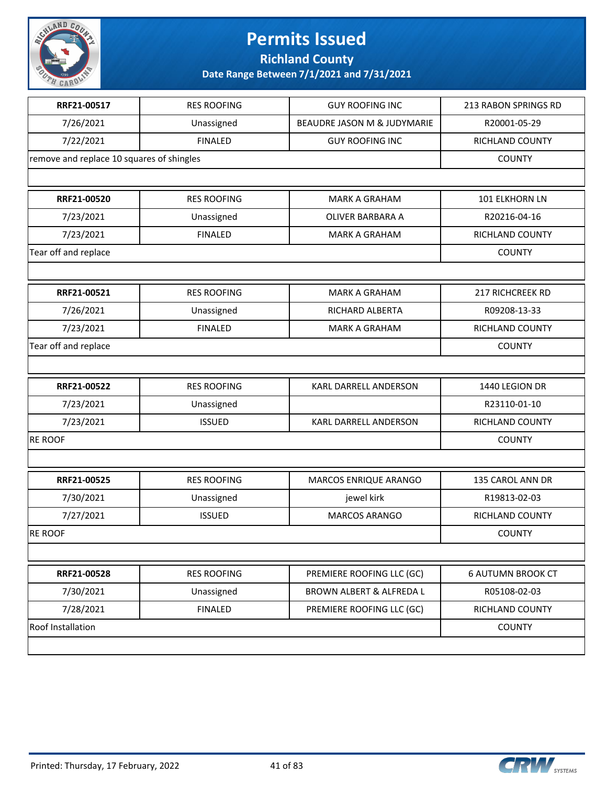

**Richland County**

| RRF21-00517                               | <b>RES ROOFING</b> | <b>GUY ROOFING INC</b>              | 213 RABON SPRINGS RD     |
|-------------------------------------------|--------------------|-------------------------------------|--------------------------|
| 7/26/2021                                 | Unassigned         | BEAUDRE JASON M & JUDYMARIE         | R20001-05-29             |
| 7/22/2021                                 | <b>FINALED</b>     | <b>GUY ROOFING INC</b>              | RICHLAND COUNTY          |
| remove and replace 10 squares of shingles |                    |                                     | <b>COUNTY</b>            |
|                                           |                    |                                     |                          |
| RRF21-00520                               | <b>RES ROOFING</b> | <b>MARK A GRAHAM</b>                | 101 ELKHORN LN           |
| 7/23/2021                                 | Unassigned         | OLIVER BARBARA A                    | R20216-04-16             |
| 7/23/2021                                 | <b>FINALED</b>     | <b>MARK A GRAHAM</b>                | RICHLAND COUNTY          |
| Tear off and replace                      |                    |                                     | <b>COUNTY</b>            |
|                                           |                    |                                     |                          |
| RRF21-00521                               | <b>RES ROOFING</b> | <b>MARK A GRAHAM</b>                | 217 RICHCREEK RD         |
| 7/26/2021                                 | Unassigned         | RICHARD ALBERTA                     | R09208-13-33             |
| 7/23/2021                                 | <b>FINALED</b>     | <b>MARK A GRAHAM</b>                | <b>RICHLAND COUNTY</b>   |
| Tear off and replace                      |                    |                                     | <b>COUNTY</b>            |
|                                           |                    |                                     |                          |
| RRF21-00522                               | <b>RES ROOFING</b> | KARL DARRELL ANDERSON               | 1440 LEGION DR           |
| 7/23/2021                                 | Unassigned         |                                     | R23110-01-10             |
| 7/23/2021                                 | <b>ISSUED</b>      | KARL DARRELL ANDERSON               | RICHLAND COUNTY          |
| <b>RE ROOF</b>                            |                    |                                     | <b>COUNTY</b>            |
|                                           |                    |                                     |                          |
| RRF21-00525                               | <b>RES ROOFING</b> | MARCOS ENRIQUE ARANGO               | 135 CAROL ANN DR         |
| 7/30/2021                                 | Unassigned         | jewel kirk                          | R19813-02-03             |
| 7/27/2021                                 | <b>ISSUED</b>      | MARCOS ARANGO                       | RICHLAND COUNTY          |
| <b>RE ROOF</b>                            |                    |                                     | <b>COUNTY</b>            |
|                                           |                    |                                     |                          |
| RRF21-00528                               | <b>RES ROOFING</b> | PREMIERE ROOFING LLC (GC)           | <b>6 AUTUMN BROOK CT</b> |
| 7/30/2021                                 | Unassigned         | <b>BROWN ALBERT &amp; ALFREDA L</b> | R05108-02-03             |
| 7/28/2021                                 | <b>FINALED</b>     | PREMIERE ROOFING LLC (GC)           | RICHLAND COUNTY          |
| Roof Installation                         |                    |                                     | <b>COUNTY</b>            |
|                                           |                    |                                     |                          |

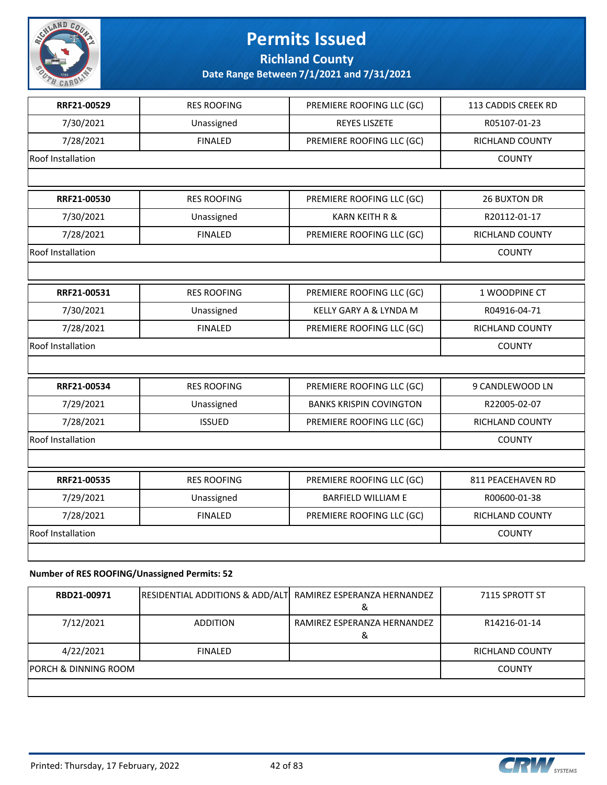

#### **Date Range Between 7/1/2021 and 7/31/2021**

| RRF21-00529       | <b>RES ROOFING</b> | PREMIERE ROOFING LLC (GC)      | 113 CADDIS CREEK RD |
|-------------------|--------------------|--------------------------------|---------------------|
| 7/30/2021         | Unassigned         | <b>REYES LISZETE</b>           | R05107-01-23        |
| 7/28/2021         | <b>FINALED</b>     | PREMIERE ROOFING LLC (GC)      | RICHLAND COUNTY     |
| Roof Installation |                    |                                | <b>COUNTY</b>       |
|                   |                    |                                |                     |
| RRF21-00530       | <b>RES ROOFING</b> | PREMIERE ROOFING LLC (GC)      | <b>26 BUXTON DR</b> |
| 7/30/2021         | Unassigned         | <b>KARN KEITH R &amp;</b>      | R20112-01-17        |
| 7/28/2021         | <b>FINALED</b>     | PREMIERE ROOFING LLC (GC)      | RICHLAND COUNTY     |
| Roof Installation |                    |                                | <b>COUNTY</b>       |
|                   |                    |                                |                     |
| RRF21-00531       | <b>RES ROOFING</b> | PREMIERE ROOFING LLC (GC)      | 1 WOODPINE CT       |
| 7/30/2021         | Unassigned         | KELLY GARY A & LYNDA M         | R04916-04-71        |
| 7/28/2021         | <b>FINALED</b>     | PREMIERE ROOFING LLC (GC)      | RICHLAND COUNTY     |
| Roof Installation | <b>COUNTY</b>      |                                |                     |
|                   |                    |                                |                     |
| RRF21-00534       | <b>RES ROOFING</b> | PREMIERE ROOFING LLC (GC)      | 9 CANDLEWOOD LN     |
| 7/29/2021         | Unassigned         | <b>BANKS KRISPIN COVINGTON</b> | R22005-02-07        |
| 7/28/2021         | <b>ISSUED</b>      | PREMIERE ROOFING LLC (GC)      | RICHLAND COUNTY     |
| Roof Installation |                    |                                | <b>COUNTY</b>       |
|                   |                    |                                |                     |
| RRF21-00535       | <b>RES ROOFING</b> | PREMIERE ROOFING LLC (GC)      | 811 PEACEHAVEN RD   |
| 7/29/2021         | Unassigned         | <b>BARFIELD WILLIAM E</b>      | R00600-01-38        |
| 7/28/2021         | <b>FINALED</b>     | PREMIERE ROOFING LLC (GC)      | RICHLAND COUNTY     |
| Roof Installation |                    |                                | <b>COUNTY</b>       |
|                   |                    |                                |                     |
|                   |                    |                                |                     |

#### **Number of RES ROOFING/Unassigned Permits: 52**

| RBD21-00971                     | RESIDENTIAL ADDITIONS & ADD/ALT RAMIREZ ESPERANZA HERNANDEZ |                                  | 7115 SPROTT ST  |
|---------------------------------|-------------------------------------------------------------|----------------------------------|-----------------|
| 7/12/2021                       | ADDITION                                                    | RAMIREZ ESPERANZA HERNANDEZ<br>α | R14216-01-14    |
| 4/22/2021                       | <b>FINALED</b>                                              |                                  | RICHLAND COUNTY |
| <b>PORCH &amp; DINNING ROOM</b> |                                                             |                                  | <b>COUNTY</b>   |
|                                 |                                                             |                                  |                 |

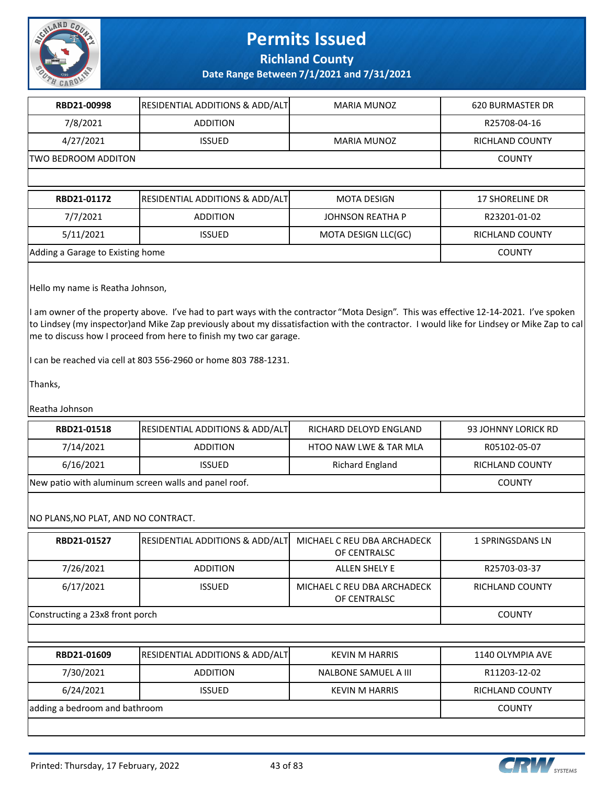

**Date Range Between 7/1/2021 and 7/31/2021**

| RBD21-00998          | <b>RESIDENTIAL ADDITIONS &amp; ADD/ALT</b> | MARIA MUNOZ | 620 BURMASTER DR |
|----------------------|--------------------------------------------|-------------|------------------|
| 7/8/2021             | <b>ADDITION</b>                            |             | R25708-04-16     |
| 4/27/2021            | <b>ISSUED</b>                              | MARIA MUNOZ | RICHLAND COUNTY  |
| ITWO BEDROOM ADDITON | <b>COUNTY</b>                              |             |                  |
|                      |                                            |             |                  |

| RBD21-01172                      | <b>RESIDENTIAL ADDITIONS &amp; ADD/ALT</b> | <b>MOTA DESIGN</b>  | 17 SHORELINE DR |
|----------------------------------|--------------------------------------------|---------------------|-----------------|
| 7/7/2021                         | <b>ADDITION</b>                            | JOHNSON REATHA P    | R23201-01-02    |
| 5/11/2021                        | ISSUED.                                    | MOTA DESIGN LLC(GC) | RICHLAND COUNTY |
| Adding a Garage to Existing home |                                            |                     | <b>COUNTY</b>   |

Hello my name is Reatha Johnson,

I am owner of the property above. I've had to part ways with the contractor "Mota Design". This was effective 12-14-2021. I've spoken to Lindsey (my inspector)and Mike Zap previously about my dissatisfaction with the contractor. I would like for Lindsey or Mike Zap to cal me to discuss how I proceed from here to finish my two car garage.

I can be reached via cell at 803 556-2960 or home 803 788-1231.

Thanks,

Reatha Johnson

| RBD21-01518                         | RESIDENTIAL ADDITIONS & ADD/ALT                      | RICHARD DELOYD ENGLAND                      | 93 JOHNNY LORICK RD     |
|-------------------------------------|------------------------------------------------------|---------------------------------------------|-------------------------|
| 7/14/2021                           | <b>ADDITION</b>                                      | <b>HTOO NAW LWE &amp; TAR MLA</b>           | R05102-05-07            |
| 6/16/2021                           | <b>ISSUED</b>                                        | <b>Richard England</b>                      | <b>RICHLAND COUNTY</b>  |
|                                     | New patio with aluminum screen walls and panel roof. |                                             | <b>COUNTY</b>           |
| NO PLANS, NO PLAT, AND NO CONTRACT. |                                                      |                                             |                         |
| RBD21-01527                         | RESIDENTIAL ADDITIONS & ADD/ALT                      | MICHAEL C REU DBA ARCHADECK<br>OF CENTRALSC | <b>1 SPRINGSDANS LN</b> |
| 7/26/2021                           | <b>ADDITION</b>                                      | <b>ALLEN SHELY E</b>                        | R25703-03-37            |
| 6/17/2021                           | <b>ISSUED</b>                                        | MICHAEL C REU DBA ARCHADECK<br>OF CENTRALSC | <b>RICHLAND COUNTY</b>  |
| Constructing a 23x8 front porch     |                                                      |                                             | <b>COUNTY</b>           |
|                                     |                                                      |                                             |                         |
| RBD21-01609                         | RESIDENTIAL ADDITIONS & ADD/ALT                      | <b>KEVIN M HARRIS</b>                       | 1140 OLYMPIA AVE        |
| 7/30/2021                           | <b>ADDITION</b>                                      | <b>NALBONE SAMUEL A III</b>                 | R11203-12-02            |
| 6/24/2021                           | <b>ISSUED</b>                                        | <b>KEVIN M HARRIS</b>                       | <b>RICHLAND COUNTY</b>  |
| adding a bedroom and bathroom       |                                                      |                                             | <b>COUNTY</b>           |
|                                     |                                                      |                                             |                         |

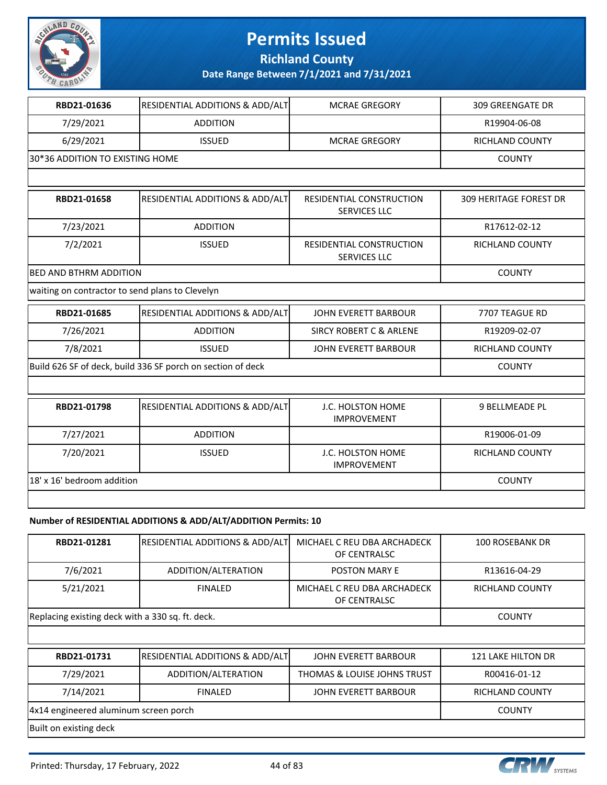

**Richland County**

**Date Range Between 7/1/2021 and 7/31/2021**

| RBD21-01636                                                 | RESIDENTIAL ADDITIONS & ADD/ALT | <b>MCRAE GREGORY</b>                            | <b>309 GREENGATE DR</b>       |  |
|-------------------------------------------------------------|---------------------------------|-------------------------------------------------|-------------------------------|--|
| 7/29/2021                                                   | <b>ADDITION</b>                 |                                                 | R19904-06-08                  |  |
| 6/29/2021                                                   | <b>ISSUED</b>                   | <b>MCRAE GREGORY</b>                            | <b>RICHLAND COUNTY</b>        |  |
| 30*36 ADDITION TO EXISTING HOME                             |                                 |                                                 | <b>COUNTY</b>                 |  |
|                                                             |                                 |                                                 |                               |  |
| RBD21-01658                                                 | RESIDENTIAL ADDITIONS & ADD/ALT | RESIDENTIAL CONSTRUCTION<br><b>SERVICES LLC</b> | <b>309 HERITAGE FOREST DR</b> |  |
| 7/23/2021                                                   | <b>ADDITION</b>                 |                                                 | R17612-02-12                  |  |
| 7/2/2021                                                    | <b>ISSUED</b>                   | RESIDENTIAL CONSTRUCTION<br><b>SERVICES LLC</b> | <b>RICHLAND COUNTY</b>        |  |
|                                                             | BED AND BTHRM ADDITION          |                                                 |                               |  |
| waiting on contractor to send plans to Clevelyn             |                                 |                                                 |                               |  |
| RBD21-01685                                                 | RESIDENTIAL ADDITIONS & ADD/ALT | <b>JOHN EVERETT BARBOUR</b>                     | 7707 TEAGUE RD                |  |
| 7/26/2021                                                   | <b>ADDITION</b>                 | <b>SIRCY ROBERT C &amp; ARLENE</b>              | R19209-02-07                  |  |
| 7/8/2021                                                    | <b>ISSUED</b>                   | JOHN EVERETT BARBOUR                            | <b>RICHLAND COUNTY</b>        |  |
| Build 626 SF of deck, build 336 SF porch on section of deck |                                 |                                                 | <b>COUNTY</b>                 |  |
|                                                             |                                 |                                                 |                               |  |
| RBD21-01798                                                 | RESIDENTIAL ADDITIONS & ADD/ALT | J.C. HOLSTON HOME<br><b>IMPROVEMENT</b>         | 9 BELLMEADE PL                |  |
| 7/27/2021                                                   | <b>ADDITION</b>                 |                                                 | R19006-01-09                  |  |
| 7/20/2021                                                   | <b>ISSUED</b>                   | J.C. HOLSTON HOME<br><b>IMPROVEMENT</b>         | <b>RICHLAND COUNTY</b>        |  |
| 18' x 16' bedroom addition                                  |                                 |                                                 | <b>COUNTY</b>                 |  |
|                                                             |                                 |                                                 |                               |  |

#### **Number of RESIDENTIAL ADDITIONS & ADD/ALT/ADDITION Permits: 10**

| RBD21-01281                                      | <b>RESIDENTIAL ADDITIONS &amp; ADD/ALT</b> | MICHAEL C REU DBA ARCHADECK<br>OF CENTRALSC | 100 ROSEBANK DR    |
|--------------------------------------------------|--------------------------------------------|---------------------------------------------|--------------------|
| 7/6/2021                                         | ADDITION/ALTERATION                        | <b>POSTON MARY E</b>                        | R13616-04-29       |
| 5/21/2021                                        | <b>FINALED</b>                             | MICHAEL C REU DBA ARCHADECK<br>OF CENTRALSC | RICHLAND COUNTY    |
| Replacing existing deck with a 330 sq. ft. deck. | <b>COUNTY</b>                              |                                             |                    |
|                                                  |                                            |                                             |                    |
| RBD21-01731                                      | <b>RESIDENTIAL ADDITIONS &amp; ADD/ALT</b> | JOHN EVERETT BARBOUR                        | 121 LAKE HILTON DR |

| RBD21-01731                           | <b>RESIDENTIAL ADDITIONS &amp; ADD/ALT</b> | JOHN EVERETT BARBOUR        | 121 LAKE HILTON DR |
|---------------------------------------|--------------------------------------------|-----------------------------|--------------------|
| 7/29/2021                             | ADDITION/ALTERATION                        | THOMAS & LOUISE JOHNS TRUST | R00416-01-12       |
| 7/14/2021                             | <b>FINALED</b>                             | JOHN EVERETT BARBOUR        | RICHLAND COUNTY    |
| 4x14 engineered aluminum screen porch |                                            |                             | <b>COUNTY</b>      |
| Built on existing deck                |                                            |                             |                    |

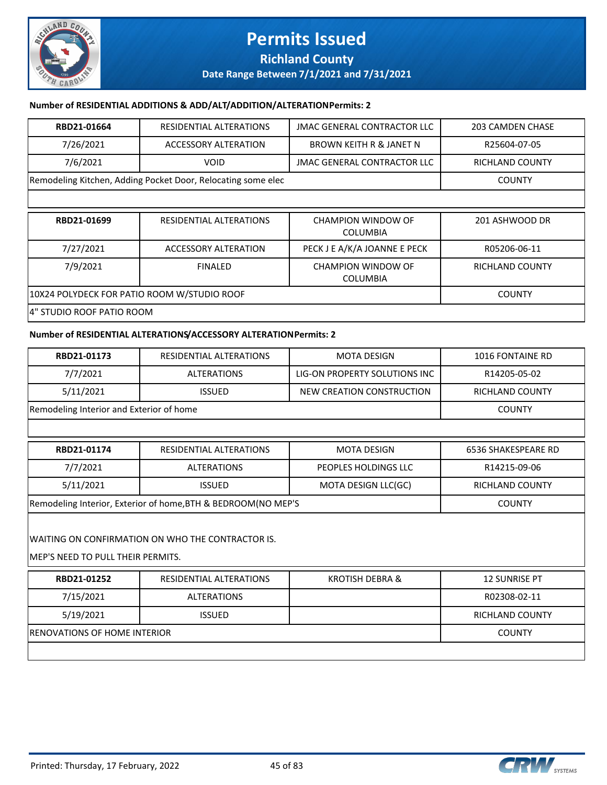

**Date Range Between 7/1/2021 and 7/31/2021**

#### **Number of RESIDENTIAL ADDITIONS & ADD/ALT/ADDITION/ALTERATION Permits: 2**

| RBD21-01664                                                  | RESIDENTIAL ALTERATIONS | JMAC GENERAL CONTRACTOR LLC | 203 CAMDEN CHASE |
|--------------------------------------------------------------|-------------------------|-----------------------------|------------------|
| 7/26/2021                                                    | ACCESSORY ALTERATION    | BROWN KEITH R & JANET N     | R25604-07-05     |
| 7/6/2021                                                     | <b>VOID</b>             | JMAC GENERAL CONTRACTOR LLC | RICHLAND COUNTY  |
| Remodeling Kitchen, Adding Pocket Door, Relocating some elec |                         |                             | <b>COUNTY</b>    |
|                                                              |                         |                             |                  |

| RBD21-01699                                 | RESIDENTIAL ALTERATIONS | CHAMPION WINDOW OF<br>COLUMBIA | 201 ASHWOOD DR  |
|---------------------------------------------|-------------------------|--------------------------------|-----------------|
| 7/27/2021                                   | ACCESSORY ALTERATION    | PECK J E A/K/A JOANNE E PECK   | R05206-06-11    |
| 7/9/2021                                    | <b>FINALED</b>          | CHAMPION WINDOW OF<br>COLUMBIA | RICHLAND COUNTY |
| 10X24 POLYDECK FOR PATIO ROOM W/STUDIO ROOF | <b>COUNTY</b>           |                                |                 |
| 4" STUDIO ROOF PATIO ROOM                   |                         |                                |                 |

#### **Number of RESIDENTIAL ALTERATIONS/ACCESSORY ALTERATION Permits: 2**

| RBD21-01173                                                                            | RESIDENTIAL ALTERATIONS | <b>MOTA DESIGN</b>            | 1016 FONTAINE RD           |
|----------------------------------------------------------------------------------------|-------------------------|-------------------------------|----------------------------|
| 7/7/2021                                                                               | <b>ALTERATIONS</b>      | LIG-ON PROPERTY SOLUTIONS INC | R14205-05-02               |
| 5/11/2021                                                                              | <b>ISSUED</b>           | NEW CREATION CONSTRUCTION     | <b>RICHLAND COUNTY</b>     |
| Remodeling Interior and Exterior of home                                               |                         |                               | <b>COUNTY</b>              |
|                                                                                        |                         |                               |                            |
| RBD21-01174                                                                            | RESIDENTIAL ALTERATIONS | <b>MOTA DESIGN</b>            | <b>6536 SHAKESPEARE RD</b> |
| 7/7/2021                                                                               | <b>ALTERATIONS</b>      | PEOPLES HOLDINGS LLC          | R14215-09-06               |
| 5/11/2021                                                                              | <b>ISSUED</b>           | MOTA DESIGN LLC(GC)           | <b>RICHLAND COUNTY</b>     |
| Remodeling Interior, Exterior of home, BTH & BEDROOM(NO MEP'S                          |                         |                               | <b>COUNTY</b>              |
| WAITING ON CONFIRMATION ON WHO THE CONTRACTOR IS.<br>MEP'S NEED TO PULL THEIR PERMITS. |                         |                               |                            |
| RBD21-01252                                                                            | RESIDENTIAL ALTERATIONS | <b>KROTISH DEBRA &amp;</b>    | <b>12 SUNRISE PT</b>       |
| 7/15/2021                                                                              | <b>ALTERATIONS</b>      |                               | R02308-02-11               |
| 5/19/2021                                                                              | <b>ISSUED</b>           |                               | <b>RICHLAND COUNTY</b>     |
| <b>RENOVATIONS OF HOME INTERIOR</b>                                                    |                         |                               | <b>COUNTY</b>              |

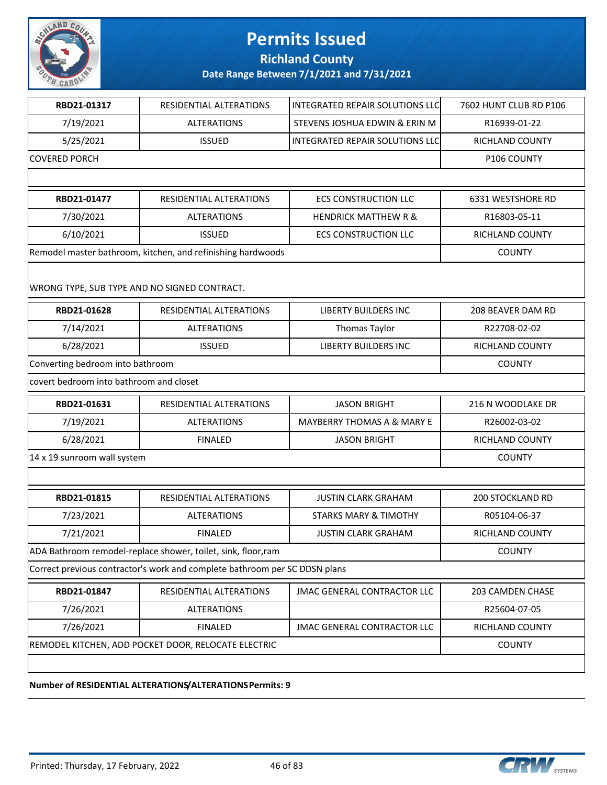

#### **Richland County**

#### **Date Range Between 7/1/2021 and 7/31/2021**

| RBD21-01317                                                                | RESIDENTIAL ALTERATIONS                                       | INTEGRATED REPAIR SOLUTIONS LLC    | 7602 HUNT CLUB RD P106  |
|----------------------------------------------------------------------------|---------------------------------------------------------------|------------------------------------|-------------------------|
| 7/19/2021                                                                  | <b>ALTERATIONS</b>                                            | STEVENS JOSHUA EDWIN & ERIN M      | R16939-01-22            |
| 5/25/2021                                                                  | <b>ISSUED</b>                                                 | INTEGRATED REPAIR SOLUTIONS LLC    | RICHLAND COUNTY         |
| <b>COVERED PORCH</b>                                                       |                                                               |                                    | P106 COUNTY             |
|                                                                            |                                                               |                                    |                         |
| RBD21-01477                                                                | RESIDENTIAL ALTERATIONS                                       | <b>ECS CONSTRUCTION LLC</b>        | 6331 WESTSHORE RD       |
| 7/30/2021                                                                  | <b>ALTERATIONS</b>                                            | <b>HENDRICK MATTHEW R &amp;</b>    | R16803-05-11            |
| 6/10/2021                                                                  | <b>ISSUED</b>                                                 | <b>ECS CONSTRUCTION LLC</b>        | RICHLAND COUNTY         |
|                                                                            | Remodel master bathroom, kitchen, and refinishing hardwoods   |                                    | <b>COUNTY</b>           |
| WRONG TYPE, SUB TYPE AND NO SIGNED CONTRACT.                               |                                                               |                                    |                         |
| RBD21-01628                                                                | RESIDENTIAL ALTERATIONS                                       | <b>LIBERTY BUILDERS INC</b>        | 208 BEAVER DAM RD       |
| 7/14/2021                                                                  | <b>ALTERATIONS</b>                                            | Thomas Taylor                      | R22708-02-02            |
| 6/28/2021                                                                  | <b>ISSUED</b>                                                 | <b>LIBERTY BUILDERS INC</b>        | RICHLAND COUNTY         |
| Converting bedroom into bathroom                                           |                                                               |                                    | <b>COUNTY</b>           |
| covert bedroom into bathroom and closet                                    |                                                               |                                    |                         |
| RBD21-01631                                                                | RESIDENTIAL ALTERATIONS                                       | <b>JASON BRIGHT</b>                | 216 N WOODLAKE DR       |
| 7/19/2021                                                                  | <b>ALTERATIONS</b>                                            | MAYBERRY THOMAS A & MARY E         | R26002-03-02            |
| 6/28/2021                                                                  | <b>FINALED</b>                                                | <b>JASON BRIGHT</b>                | RICHLAND COUNTY         |
| 14 x 19 sunroom wall system                                                |                                                               |                                    | <b>COUNTY</b>           |
|                                                                            |                                                               |                                    |                         |
| RBD21-01815                                                                | RESIDENTIAL ALTERATIONS                                       | <b>JUSTIN CLARK GRAHAM</b>         | <b>200 STOCKLAND RD</b> |
| 7/23/2021                                                                  | <b>ALTERATIONS</b>                                            | <b>STARKS MARY &amp; TIMOTHY</b>   | R05104-06-37            |
| 7/21/2021                                                                  | <b>FINALED</b>                                                | <b>JUSTIN CLARK GRAHAM</b>         | RICHLAND COUNTY         |
|                                                                            | ADA Bathroom remodel-replace shower, toilet, sink, floor, ram |                                    | <b>COUNTY</b>           |
| Correct previous contractor's work and complete bathroom per SC DDSN plans |                                                               |                                    |                         |
| RBD21-01847                                                                | RESIDENTIAL ALTERATIONS                                       | <b>JMAC GENERAL CONTRACTOR LLC</b> | 203 CAMDEN CHASE        |
| 7/26/2021                                                                  | <b>ALTERATIONS</b>                                            |                                    | R25604-07-05            |
| 7/26/2021                                                                  | <b>FINALED</b>                                                | <b>JMAC GENERAL CONTRACTOR LLC</b> | RICHLAND COUNTY         |
| REMODEL KITCHEN, ADD POCKET DOOR, RELOCATE ELECTRIC                        | <b>COUNTY</b>                                                 |                                    |                         |
|                                                                            |                                                               |                                    |                         |

#### **Number of RESIDENTIAL ALTERATIONS/ALTERATIONS Permits: 9**

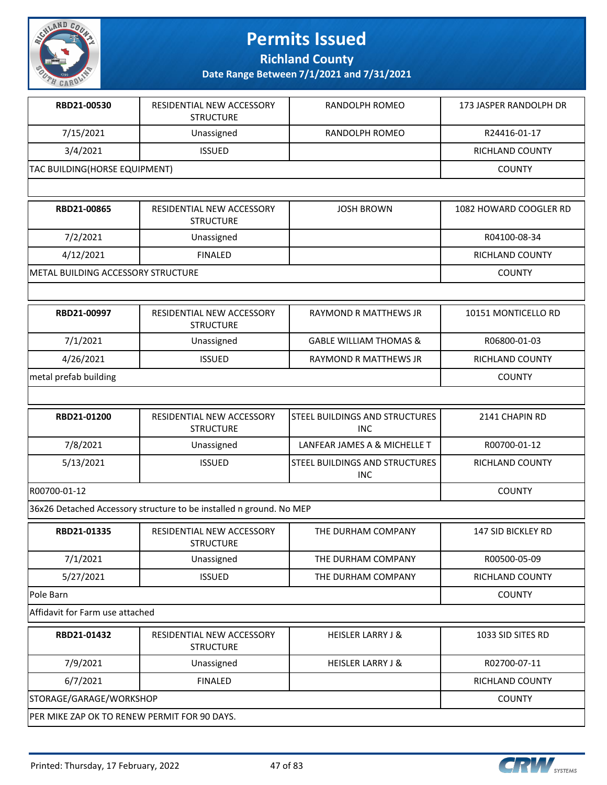

**Richland County**

| RBD21-00530                                  | RESIDENTIAL NEW ACCESSORY<br><b>STRUCTURE</b>                       | RANDOLPH ROMEO                               | 173 JASPER RANDOLPH DR    |
|----------------------------------------------|---------------------------------------------------------------------|----------------------------------------------|---------------------------|
| 7/15/2021                                    | Unassigned                                                          | RANDOLPH ROMEO                               | R24416-01-17              |
| 3/4/2021                                     | <b>ISSUED</b>                                                       |                                              | RICHLAND COUNTY           |
| TAC BUILDING(HORSE EQUIPMENT)                |                                                                     |                                              | <b>COUNTY</b>             |
|                                              |                                                                     |                                              |                           |
| RBD21-00865                                  | RESIDENTIAL NEW ACCESSORY<br><b>STRUCTURE</b>                       | <b>JOSH BROWN</b>                            | 1082 HOWARD COOGLER RD    |
| 7/2/2021                                     | Unassigned                                                          |                                              | R04100-08-34              |
| 4/12/2021                                    | <b>FINALED</b>                                                      |                                              | RICHLAND COUNTY           |
| METAL BUILDING ACCESSORY STRUCTURE           |                                                                     |                                              | <b>COUNTY</b>             |
|                                              |                                                                     |                                              |                           |
| RBD21-00997                                  | RESIDENTIAL NEW ACCESSORY<br><b>STRUCTURE</b>                       | RAYMOND R MATTHEWS JR                        | 10151 MONTICELLO RD       |
| 7/1/2021                                     | Unassigned                                                          | <b>GABLE WILLIAM THOMAS &amp;</b>            | R06800-01-03              |
| 4/26/2021                                    | <b>ISSUED</b>                                                       | RAYMOND R MATTHEWS JR                        | RICHLAND COUNTY           |
| metal prefab building                        |                                                                     |                                              | <b>COUNTY</b>             |
|                                              |                                                                     |                                              |                           |
| RBD21-01200                                  | RESIDENTIAL NEW ACCESSORY<br><b>STRUCTURE</b>                       | STEEL BUILDINGS AND STRUCTURES<br><b>INC</b> | 2141 CHAPIN RD            |
| 7/8/2021                                     | Unassigned                                                          | LANFEAR JAMES A & MICHELLE T                 | R00700-01-12              |
| 5/13/2021                                    | <b>ISSUED</b>                                                       | STEEL BUILDINGS AND STRUCTURES<br><b>INC</b> | RICHLAND COUNTY           |
| R00700-01-12                                 |                                                                     |                                              | <b>COUNTY</b>             |
|                                              | 36x26 Detached Accessory structure to be installed n ground. No MEP |                                              |                           |
| RBD21-01335                                  | RESIDENTIAL NEW ACCESSORY<br><b>STRUCTURE</b>                       | THE DURHAM COMPANY                           | <b>147 SID BICKLEY RD</b> |
| 7/1/2021                                     | Unassigned                                                          | THE DURHAM COMPANY                           | R00500-05-09              |
| 5/27/2021                                    | <b>ISSUED</b>                                                       | THE DURHAM COMPANY                           | <b>RICHLAND COUNTY</b>    |
| Pole Barn                                    |                                                                     |                                              | <b>COUNTY</b>             |
| Affidavit for Farm use attached              |                                                                     |                                              |                           |
| RBD21-01432                                  | RESIDENTIAL NEW ACCESSORY<br><b>STRUCTURE</b>                       | <b>HEISLER LARRY J &amp;</b>                 | 1033 SID SITES RD         |
| 7/9/2021                                     | Unassigned                                                          | <b>HEISLER LARRY J &amp;</b>                 | R02700-07-11              |
| 6/7/2021                                     | <b>FINALED</b>                                                      |                                              | RICHLAND COUNTY           |
| STORAGE/GARAGE/WORKSHOP                      | <b>COUNTY</b>                                                       |                                              |                           |
| PER MIKE ZAP OK TO RENEW PERMIT FOR 90 DAYS. |                                                                     |                                              |                           |

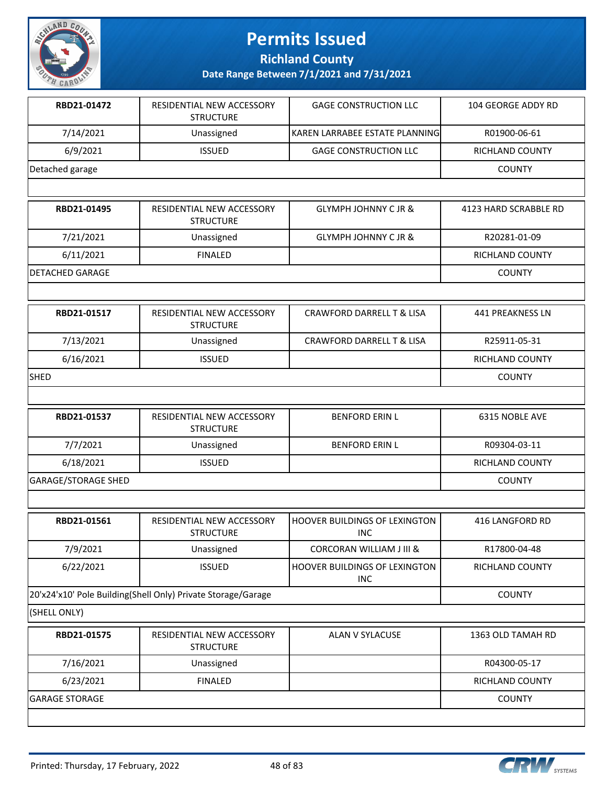

**Richland County**

| RBD21-01472                | RESIDENTIAL NEW ACCESSORY<br><b>STRUCTURE</b>                | <b>GAGE CONSTRUCTION LLC</b>                | 104 GEORGE ADDY RD      |
|----------------------------|--------------------------------------------------------------|---------------------------------------------|-------------------------|
| 7/14/2021                  | Unassigned                                                   | KAREN LARRABEE ESTATE PLANNING              | R01900-06-61            |
| 6/9/2021                   | <b>ISSUED</b>                                                | <b>GAGE CONSTRUCTION LLC</b>                | RICHLAND COUNTY         |
| Detached garage            |                                                              |                                             | <b>COUNTY</b>           |
|                            |                                                              |                                             |                         |
| RBD21-01495                | RESIDENTIAL NEW ACCESSORY<br><b>STRUCTURE</b>                | <b>GLYMPH JOHNNY C JR &amp;</b>             | 4123 HARD SCRABBLE RD   |
| 7/21/2021                  | Unassigned                                                   | <b>GLYMPH JOHNNY C JR &amp;</b>             | R20281-01-09            |
| 6/11/2021                  | <b>FINALED</b>                                               |                                             | RICHLAND COUNTY         |
| <b>DETACHED GARAGE</b>     |                                                              |                                             | <b>COUNTY</b>           |
|                            |                                                              |                                             |                         |
| RBD21-01517                | RESIDENTIAL NEW ACCESSORY<br><b>STRUCTURE</b>                | CRAWFORD DARRELL T & LISA                   | <b>441 PREAKNESS LN</b> |
| 7/13/2021                  | Unassigned                                                   | <b>CRAWFORD DARRELL T &amp; LISA</b>        | R25911-05-31            |
| 6/16/2021                  | <b>ISSUED</b>                                                |                                             | <b>RICHLAND COUNTY</b>  |
| <b>SHED</b>                |                                                              |                                             | <b>COUNTY</b>           |
|                            |                                                              |                                             |                         |
| RBD21-01537                | RESIDENTIAL NEW ACCESSORY<br><b>STRUCTURE</b>                | <b>BENFORD ERIN L</b>                       | 6315 NOBLE AVE          |
| 7/7/2021                   | Unassigned                                                   | <b>BENFORD ERIN L</b>                       | R09304-03-11            |
| 6/18/2021                  | <b>ISSUED</b>                                                |                                             | RICHLAND COUNTY         |
| <b>GARAGE/STORAGE SHED</b> |                                                              |                                             | <b>COUNTY</b>           |
|                            |                                                              |                                             |                         |
| RBD21-01561                | RESIDENTIAL NEW ACCESSORY<br><b>STRUCTURE</b>                | HOOVER BUILDINGS OF LEXINGTON<br><b>INC</b> | 416 LANGFORD RD         |
| 7/9/2021                   | Unassigned                                                   | <b>CORCORAN WILLIAM J III &amp;</b>         | R17800-04-48            |
| 6/22/2021                  | <b>ISSUED</b>                                                | HOOVER BUILDINGS OF LEXINGTON<br><b>INC</b> | RICHLAND COUNTY         |
|                            | 20'x24'x10' Pole Building(Shell Only) Private Storage/Garage |                                             | <b>COUNTY</b>           |
| (SHELL ONLY)               |                                                              |                                             |                         |
| RBD21-01575                | RESIDENTIAL NEW ACCESSORY<br><b>STRUCTURE</b>                | ALAN V SYLACUSE                             | 1363 OLD TAMAH RD       |
| 7/16/2021                  | Unassigned                                                   |                                             | R04300-05-17            |
| 6/23/2021                  | <b>FINALED</b>                                               |                                             | RICHLAND COUNTY         |
| <b>GARAGE STORAGE</b>      |                                                              |                                             | <b>COUNTY</b>           |
|                            |                                                              |                                             |                         |

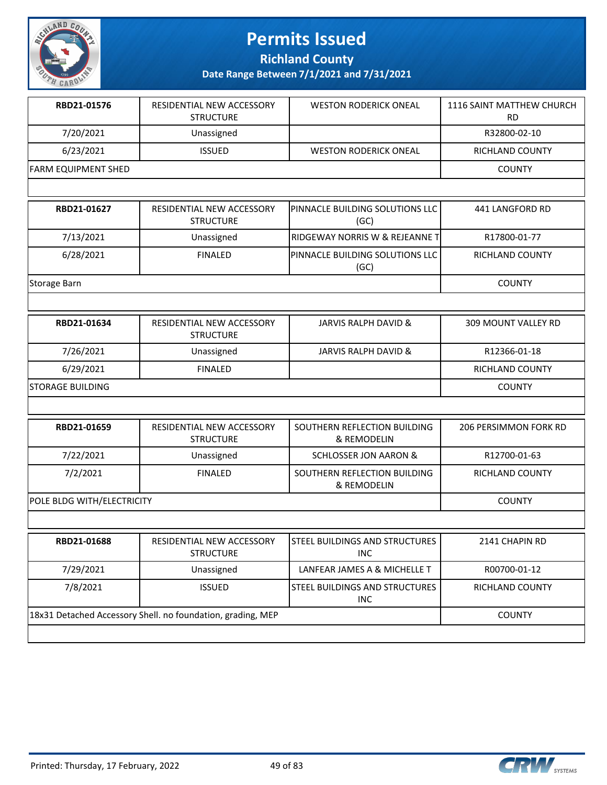

**Richland County**

| RBD21-01576                                                 | RESIDENTIAL NEW ACCESSORY<br><b>STRUCTURE</b> | <b>WESTON RODERICK ONEAL</b>                        | <b>1116 SAINT MATTHEW CHURCH</b><br><b>RD</b> |
|-------------------------------------------------------------|-----------------------------------------------|-----------------------------------------------------|-----------------------------------------------|
| 7/20/2021                                                   | Unassigned                                    |                                                     | R32800-02-10                                  |
| 6/23/2021                                                   | <b>ISSUED</b>                                 | <b>WESTON RODERICK ONEAL</b>                        | RICHLAND COUNTY                               |
| <b>FARM EQUIPMENT SHED</b>                                  |                                               |                                                     | <b>COUNTY</b>                                 |
|                                                             |                                               |                                                     |                                               |
| RBD21-01627                                                 | RESIDENTIAL NEW ACCESSORY<br><b>STRUCTURE</b> | PINNACLE BUILDING SOLUTIONS LLC<br>(GC)             | <b>441 LANGFORD RD</b>                        |
| 7/13/2021                                                   | Unassigned                                    | RIDGEWAY NORRIS W & REJEANNE T                      | R17800-01-77                                  |
| 6/28/2021                                                   | <b>FINALED</b>                                | PINNACLE BUILDING SOLUTIONS LLC<br>(GC)             | <b>RICHLAND COUNTY</b>                        |
| Storage Barn                                                |                                               |                                                     | <b>COUNTY</b>                                 |
|                                                             |                                               |                                                     |                                               |
| RBD21-01634                                                 | RESIDENTIAL NEW ACCESSORY<br><b>STRUCTURE</b> | <b>JARVIS RALPH DAVID &amp;</b>                     | 309 MOUNT VALLEY RD                           |
| 7/26/2021                                                   | Unassigned                                    | <b>JARVIS RALPH DAVID &amp;</b>                     | R12366-01-18                                  |
| 6/29/2021                                                   | <b>FINALED</b>                                |                                                     | RICHLAND COUNTY                               |
| <b>STORAGE BUILDING</b>                                     |                                               |                                                     | <b>COUNTY</b>                                 |
|                                                             |                                               |                                                     |                                               |
| RBD21-01659                                                 | RESIDENTIAL NEW ACCESSORY<br><b>STRUCTURE</b> | SOUTHERN REFLECTION BUILDING<br>& REMODELIN         | 206 PERSIMMON FORK RD                         |
| 7/22/2021                                                   | Unassigned                                    | <b>SCHLOSSER JON AARON &amp;</b>                    | R12700-01-63                                  |
| 7/2/2021                                                    | <b>FINALED</b>                                | SOUTHERN REFLECTION BUILDING<br>& REMODELIN         | RICHLAND COUNTY                               |
| POLE BLDG WITH/ELECTRICITY                                  |                                               |                                                     | <b>COUNTY</b>                                 |
|                                                             |                                               |                                                     |                                               |
| RBD21-01688                                                 | RESIDENTIAL NEW ACCESSORY<br><b>STRUCTURE</b> | <b>STEEL BUILDINGS AND STRUCTURES</b><br><b>INC</b> | 2141 CHAPIN RD                                |
| 7/29/2021                                                   | Unassigned                                    | LANFEAR JAMES A & MICHELLE T                        | R00700-01-12                                  |
| 7/8/2021                                                    | <b>ISSUED</b>                                 | STEEL BUILDINGS AND STRUCTURES<br><b>INC</b>        | RICHLAND COUNTY                               |
| 18x31 Detached Accessory Shell. no foundation, grading, MEP | <b>COUNTY</b>                                 |                                                     |                                               |
|                                                             |                                               |                                                     |                                               |

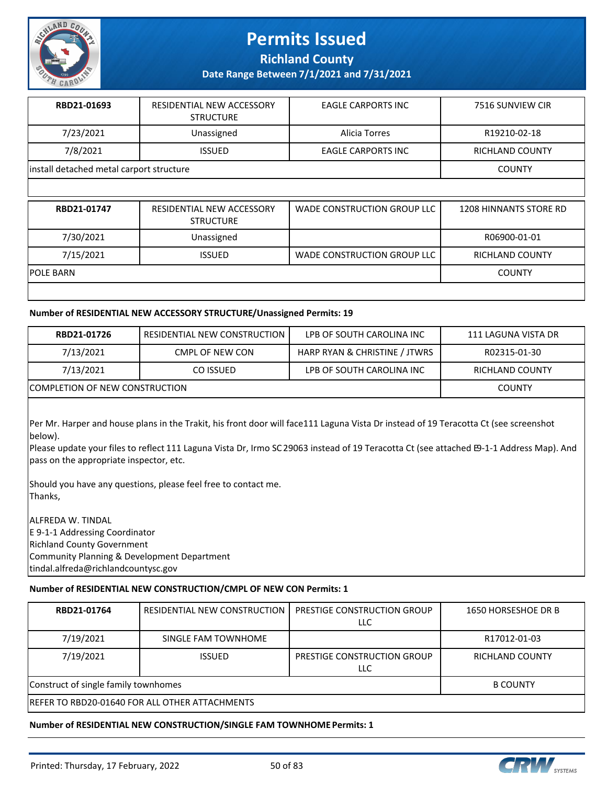

**Richland County**

**Date Range Between 7/1/2021 and 7/31/2021**

| RBD21-01693                              | RESIDENTIAL NEW ACCESSORY<br><b>STRUCTURE</b> | <b>EAGLE CARPORTS INC</b> | 7516 SUNVIEW CIR       |
|------------------------------------------|-----------------------------------------------|---------------------------|------------------------|
| 7/23/2021                                | Unassigned                                    | Alicia Torres             | R19210-02-18           |
| 7/8/2021                                 | <b>ISSUED</b>                                 | <b>EAGLE CARPORTS INC</b> | <b>RICHLAND COUNTY</b> |
| install detached metal carport structure |                                               |                           | <b>COUNTY</b>          |

| RBD21-01747 | RESIDENTIAL NEW ACCESSORY<br><b>STRUCTURE</b> | WADE CONSTRUCTION GROUP LLC | 1208 HINNANTS STORE RD |
|-------------|-----------------------------------------------|-----------------------------|------------------------|
| 7/30/2021   | Unassigned                                    |                             | R06900-01-01           |
| 7/15/2021   | <b>ISSUED</b>                                 | WADE CONSTRUCTION GROUP LLC | <b>RICHLAND COUNTY</b> |
| IPOLE BARN  |                                               |                             | <b>COUNTY</b>          |
|             |                                               |                             |                        |

#### **Number of RESIDENTIAL NEW ACCESSORY STRUCTURE/Unassigned Permits: 19**

| RBD21-01726                            | RESIDENTIAL NEW CONSTRUCTION | LPB OF SOUTH CAROLINA INC     | 111 LAGUNA VISTA DR |
|----------------------------------------|------------------------------|-------------------------------|---------------------|
| 7/13/2021                              | CMPL OF NEW CON              | HARP RYAN & CHRISTINE / JTWRS | R02315-01-30        |
| 7/13/2021                              | CO ISSUED                    | LPB OF SOUTH CAROLINA INC     | RICHLAND COUNTY     |
| <b>ICOMPLETION OF NEW CONSTRUCTION</b> |                              |                               | <b>COUNTY</b>       |

Per Mr. Harper and house plans in the Trakit, his front door will face 111 Laguna Vista Dr instead of 19 Teracotta Ct (see screenshot below).

Please update your files to reflect 111 Laguna Vista Dr, Irmo SC 29063 instead of 19 Teracotta Ct (see attached E9-1-1 Address Map). And pass on the appropriate inspector, etc.

Should you have any questions, please feel free to contact me. Thanks,

ALFREDA W. TINDAL E 9-1-1 Addressing Coordinator Richland County Government Community Planning & Development Department tindal.alfreda@richlandcountysc.gov

#### **Number of RESIDENTIAL NEW CONSTRUCTION/CMPL OF NEW CON Permits: 1**

| RBD21-01764                                    | RESIDENTIAL NEW CONSTRUCTION | <b>PRESTIGE CONSTRUCTION GROUP</b><br><b>LLC</b> | 1650 HORSESHOE DR B |
|------------------------------------------------|------------------------------|--------------------------------------------------|---------------------|
| 7/19/2021                                      | SINGLE FAM TOWNHOME          |                                                  | R17012-01-03        |
| 7/19/2021                                      | <b>ISSUED</b>                | <b>PRESTIGE CONSTRUCTION GROUP</b><br>LLC        | RICHLAND COUNTY     |
| Construct of single family townhomes           | <b>B COUNTY</b>              |                                                  |                     |
| REFER TO RBD20-01640 FOR ALL OTHER ATTACHMENTS |                              |                                                  |                     |

#### **Number of RESIDENTIAL NEW CONSTRUCTION/SINGLE FAM TOWNHOME Permits: 1**

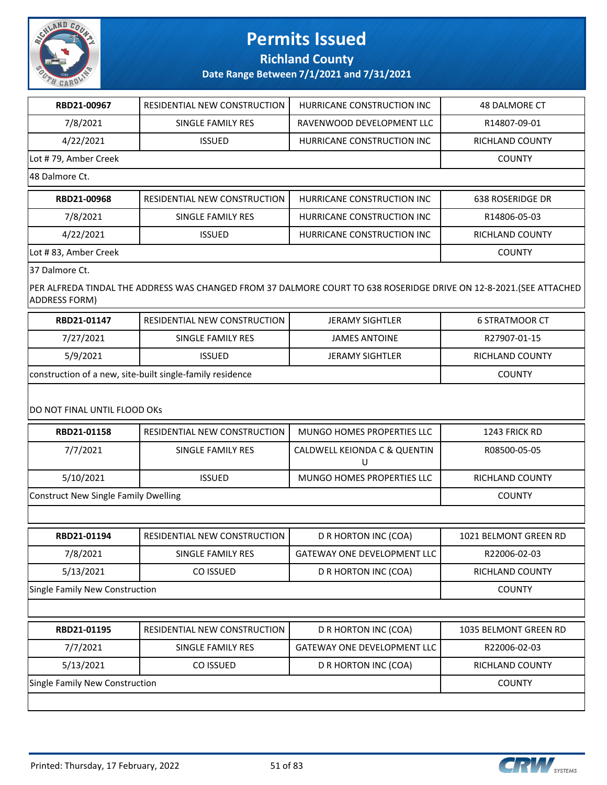

**Richland County**

#### **Date Range Between 7/1/2021 and 7/31/2021**

| RBD21-00967          | RESIDENTIAL NEW CONSTRUCTION | HURRICANE CONSTRUCTION INC | <b>48 DALMORE CT</b> |  |  |
|----------------------|------------------------------|----------------------------|----------------------|--|--|
| 7/8/2021             | SINGLE FAMILY RES            | RAVENWOOD DEVELOPMENT LLC  | R14807-09-01         |  |  |
| 4/22/2021            | <b>ISSUED</b>                | HURRICANE CONSTRUCTION INC | RICHLAND COUNTY      |  |  |
| Lot #79, Amber Creek |                              |                            | <b>COUNTY</b>        |  |  |
| 48 Dalmore Ct.       |                              |                            |                      |  |  |
| RBD21-00968          | RESIDENTIAL NEW CONSTRUCTION | HURRICANE CONSTRUCTION INC | 638 ROSERIDGE DR     |  |  |
| 7/8/2021             | SINGLE FAMILY RES            | HURRICANE CONSTRUCTION INC | R14806-05-03         |  |  |
| 4/22/2021            | <b>ISSUED</b>                | HURRICANE CONSTRUCTION INC | RICHLAND COUNTY      |  |  |
| Lot #83, Amber Creek | <b>COUNTY</b>                |                            |                      |  |  |

37 Dalmore Ct.

PER ALFREDA TINDAL THE ADDRESS WAS CHANGED FROM 37 DALMORE COURT TO 638 ROSERIDGE DRIVE ON 12-8-2021.(SEE ATTACHED ADDRESS FORM)

| RBD21-01147                                               | RESIDENTIAL NEW CONSTRUCTION | JERAMY SIGHTLER        | 6 STRATMOOR CT  |
|-----------------------------------------------------------|------------------------------|------------------------|-----------------|
| 7/27/2021                                                 | SINGLE FAMILY RES            | JAMES ANTOINE          | R27907-01-15    |
| 5/9/2021                                                  | ISSUED.                      | <b>JERAMY SIGHTLER</b> | RICHLAND COUNTY |
| construction of a new, site-built single-family residence | <b>COUNTY</b>                |                        |                 |

#### DO NOT FINAL UNTIL FLOOD OKs

| RBD21-01158                    | RESIDENTIAL NEW CONSTRUCTION         | MUNGO HOMES PROPERTIES LLC         | 1243 FRICK RD          |  |  |
|--------------------------------|--------------------------------------|------------------------------------|------------------------|--|--|
| 7/7/2021                       | SINGLE FAMILY RES                    | CALDWELL KEIONDA C & QUENTIN<br>U  | R08500-05-05           |  |  |
| 5/10/2021                      | <b>ISSUED</b>                        | MUNGO HOMES PROPERTIES LLC         | RICHLAND COUNTY        |  |  |
|                                | Construct New Single Family Dwelling |                                    |                        |  |  |
|                                |                                      |                                    |                        |  |  |
| RBD21-01194                    | RESIDENTIAL NEW CONSTRUCTION         | D R HORTON INC (COA)               | 1021 BELMONT GREEN RD  |  |  |
| 7/8/2021                       | SINGLE FAMILY RES                    | <b>GATEWAY ONE DEVELOPMENT LLC</b> | R22006-02-03           |  |  |
| 5/13/2021                      | CO ISSUED                            | D R HORTON INC (COA)               | <b>RICHLAND COUNTY</b> |  |  |
| Single Family New Construction | <b>COUNTY</b>                        |                                    |                        |  |  |
|                                |                                      |                                    |                        |  |  |

| RBD21-01195                    | RESIDENTIAL NEW CONSTRUCTION | D R HORTON INC (COA)                 | 1035 BELMONT GREEN RD |
|--------------------------------|------------------------------|--------------------------------------|-----------------------|
| 7/7/2021                       | SINGLE FAMILY RES            | <b>GATEWAY ONE DEVELOPMENT LLC I</b> | R22006-02-03          |
| 5/13/2021                      | CO ISSUED                    | D R HORTON INC (COA)                 | RICHLAND COUNTY       |
| Single Family New Construction | <b>COUNTY</b>                |                                      |                       |
|                                |                              |                                      |                       |

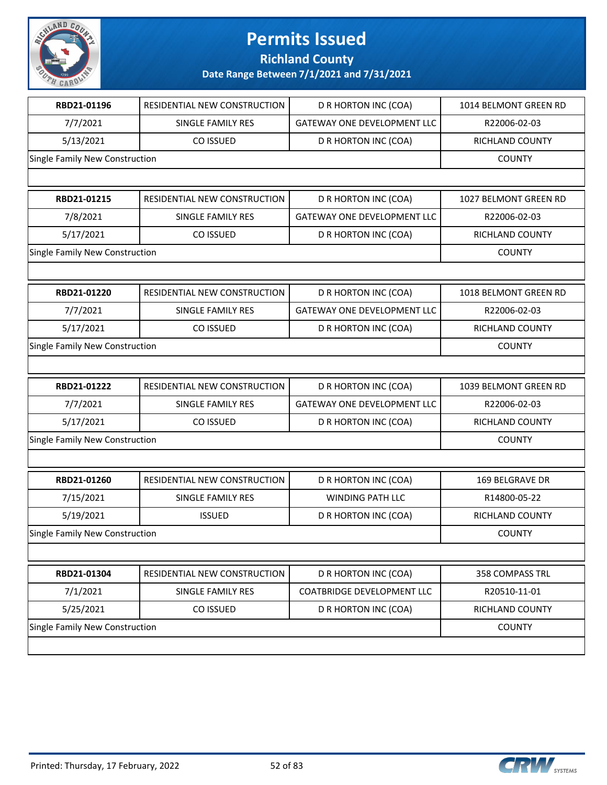

**Richland County**

| RBD21-01196                    | <b>RESIDENTIAL NEW CONSTRUCTION</b> | D R HORTON INC (COA)               | 1014 BELMONT GREEN RD  |
|--------------------------------|-------------------------------------|------------------------------------|------------------------|
| 7/7/2021                       | SINGLE FAMILY RES                   | <b>GATEWAY ONE DEVELOPMENT LLC</b> | R22006-02-03           |
| 5/13/2021                      | CO ISSUED                           | D R HORTON INC (COA)               | <b>RICHLAND COUNTY</b> |
| Single Family New Construction |                                     |                                    | <b>COUNTY</b>          |
|                                |                                     |                                    |                        |
| RBD21-01215                    | RESIDENTIAL NEW CONSTRUCTION        | D R HORTON INC (COA)               | 1027 BELMONT GREEN RD  |
| 7/8/2021                       | SINGLE FAMILY RES                   | <b>GATEWAY ONE DEVELOPMENT LLC</b> | R22006-02-03           |
| 5/17/2021                      | CO ISSUED                           | D R HORTON INC (COA)               | RICHLAND COUNTY        |
| Single Family New Construction |                                     |                                    | <b>COUNTY</b>          |
|                                |                                     |                                    |                        |
| RBD21-01220                    | RESIDENTIAL NEW CONSTRUCTION        | D R HORTON INC (COA)               | 1018 BELMONT GREEN RD  |
| 7/7/2021                       | SINGLE FAMILY RES                   | <b>GATEWAY ONE DEVELOPMENT LLC</b> | R22006-02-03           |
| 5/17/2021                      | CO ISSUED                           | D R HORTON INC (COA)               | RICHLAND COUNTY        |
| Single Family New Construction |                                     |                                    | <b>COUNTY</b>          |
|                                |                                     |                                    |                        |
| RBD21-01222                    | RESIDENTIAL NEW CONSTRUCTION        | D R HORTON INC (COA)               | 1039 BELMONT GREEN RD  |
| 7/7/2021                       | SINGLE FAMILY RES                   | <b>GATEWAY ONE DEVELOPMENT LLC</b> | R22006-02-03           |
| 5/17/2021                      | CO ISSUED                           | D R HORTON INC (COA)               | RICHLAND COUNTY        |
| Single Family New Construction |                                     |                                    | <b>COUNTY</b>          |
|                                |                                     |                                    |                        |
| RBD21-01260                    | RESIDENTIAL NEW CONSTRUCTION        | D R HORTON INC (COA)               | 169 BELGRAVE DR        |
| 7/15/2021                      | SINGLE FAMILY RES                   | <b>WINDING PATH LLC</b>            | R14800-05-22           |
| 5/19/2021                      | <b>ISSUED</b>                       | D R HORTON INC (COA)               | RICHLAND COUNTY        |
| Single Family New Construction |                                     |                                    | <b>COUNTY</b>          |
|                                |                                     |                                    |                        |
| RBD21-01304                    | RESIDENTIAL NEW CONSTRUCTION        | D R HORTON INC (COA)               | 358 COMPASS TRL        |
| 7/1/2021                       | SINGLE FAMILY RES                   | COATBRIDGE DEVELOPMENT LLC         | R20510-11-01           |
|                                |                                     |                                    |                        |
| 5/25/2021                      | CO ISSUED                           | D R HORTON INC (COA)               | RICHLAND COUNTY        |
| Single Family New Construction |                                     |                                    | <b>COUNTY</b>          |

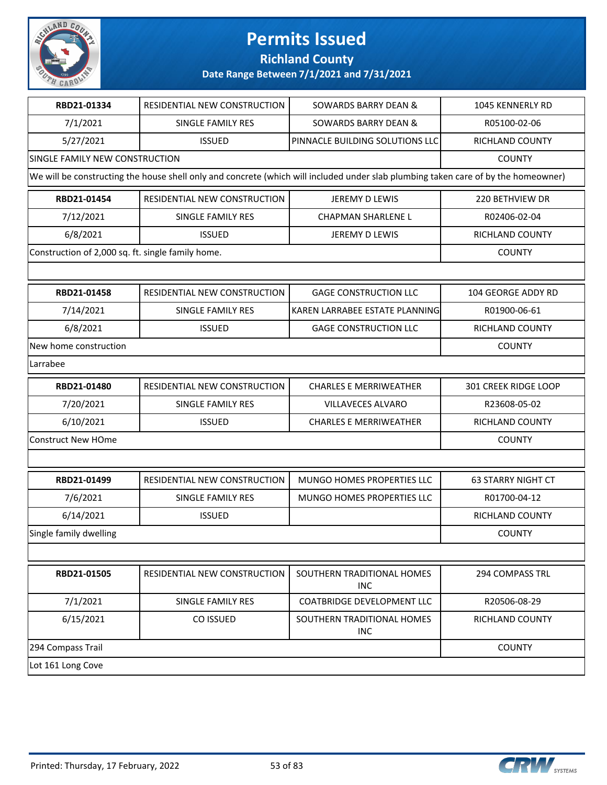

**Richland County**

| RBD21-01334                                       | <b>RESIDENTIAL NEW CONSTRUCTION</b> | <b>SOWARDS BARRY DEAN &amp;</b>                                                                                                    | 1045 KENNERLY RD          |
|---------------------------------------------------|-------------------------------------|------------------------------------------------------------------------------------------------------------------------------------|---------------------------|
| 7/1/2021                                          | <b>SINGLE FAMILY RES</b>            | <b>SOWARDS BARRY DEAN &amp;</b>                                                                                                    | R05100-02-06              |
| 5/27/2021                                         | <b>ISSUED</b>                       | PINNACLE BUILDING SOLUTIONS LLC                                                                                                    | RICHLAND COUNTY           |
| SINGLE FAMILY NEW CONSTRUCTION                    | <b>COUNTY</b>                       |                                                                                                                                    |                           |
|                                                   |                                     | We will be constructing the house shell only and concrete (which will included under slab plumbing taken care of by the homeowner) |                           |
| RBD21-01454                                       | RESIDENTIAL NEW CONSTRUCTION        | JEREMY D LEWIS                                                                                                                     | 220 BETHVIEW DR           |
| 7/12/2021                                         | SINGLE FAMILY RES                   | <b>CHAPMAN SHARLENE L</b>                                                                                                          | R02406-02-04              |
| 6/8/2021                                          | <b>ISSUED</b>                       | JEREMY D LEWIS                                                                                                                     | RICHLAND COUNTY           |
| Construction of 2,000 sq. ft. single family home. |                                     |                                                                                                                                    | <b>COUNTY</b>             |
|                                                   |                                     |                                                                                                                                    |                           |
| RBD21-01458                                       | RESIDENTIAL NEW CONSTRUCTION        | <b>GAGE CONSTRUCTION LLC</b>                                                                                                       | 104 GEORGE ADDY RD        |
| 7/14/2021                                         | SINGLE FAMILY RES                   | KAREN LARRABEE ESTATE PLANNING                                                                                                     | R01900-06-61              |
| 6/8/2021                                          | <b>ISSUED</b>                       | <b>GAGE CONSTRUCTION LLC</b>                                                                                                       | RICHLAND COUNTY           |
| New home construction                             |                                     |                                                                                                                                    | <b>COUNTY</b>             |
| Larrabee                                          |                                     |                                                                                                                                    |                           |
| RBD21-01480                                       | RESIDENTIAL NEW CONSTRUCTION        | <b>CHARLES E MERRIWEATHER</b>                                                                                                      | 301 CREEK RIDGE LOOP      |
| 7/20/2021                                         | SINGLE FAMILY RES                   | <b>VILLAVECES ALVARO</b>                                                                                                           | R23608-05-02              |
| 6/10/2021                                         | <b>ISSUED</b>                       | <b>CHARLES E MERRIWEATHER</b>                                                                                                      | RICHLAND COUNTY           |
| <b>Construct New HOme</b>                         |                                     |                                                                                                                                    | <b>COUNTY</b>             |
|                                                   |                                     |                                                                                                                                    |                           |
| RBD21-01499                                       | RESIDENTIAL NEW CONSTRUCTION        | MUNGO HOMES PROPERTIES LLC                                                                                                         | <b>63 STARRY NIGHT CT</b> |
| 7/6/2021                                          | SINGLE FAMILY RES                   | MUNGO HOMES PROPERTIES LLC                                                                                                         | R01700-04-12              |
| 6/14/2021                                         | <b>ISSUED</b>                       |                                                                                                                                    | RICHLAND COUNTY           |
| Single family dwelling                            |                                     |                                                                                                                                    | <b>COUNTY</b>             |
|                                                   |                                     |                                                                                                                                    |                           |
| RBD21-01505                                       | RESIDENTIAL NEW CONSTRUCTION        | SOUTHERN TRADITIONAL HOMES<br><b>INC</b>                                                                                           | 294 COMPASS TRL           |
| 7/1/2021                                          | SINGLE FAMILY RES                   | <b>COATBRIDGE DEVELOPMENT LLC</b>                                                                                                  | R20506-08-29              |
| 6/15/2021                                         | CO ISSUED                           | SOUTHERN TRADITIONAL HOMES<br><b>INC</b>                                                                                           | RICHLAND COUNTY           |
| 294 Compass Trail                                 |                                     |                                                                                                                                    | <b>COUNTY</b>             |
| Lot 161 Long Cove                                 |                                     |                                                                                                                                    |                           |

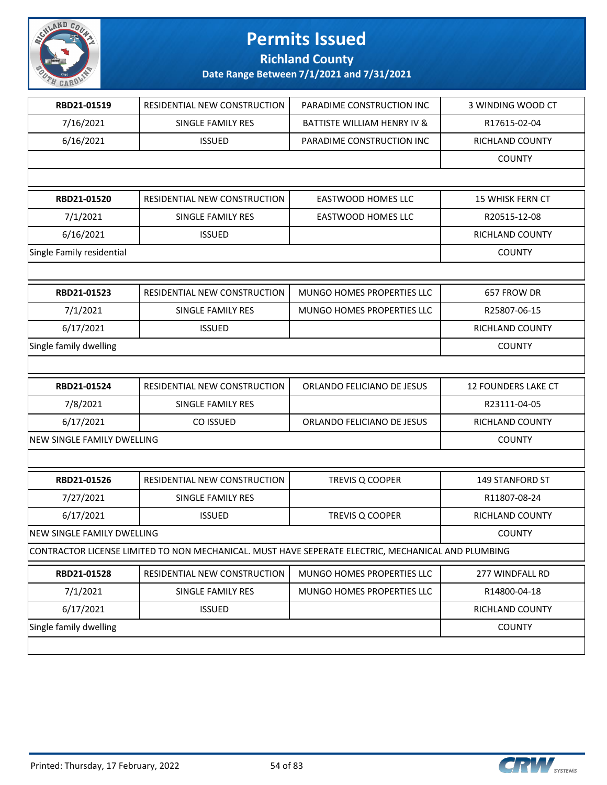

**Richland County**

| RBD21-01519                | RESIDENTIAL NEW CONSTRUCTION                                                                       | PARADIME CONSTRUCTION INC              | 3 WINDING WOOD CT      |
|----------------------------|----------------------------------------------------------------------------------------------------|----------------------------------------|------------------------|
| 7/16/2021                  | SINGLE FAMILY RES                                                                                  | <b>BATTISTE WILLIAM HENRY IV &amp;</b> | R17615-02-04           |
| 6/16/2021                  | <b>ISSUED</b>                                                                                      | PARADIME CONSTRUCTION INC              | RICHLAND COUNTY        |
|                            |                                                                                                    |                                        | <b>COUNTY</b>          |
|                            |                                                                                                    |                                        |                        |
| RBD21-01520                | RESIDENTIAL NEW CONSTRUCTION                                                                       | EASTWOOD HOMES LLC                     | 15 WHISK FERN CT       |
| 7/1/2021                   | SINGLE FAMILY RES                                                                                  | EASTWOOD HOMES LLC                     | R20515-12-08           |
| 6/16/2021                  | <b>ISSUED</b>                                                                                      |                                        | RICHLAND COUNTY        |
| Single Family residential  |                                                                                                    |                                        | <b>COUNTY</b>          |
|                            |                                                                                                    |                                        |                        |
| RBD21-01523                | RESIDENTIAL NEW CONSTRUCTION                                                                       | MUNGO HOMES PROPERTIES LLC             | 657 FROW DR            |
| 7/1/2021                   | SINGLE FAMILY RES                                                                                  | MUNGO HOMES PROPERTIES LLC             | R25807-06-15           |
| 6/17/2021                  | <b>ISSUED</b>                                                                                      |                                        | RICHLAND COUNTY        |
| Single family dwelling     |                                                                                                    |                                        | <b>COUNTY</b>          |
|                            |                                                                                                    |                                        |                        |
|                            |                                                                                                    |                                        |                        |
| RBD21-01524                | RESIDENTIAL NEW CONSTRUCTION                                                                       | ORLANDO FELICIANO DE JESUS             | 12 FOUNDERS LAKE CT    |
| 7/8/2021                   | SINGLE FAMILY RES                                                                                  |                                        | R23111-04-05           |
| 6/17/2021                  | CO ISSUED                                                                                          | ORLANDO FELICIANO DE JESUS             | RICHLAND COUNTY        |
| NEW SINGLE FAMILY DWELLING |                                                                                                    |                                        | <b>COUNTY</b>          |
|                            |                                                                                                    |                                        |                        |
| RBD21-01526                | <b>RESIDENTIAL NEW CONSTRUCTION</b>                                                                | TREVIS Q COOPER                        | <b>149 STANFORD ST</b> |
| 7/27/2021                  | SINGLE FAMILY RES                                                                                  |                                        | R11807-08-24           |
| 6/17/2021                  | <b>ISSUED</b>                                                                                      | TREVIS Q COOPER                        | <b>RICHLAND COUNTY</b> |
| NEW SINGLE FAMILY DWELLING |                                                                                                    |                                        | <b>COUNTY</b>          |
|                            | CONTRACTOR LICENSE LIMITED TO NON MECHANICAL. MUST HAVE SEPERATE ELECTRIC, MECHANICAL AND PLUMBING |                                        |                        |
| RBD21-01528                | RESIDENTIAL NEW CONSTRUCTION                                                                       | MUNGO HOMES PROPERTIES LLC             | 277 WINDFALL RD        |
| 7/1/2021                   | SINGLE FAMILY RES                                                                                  | MUNGO HOMES PROPERTIES LLC             | R14800-04-18           |
| 6/17/2021                  | <b>ISSUED</b>                                                                                      |                                        | RICHLAND COUNTY        |
| Single family dwelling     |                                                                                                    |                                        | <b>COUNTY</b>          |

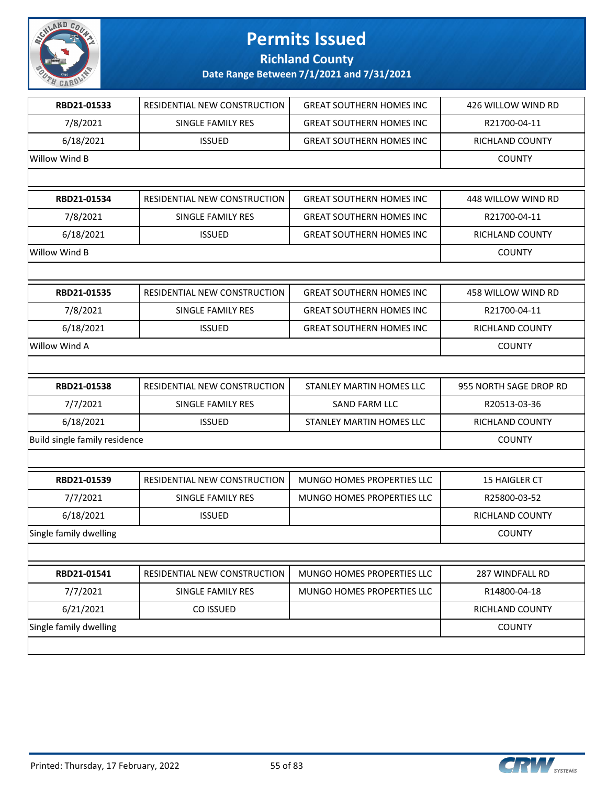

### **Richland County**

| RBD21-01533                   | RESIDENTIAL NEW CONSTRUCTION | <b>GREAT SOUTHERN HOMES INC</b>   | 426 WILLOW WIND RD     |
|-------------------------------|------------------------------|-----------------------------------|------------------------|
| 7/8/2021                      | SINGLE FAMILY RES            | <b>GREAT SOUTHERN HOMES INC</b>   | R21700-04-11           |
| 6/18/2021                     | <b>ISSUED</b>                | <b>GREAT SOUTHERN HOMES INC</b>   | RICHLAND COUNTY        |
| Willow Wind B                 |                              |                                   | <b>COUNTY</b>          |
|                               |                              |                                   |                        |
| RBD21-01534                   | RESIDENTIAL NEW CONSTRUCTION | <b>GREAT SOUTHERN HOMES INC</b>   | 448 WILLOW WIND RD     |
| 7/8/2021                      | SINGLE FAMILY RES            | <b>GREAT SOUTHERN HOMES INC</b>   | R21700-04-11           |
| 6/18/2021                     | <b>ISSUED</b>                | <b>GREAT SOUTHERN HOMES INC</b>   | RICHLAND COUNTY        |
| Willow Wind B                 |                              |                                   | <b>COUNTY</b>          |
|                               |                              |                                   |                        |
| RBD21-01535                   | RESIDENTIAL NEW CONSTRUCTION | <b>GREAT SOUTHERN HOMES INC</b>   | 458 WILLOW WIND RD     |
| 7/8/2021                      | SINGLE FAMILY RES            | <b>GREAT SOUTHERN HOMES INC</b>   | R21700-04-11           |
| 6/18/2021                     | <b>ISSUED</b>                | <b>GREAT SOUTHERN HOMES INC</b>   | RICHLAND COUNTY        |
| Willow Wind A                 |                              |                                   | <b>COUNTY</b>          |
|                               |                              |                                   |                        |
|                               |                              |                                   |                        |
| RBD21-01538                   | RESIDENTIAL NEW CONSTRUCTION | STANLEY MARTIN HOMES LLC          | 955 NORTH SAGE DROP RD |
| 7/7/2021                      | SINGLE FAMILY RES            | <b>SAND FARM LLC</b>              | R20513-03-36           |
| 6/18/2021                     | <b>ISSUED</b>                | STANLEY MARTIN HOMES LLC          | RICHLAND COUNTY        |
| Build single family residence |                              |                                   | <b>COUNTY</b>          |
|                               |                              |                                   |                        |
| RBD21-01539                   | RESIDENTIAL NEW CONSTRUCTION | <b>MUNGO HOMES PROPERTIES LLC</b> | <b>15 HAIGLER CT</b>   |
| 7/7/2021                      | SINGLE FAMILY RES            | MUNGO HOMES PROPERTIES LLC        | R25800-03-52           |
| 6/18/2021                     | <b>ISSUED</b>                |                                   | RICHLAND COUNTY        |
| Single family dwelling        |                              |                                   | <b>COUNTY</b>          |
|                               |                              |                                   |                        |
| RBD21-01541                   | RESIDENTIAL NEW CONSTRUCTION | MUNGO HOMES PROPERTIES LLC        | 287 WINDFALL RD        |
| 7/7/2021                      | SINGLE FAMILY RES            | MUNGO HOMES PROPERTIES LLC        | R14800-04-18           |
| 6/21/2021                     | CO ISSUED                    |                                   | RICHLAND COUNTY        |
| Single family dwelling        |                              |                                   | <b>COUNTY</b>          |

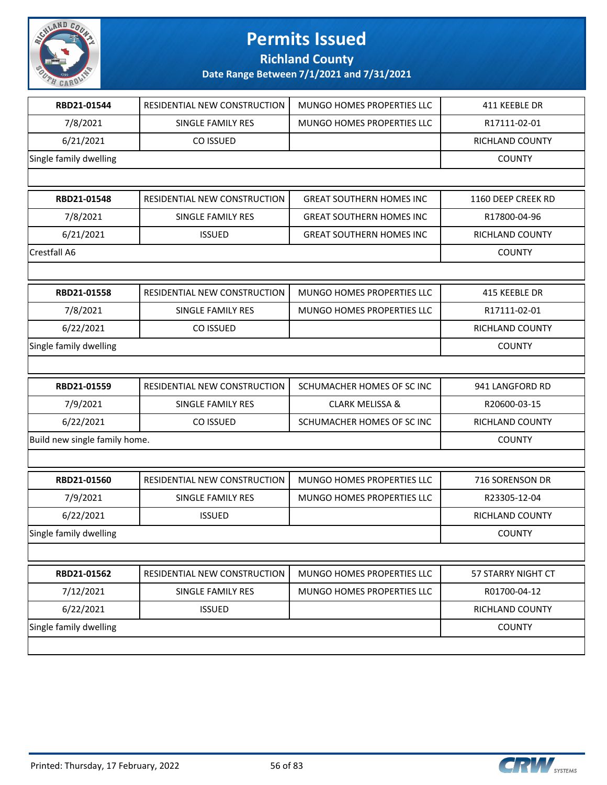

**Richland County**

| RBD21-01544                   | RESIDENTIAL NEW CONSTRUCTION | MUNGO HOMES PROPERTIES LLC      | 411 KEEBLE DR      |
|-------------------------------|------------------------------|---------------------------------|--------------------|
| 7/8/2021                      | SINGLE FAMILY RES            | MUNGO HOMES PROPERTIES LLC      | R17111-02-01       |
| 6/21/2021                     | CO ISSUED                    |                                 | RICHLAND COUNTY    |
| Single family dwelling        |                              |                                 | <b>COUNTY</b>      |
|                               |                              |                                 |                    |
| RBD21-01548                   | RESIDENTIAL NEW CONSTRUCTION | <b>GREAT SOUTHERN HOMES INC</b> | 1160 DEEP CREEK RD |
| 7/8/2021                      | SINGLE FAMILY RES            | <b>GREAT SOUTHERN HOMES INC</b> | R17800-04-96       |
| 6/21/2021                     | <b>ISSUED</b>                | <b>GREAT SOUTHERN HOMES INC</b> | RICHLAND COUNTY    |
| Crestfall A6                  |                              |                                 | <b>COUNTY</b>      |
|                               |                              |                                 |                    |
| RBD21-01558                   | RESIDENTIAL NEW CONSTRUCTION | MUNGO HOMES PROPERTIES LLC      | 415 KEEBLE DR      |
| 7/8/2021                      | SINGLE FAMILY RES            | MUNGO HOMES PROPERTIES LLC      | R17111-02-01       |
| 6/22/2021                     | CO ISSUED                    |                                 | RICHLAND COUNTY    |
| Single family dwelling        |                              |                                 | <b>COUNTY</b>      |
|                               |                              |                                 |                    |
| RBD21-01559                   | RESIDENTIAL NEW CONSTRUCTION | SCHUMACHER HOMES OF SC INC      | 941 LANGFORD RD    |
| 7/9/2021                      | SINGLE FAMILY RES            | <b>CLARK MELISSA &amp;</b>      | R20600-03-15       |
| 6/22/2021                     | CO ISSUED                    | SCHUMACHER HOMES OF SC INC      | RICHLAND COUNTY    |
| Build new single family home. |                              |                                 | <b>COUNTY</b>      |
|                               |                              |                                 |                    |
| RBD21-01560                   | RESIDENTIAL NEW CONSTRUCTION | MUNGO HOMES PROPERTIES LLC      | 716 SORENSON DR    |
| 7/9/2021                      | SINGLE FAMILY RES            | MUNGO HOMES PROPERTIES LLC      | R23305-12-04       |
| 6/22/2021                     | <b>ISSUED</b>                |                                 | RICHLAND COUNTY    |
| Single family dwelling        |                              |                                 | <b>COUNTY</b>      |
|                               |                              |                                 |                    |
| RBD21-01562                   | RESIDENTIAL NEW CONSTRUCTION | MUNGO HOMES PROPERTIES LLC      | 57 STARRY NIGHT CT |
| 7/12/2021                     | SINGLE FAMILY RES            | MUNGO HOMES PROPERTIES LLC      | R01700-04-12       |
| 6/22/2021                     | <b>ISSUED</b>                |                                 | RICHLAND COUNTY    |
| Single family dwelling        |                              |                                 | <b>COUNTY</b>      |
|                               |                              |                                 |                    |

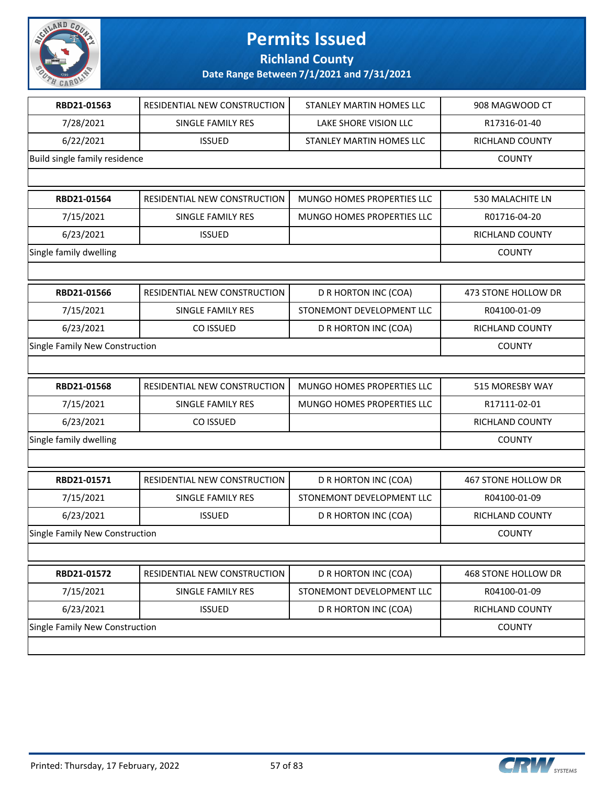

**Richland County**

| RBD21-01563                    | RESIDENTIAL NEW CONSTRUCTION | STANLEY MARTIN HOMES LLC   | 908 MAGWOOD CT      |
|--------------------------------|------------------------------|----------------------------|---------------------|
| 7/28/2021                      | SINGLE FAMILY RES            | LAKE SHORE VISION LLC      | R17316-01-40        |
| 6/22/2021                      | <b>ISSUED</b>                | STANLEY MARTIN HOMES LLC   | RICHLAND COUNTY     |
| Build single family residence  |                              |                            | <b>COUNTY</b>       |
|                                |                              |                            |                     |
| RBD21-01564                    | RESIDENTIAL NEW CONSTRUCTION | MUNGO HOMES PROPERTIES LLC | 530 MALACHITE LN    |
| 7/15/2021                      | SINGLE FAMILY RES            | MUNGO HOMES PROPERTIES LLC | R01716-04-20        |
| 6/23/2021                      | <b>ISSUED</b>                |                            | RICHLAND COUNTY     |
| Single family dwelling         |                              |                            | <b>COUNTY</b>       |
|                                |                              |                            |                     |
| RBD21-01566                    | RESIDENTIAL NEW CONSTRUCTION | D R HORTON INC (COA)       | 473 STONE HOLLOW DR |
| 7/15/2021                      | SINGLE FAMILY RES            | STONEMONT DEVELOPMENT LLC  | R04100-01-09        |
| 6/23/2021                      | CO ISSUED                    | D R HORTON INC (COA)       | RICHLAND COUNTY     |
| Single Family New Construction |                              |                            | <b>COUNTY</b>       |
|                                |                              |                            |                     |
| RBD21-01568                    | RESIDENTIAL NEW CONSTRUCTION | MUNGO HOMES PROPERTIES LLC | 515 MORESBY WAY     |
| 7/15/2021                      | SINGLE FAMILY RES            | MUNGO HOMES PROPERTIES LLC | R17111-02-01        |
| 6/23/2021                      | CO ISSUED                    |                            | RICHLAND COUNTY     |
| Single family dwelling         |                              |                            | <b>COUNTY</b>       |
|                                |                              |                            |                     |
| RBD21-01571                    | RESIDENTIAL NEW CONSTRUCTION | D R HORTON INC (COA)       | 467 STONE HOLLOW DR |
| 7/15/2021                      | SINGLE FAMILY RES            | STONEMONT DEVELOPMENT LLC  | R04100-01-09        |
| 6/23/2021                      | <b>ISSUED</b>                | D R HORTON INC (COA)       | RICHLAND COUNTY     |
| Single Family New Construction |                              |                            | <b>COUNTY</b>       |
|                                |                              |                            |                     |
| RBD21-01572                    | RESIDENTIAL NEW CONSTRUCTION | D R HORTON INC (COA)       | 468 STONE HOLLOW DR |
|                                |                              |                            |                     |
| 7/15/2021                      | <b>SINGLE FAMILY RES</b>     | STONEMONT DEVELOPMENT LLC  | R04100-01-09        |
| 6/23/2021                      | <b>ISSUED</b>                | D R HORTON INC (COA)       | RICHLAND COUNTY     |
| Single Family New Construction |                              |                            | <b>COUNTY</b>       |

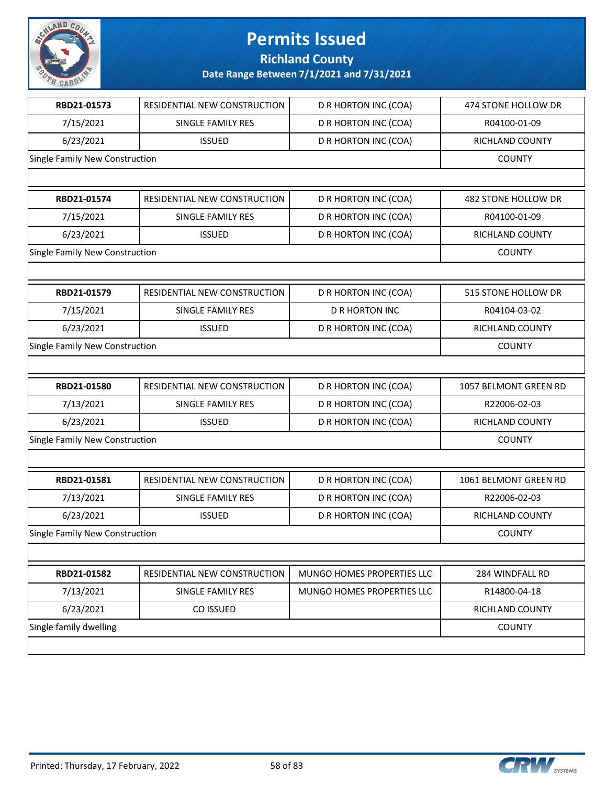

| RBD21-01573                    | RESIDENTIAL NEW CONSTRUCTION | D R HORTON INC (COA)       | 474 STONE HOLLOW DR   |
|--------------------------------|------------------------------|----------------------------|-----------------------|
| 7/15/2021                      | SINGLE FAMILY RES            | D R HORTON INC (COA)       | R04100-01-09          |
| 6/23/2021                      | <b>ISSUED</b>                | D R HORTON INC (COA)       | RICHLAND COUNTY       |
| Single Family New Construction |                              |                            | <b>COUNTY</b>         |
|                                |                              |                            |                       |
| RBD21-01574                    | RESIDENTIAL NEW CONSTRUCTION | D R HORTON INC (COA)       | 482 STONE HOLLOW DR   |
| 7/15/2021                      | SINGLE FAMILY RES            | D R HORTON INC (COA)       | R04100-01-09          |
| 6/23/2021                      | <b>ISSUED</b>                | D R HORTON INC (COA)       | RICHLAND COUNTY       |
| Single Family New Construction |                              |                            | <b>COUNTY</b>         |
|                                |                              |                            |                       |
| RBD21-01579                    | RESIDENTIAL NEW CONSTRUCTION | D R HORTON INC (COA)       | 515 STONE HOLLOW DR   |
| 7/15/2021                      | SINGLE FAMILY RES            | <b>D R HORTON INC</b>      | R04104-03-02          |
| 6/23/2021                      | <b>ISSUED</b>                | D R HORTON INC (COA)       | RICHLAND COUNTY       |
| Single Family New Construction |                              |                            | <b>COUNTY</b>         |
|                                |                              |                            |                       |
| RBD21-01580                    | RESIDENTIAL NEW CONSTRUCTION | D R HORTON INC (COA)       | 1057 BELMONT GREEN RD |
| 7/13/2021                      | SINGLE FAMILY RES            | D R HORTON INC (COA)       | R22006-02-03          |
| 6/23/2021                      | <b>ISSUED</b>                | D R HORTON INC (COA)       | RICHLAND COUNTY       |
| Single Family New Construction |                              |                            | <b>COUNTY</b>         |
|                                |                              |                            |                       |
| RBD21-01581                    | RESIDENTIAL NEW CONSTRUCTION | D R HORTON INC (COA)       | 1061 BELMONT GREEN RD |
| 7/13/2021                      | SINGLE FAMILY RES            | D R HORTON INC (COA)       | R22006-02-03          |
| 6/23/2021                      | <b>ISSUED</b>                | D R HORTON INC (COA)       | RICHLAND COUNTY       |
| Single Family New Construction |                              |                            | <b>COUNTY</b>         |
|                                |                              |                            |                       |
| RBD21-01582                    | RESIDENTIAL NEW CONSTRUCTION | MUNGO HOMES PROPERTIES LLC | 284 WINDFALL RD       |
| 7/13/2021                      | SINGLE FAMILY RES            | MUNGO HOMES PROPERTIES LLC | R14800-04-18          |
| 6/23/2021                      | CO ISSUED                    |                            | RICHLAND COUNTY       |
| Single family dwelling         |                              |                            | <b>COUNTY</b>         |
|                                |                              |                            |                       |

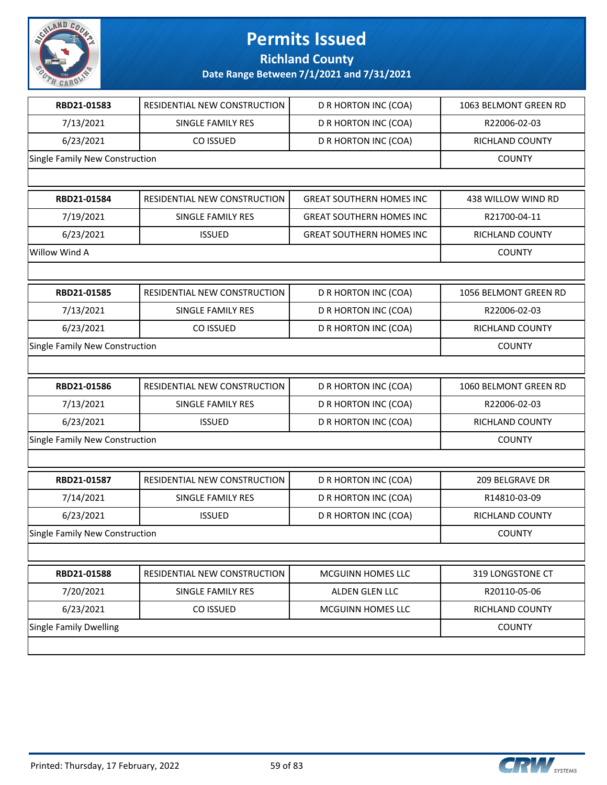

| RBD21-01583<br>7/13/2021<br>6/23/2021<br>RBD21-01584<br>7/19/2021<br>6/23/2021 | RESIDENTIAL NEW CONSTRUCTION<br>SINGLE FAMILY RES<br>CO ISSUED<br>RESIDENTIAL NEW CONSTRUCTION<br>SINGLE FAMILY RES<br><b>ISSUED</b> | D R HORTON INC (COA)<br>D R HORTON INC (COA)<br>D R HORTON INC (COA)<br><b>GREAT SOUTHERN HOMES INC</b><br><b>GREAT SOUTHERN HOMES INC</b> | 1063 BELMONT GREEN RD<br>R22006-02-03<br>RICHLAND COUNTY<br><b>COUNTY</b><br>438 WILLOW WIND RD |
|--------------------------------------------------------------------------------|--------------------------------------------------------------------------------------------------------------------------------------|--------------------------------------------------------------------------------------------------------------------------------------------|-------------------------------------------------------------------------------------------------|
| Single Family New Construction<br>Willow Wind A                                |                                                                                                                                      |                                                                                                                                            |                                                                                                 |
|                                                                                |                                                                                                                                      |                                                                                                                                            |                                                                                                 |
|                                                                                |                                                                                                                                      |                                                                                                                                            |                                                                                                 |
|                                                                                |                                                                                                                                      |                                                                                                                                            |                                                                                                 |
|                                                                                |                                                                                                                                      |                                                                                                                                            |                                                                                                 |
|                                                                                |                                                                                                                                      |                                                                                                                                            |                                                                                                 |
|                                                                                |                                                                                                                                      |                                                                                                                                            | R21700-04-11                                                                                    |
|                                                                                |                                                                                                                                      | <b>GREAT SOUTHERN HOMES INC</b>                                                                                                            | RICHLAND COUNTY                                                                                 |
|                                                                                |                                                                                                                                      |                                                                                                                                            | <b>COUNTY</b>                                                                                   |
|                                                                                |                                                                                                                                      |                                                                                                                                            |                                                                                                 |
| RBD21-01585                                                                    | RESIDENTIAL NEW CONSTRUCTION                                                                                                         | D R HORTON INC (COA)                                                                                                                       | 1056 BELMONT GREEN RD                                                                           |
| 7/13/2021                                                                      | SINGLE FAMILY RES                                                                                                                    | D R HORTON INC (COA)                                                                                                                       | R22006-02-03                                                                                    |
| 6/23/2021                                                                      | CO ISSUED                                                                                                                            | D R HORTON INC (COA)                                                                                                                       | RICHLAND COUNTY                                                                                 |
| Single Family New Construction                                                 | <b>COUNTY</b>                                                                                                                        |                                                                                                                                            |                                                                                                 |
|                                                                                |                                                                                                                                      |                                                                                                                                            |                                                                                                 |
| RBD21-01586                                                                    | RESIDENTIAL NEW CONSTRUCTION                                                                                                         | D R HORTON INC (COA)                                                                                                                       | 1060 BELMONT GREEN RD                                                                           |
| 7/13/2021                                                                      | SINGLE FAMILY RES                                                                                                                    | D R HORTON INC (COA)                                                                                                                       | R22006-02-03                                                                                    |
| 6/23/2021                                                                      | <b>ISSUED</b>                                                                                                                        | D R HORTON INC (COA)                                                                                                                       | RICHLAND COUNTY                                                                                 |
| Single Family New Construction                                                 |                                                                                                                                      |                                                                                                                                            | <b>COUNTY</b>                                                                                   |
|                                                                                |                                                                                                                                      |                                                                                                                                            |                                                                                                 |
| RBD21-01587                                                                    | RESIDENTIAL NEW CONSTRUCTION                                                                                                         | D R HORTON INC (COA)                                                                                                                       | 209 BELGRAVE DR                                                                                 |
| 7/14/2021                                                                      | SINGLE FAMILY RES                                                                                                                    | D R HORTON INC (COA)                                                                                                                       | R14810-03-09                                                                                    |
| 6/23/2021                                                                      | <b>ISSUED</b>                                                                                                                        | D R HORTON INC (COA)                                                                                                                       | RICHLAND COUNTY                                                                                 |
| Single Family New Construction                                                 |                                                                                                                                      |                                                                                                                                            | <b>COUNTY</b>                                                                                   |
|                                                                                |                                                                                                                                      |                                                                                                                                            |                                                                                                 |
| RBD21-01588                                                                    | RESIDENTIAL NEW CONSTRUCTION                                                                                                         | MCGUINN HOMES LLC                                                                                                                          | 319 LONGSTONE CT                                                                                |
| 7/20/2021                                                                      | SINGLE FAMILY RES                                                                                                                    | ALDEN GLEN LLC                                                                                                                             | R20110-05-06                                                                                    |
| 6/23/2021                                                                      | CO ISSUED                                                                                                                            | MCGUINN HOMES LLC                                                                                                                          | RICHLAND COUNTY                                                                                 |
| <b>Single Family Dwelling</b>                                                  |                                                                                                                                      |                                                                                                                                            | <b>COUNTY</b>                                                                                   |

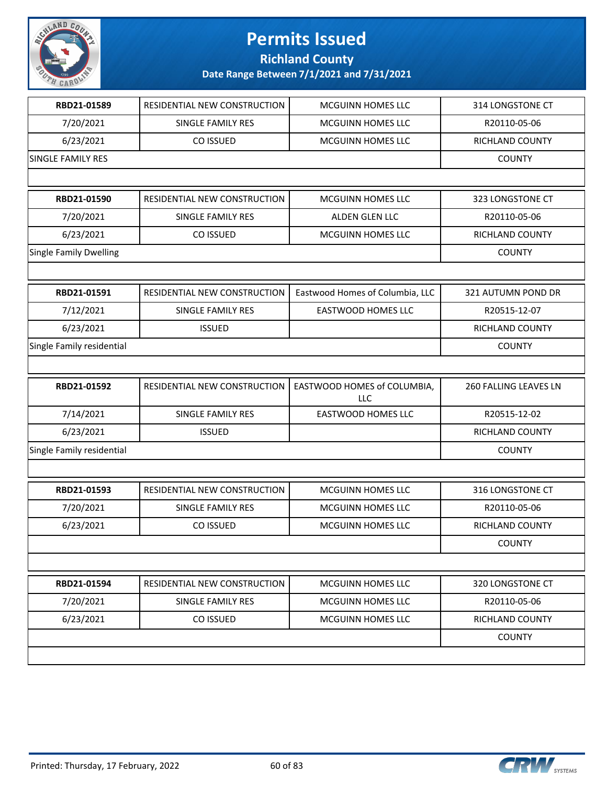

| RBD21-01589               | RESIDENTIAL NEW CONSTRUCTION | <b>MCGUINN HOMES LLC</b>                  | 314 LONGSTONE CT       |
|---------------------------|------------------------------|-------------------------------------------|------------------------|
| 7/20/2021                 | SINGLE FAMILY RES            | MCGUINN HOMES LLC                         | R20110-05-06           |
| 6/23/2021                 | CO ISSUED                    | MCGUINN HOMES LLC                         | RICHLAND COUNTY        |
| <b>SINGLE FAMILY RES</b>  | <b>COUNTY</b>                |                                           |                        |
|                           |                              |                                           |                        |
| RBD21-01590               | RESIDENTIAL NEW CONSTRUCTION | MCGUINN HOMES LLC                         | 323 LONGSTONE CT       |
| 7/20/2021                 | SINGLE FAMILY RES            | ALDEN GLEN LLC                            | R20110-05-06           |
| 6/23/2021                 | CO ISSUED                    | MCGUINN HOMES LLC                         | RICHLAND COUNTY        |
| Single Family Dwelling    |                              |                                           | <b>COUNTY</b>          |
|                           |                              |                                           |                        |
| RBD21-01591               | RESIDENTIAL NEW CONSTRUCTION | Eastwood Homes of Columbia, LLC           | 321 AUTUMN POND DR     |
| 7/12/2021                 | SINGLE FAMILY RES            | <b>EASTWOOD HOMES LLC</b>                 | R20515-12-07           |
| 6/23/2021                 | <b>ISSUED</b>                |                                           | RICHLAND COUNTY        |
| Single Family residential |                              |                                           | <b>COUNTY</b>          |
|                           |                              |                                           |                        |
| RBD21-01592               | RESIDENTIAL NEW CONSTRUCTION | EASTWOOD HOMES of COLUMBIA,<br><b>LLC</b> | 260 FALLING LEAVES LN  |
| 7/14/2021                 | SINGLE FAMILY RES            | EASTWOOD HOMES LLC                        | R20515-12-02           |
| 6/23/2021                 | <b>ISSUED</b>                |                                           | RICHLAND COUNTY        |
| Single Family residential |                              |                                           | <b>COUNTY</b>          |
|                           |                              |                                           |                        |
| RBD21-01593               | RESIDENTIAL NEW CONSTRUCTION | <b>MCGUINN HOMES LLC</b>                  | 316 LONGSTONE CT       |
| 7/20/2021                 | SINGLE FAMILY RES            | MCGUINN HOMES LLC                         | R20110-05-06           |
| 6/23/2021                 | CO ISSUED                    | MCGUINN HOMES LLC                         | <b>RICHLAND COUNTY</b> |
|                           |                              |                                           | <b>COUNTY</b>          |
|                           |                              |                                           |                        |
| RBD21-01594               | RESIDENTIAL NEW CONSTRUCTION | MCGUINN HOMES LLC                         | 320 LONGSTONE CT       |
| 7/20/2021                 | SINGLE FAMILY RES            | <b>MCGUINN HOMES LLC</b>                  | R20110-05-06           |
| 6/23/2021                 | CO ISSUED                    | MCGUINN HOMES LLC                         | RICHLAND COUNTY        |
|                           |                              |                                           | <b>COUNTY</b>          |
|                           |                              |                                           |                        |



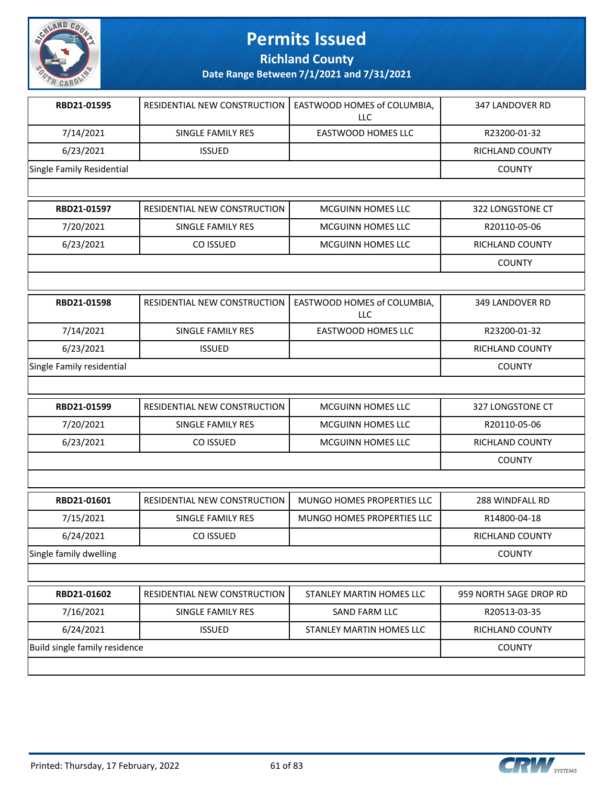

**Richland County**

| RBD21-01595               | RESIDENTIAL NEW CONSTRUCTION   EASTWOOD HOMES of COLUMBIA, | LLC                | 347 LANDOVER RD |
|---------------------------|------------------------------------------------------------|--------------------|-----------------|
| 7/14/2021                 | SINGLE FAMILY RES                                          | EASTWOOD HOMES LLC | R23200-01-32    |
| 6/23/2021                 | <b>ISSUED</b>                                              |                    | RICHLAND COUNTY |
| Single Family Residential |                                                            |                    | <b>COUNTY</b>   |
|                           |                                                            |                    |                 |

| RBD21-01597 | RESIDENTIAL NEW CONSTRUCTION I | MCGUINN HOMES LLC        | 322 LONGSTONE CT |
|-------------|--------------------------------|--------------------------|------------------|
| 7/20/2021   | SINGLE FAMILY RES              | MCGUINN HOMES LLC        | R20110-05-06     |
| 6/23/2021   | CO ISSUED                      | <b>MCGUINN HOMES LLC</b> | RICHLAND COUNTY  |
|             |                                |                          | COUNTY           |

| RBD21-01598               | <b>RESIDENTIAL NEW CONSTRUCTION I</b> | EASTWOOD HOMES of COLUMBIA,<br>LLC | 349 LANDOVER RD        |
|---------------------------|---------------------------------------|------------------------------------|------------------------|
| 7/14/2021                 | SINGLE FAMILY RES                     | EASTWOOD HOMES LLC                 | R23200-01-32           |
| 6/23/2021                 | <b>ISSUED</b>                         |                                    | <b>RICHLAND COUNTY</b> |
| Single Family residential |                                       |                                    | <b>COUNTY</b>          |

| RBD21-01599 | <b>RESIDENTIAL NEW CONSTRUCTION I</b> | <b>MCGUINN HOMES LLC</b> | 327 LONGSTONE CT |
|-------------|---------------------------------------|--------------------------|------------------|
| 7/20/2021   | SINGLE FAMILY RES                     | MCGUINN HOMES LLC        | R20110-05-06     |
| 6/23/2021   | CO ISSUED                             | MCGUINN HOMES LLC        | RICHLAND COUNTY  |
|             |                                       |                          | <b>COUNTY</b>    |

| RBD21-01601            | RESIDENTIAL NEW CONSTRUCTION | MUNGO HOMES PROPERTIES LLC | 288 WINDFALL RD |
|------------------------|------------------------------|----------------------------|-----------------|
| 7/15/2021              | SINGLE FAMILY RES            | MUNGO HOMES PROPERTIES LLC | R14800-04-18    |
| 6/24/2021              | CO ISSUED                    |                            | RICHLAND COUNTY |
| Single family dwelling |                              |                            | <b>COUNTY</b>   |

| RBD21-01602                   | <b>RESIDENTIAL NEW CONSTRUCTION I</b> | STANLEY MARTIN HOMES LLC | 959 NORTH SAGE DROP RD |
|-------------------------------|---------------------------------------|--------------------------|------------------------|
| 7/16/2021                     | SINGLE FAMILY RES                     | SAND FARM LLC            | R20513-03-35           |
| 6/24/2021                     | <b>ISSUED</b>                         | STANLEY MARTIN HOMES LLC | RICHLAND COUNTY        |
| Build single family residence |                                       |                          | <b>COUNTY</b>          |
|                               |                                       |                          |                        |

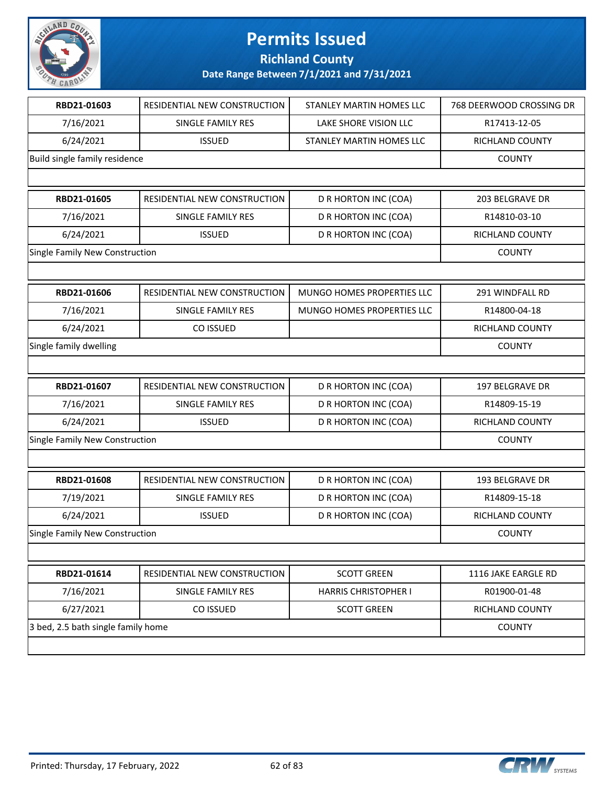

| RBD21-01603                        | RESIDENTIAL NEW CONSTRUCTION | STANLEY MARTIN HOMES LLC        | 768 DEERWOOD CROSSING DR |
|------------------------------------|------------------------------|---------------------------------|--------------------------|
| 7/16/2021                          | <b>SINGLE FAMILY RES</b>     | LAKE SHORE VISION LLC           | R17413-12-05             |
| 6/24/2021                          | <b>ISSUED</b>                | <b>STANLEY MARTIN HOMES LLC</b> | RICHLAND COUNTY          |
| Build single family residence      |                              |                                 | <b>COUNTY</b>            |
|                                    |                              |                                 |                          |
| RBD21-01605                        | RESIDENTIAL NEW CONSTRUCTION | D R HORTON INC (COA)            | 203 BELGRAVE DR          |
| 7/16/2021                          | SINGLE FAMILY RES            | D R HORTON INC (COA)            | R14810-03-10             |
| 6/24/2021                          | <b>ISSUED</b>                | D R HORTON INC (COA)            | RICHLAND COUNTY          |
| Single Family New Construction     |                              |                                 | <b>COUNTY</b>            |
|                                    |                              |                                 |                          |
| RBD21-01606                        | RESIDENTIAL NEW CONSTRUCTION | MUNGO HOMES PROPERTIES LLC      | 291 WINDFALL RD          |
| 7/16/2021                          | SINGLE FAMILY RES            | MUNGO HOMES PROPERTIES LLC      | R14800-04-18             |
| 6/24/2021                          | CO ISSUED                    |                                 | RICHLAND COUNTY          |
| Single family dwelling             |                              |                                 | <b>COUNTY</b>            |
|                                    |                              |                                 |                          |
| RBD21-01607                        | RESIDENTIAL NEW CONSTRUCTION | D R HORTON INC (COA)            | 197 BELGRAVE DR          |
| 7/16/2021                          | SINGLE FAMILY RES            | D R HORTON INC (COA)            | R14809-15-19             |
| 6/24/2021                          | <b>ISSUED</b>                | D R HORTON INC (COA)            | RICHLAND COUNTY          |
| Single Family New Construction     |                              |                                 | <b>COUNTY</b>            |
|                                    |                              |                                 |                          |
| RBD21-01608                        | RESIDENTIAL NEW CONSTRUCTION | D R HORTON INC (COA)            | <b>193 BELGRAVE DR</b>   |
| 7/19/2021                          | SINGLE FAMILY RES            | D R HORTON INC (COA)            | R14809-15-18             |
| 6/24/2021                          | <b>ISSUED</b>                | D R HORTON INC (COA)            | <b>RICHLAND COUNTY</b>   |
| Single Family New Construction     |                              |                                 | <b>COUNTY</b>            |
|                                    |                              |                                 |                          |
| RBD21-01614                        | RESIDENTIAL NEW CONSTRUCTION | <b>SCOTT GREEN</b>              | 1116 JAKE EARGLE RD      |
| 7/16/2021                          | SINGLE FAMILY RES            | HARRIS CHRISTOPHER I            | R01900-01-48             |
| 6/27/2021                          | CO ISSUED                    | <b>SCOTT GREEN</b>              | RICHLAND COUNTY          |
| 3 bed, 2.5 bath single family home | <b>COUNTY</b>                |                                 |                          |
|                                    |                              |                                 |                          |

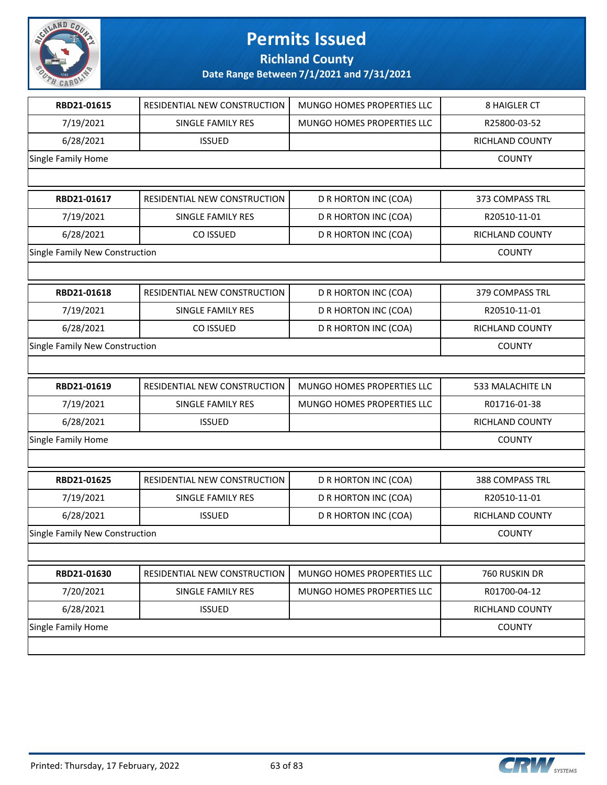

**Richland County**

| RBD21-01615                    | RESIDENTIAL NEW CONSTRUCTION | MUNGO HOMES PROPERTIES LLC | 8 HAIGLER CT     |
|--------------------------------|------------------------------|----------------------------|------------------|
| 7/19/2021                      | SINGLE FAMILY RES            | MUNGO HOMES PROPERTIES LLC | R25800-03-52     |
| 6/28/2021                      | <b>ISSUED</b>                |                            | RICHLAND COUNTY  |
| Single Family Home             |                              |                            | <b>COUNTY</b>    |
|                                |                              |                            |                  |
| RBD21-01617                    | RESIDENTIAL NEW CONSTRUCTION | D R HORTON INC (COA)       | 373 COMPASS TRL  |
| 7/19/2021                      | SINGLE FAMILY RES            | D R HORTON INC (COA)       | R20510-11-01     |
| 6/28/2021                      | CO ISSUED                    | D R HORTON INC (COA)       | RICHLAND COUNTY  |
| Single Family New Construction |                              |                            | <b>COUNTY</b>    |
|                                |                              |                            |                  |
| RBD21-01618                    | RESIDENTIAL NEW CONSTRUCTION | D R HORTON INC (COA)       | 379 COMPASS TRL  |
| 7/19/2021                      | SINGLE FAMILY RES            | D R HORTON INC (COA)       | R20510-11-01     |
| 6/28/2021                      | CO ISSUED                    | D R HORTON INC (COA)       | RICHLAND COUNTY  |
| Single Family New Construction |                              |                            | <b>COUNTY</b>    |
|                                |                              |                            |                  |
| RBD21-01619                    | RESIDENTIAL NEW CONSTRUCTION | MUNGO HOMES PROPERTIES LLC | 533 MALACHITE LN |
| 7/19/2021                      | SINGLE FAMILY RES            | MUNGO HOMES PROPERTIES LLC | R01716-01-38     |
| 6/28/2021                      | <b>ISSUED</b>                |                            | RICHLAND COUNTY  |
| Single Family Home             |                              |                            | <b>COUNTY</b>    |
|                                |                              |                            |                  |
| RBD21-01625                    | RESIDENTIAL NEW CONSTRUCTION | D R HORTON INC (COA)       | 388 COMPASS TRL  |
| 7/19/2021                      | <b>SINGLE FAMILY RES</b>     | D R HORTON INC (COA)       | R20510-11-01     |
| 6/28/2021                      | <b>ISSUED</b>                | D R HORTON INC (COA)       | RICHLAND COUNTY  |
| Single Family New Construction |                              |                            | <b>COUNTY</b>    |
|                                |                              |                            |                  |
| RBD21-01630                    | RESIDENTIAL NEW CONSTRUCTION | MUNGO HOMES PROPERTIES LLC | 760 RUSKIN DR    |
| 7/20/2021                      | SINGLE FAMILY RES            | MUNGO HOMES PROPERTIES LLC | R01700-04-12     |
| 6/28/2021                      | <b>ISSUED</b>                |                            | RICHLAND COUNTY  |
| Single Family Home             |                              |                            | <b>COUNTY</b>    |
|                                |                              |                            |                  |
|                                |                              |                            |                  |

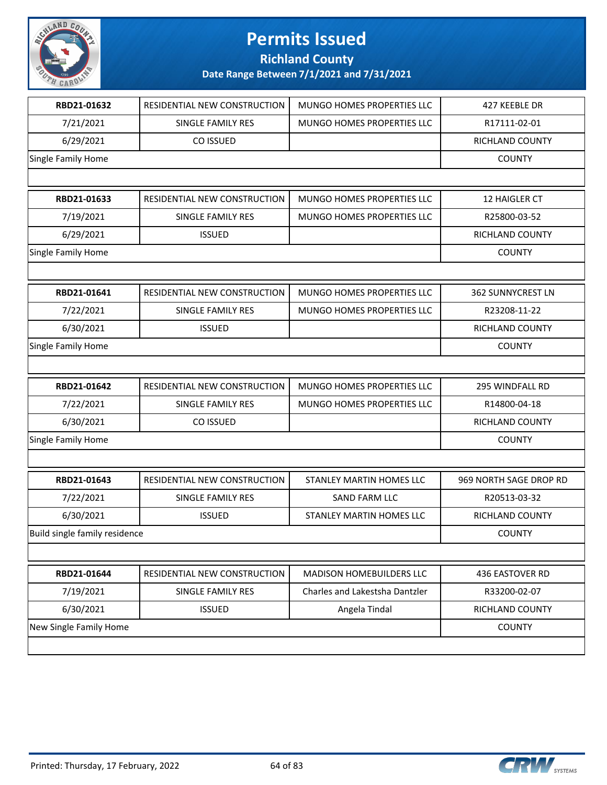

**Richland County**

| RBD21-01632                   | RESIDENTIAL NEW CONSTRUCTION | MUNGO HOMES PROPERTIES LLC        | 427 KEEBLE DR            |
|-------------------------------|------------------------------|-----------------------------------|--------------------------|
| 7/21/2021                     | SINGLE FAMILY RES            | MUNGO HOMES PROPERTIES LLC        | R17111-02-01             |
| 6/29/2021                     | CO ISSUED                    |                                   | RICHLAND COUNTY          |
| Single Family Home            |                              |                                   | <b>COUNTY</b>            |
|                               |                              |                                   |                          |
| RBD21-01633                   | RESIDENTIAL NEW CONSTRUCTION | MUNGO HOMES PROPERTIES LLC        | 12 HAIGLER CT            |
| 7/19/2021                     | SINGLE FAMILY RES            | <b>MUNGO HOMES PROPERTIES LLC</b> | R25800-03-52             |
| 6/29/2021                     | <b>ISSUED</b>                |                                   | <b>RICHLAND COUNTY</b>   |
| Single Family Home            |                              |                                   | <b>COUNTY</b>            |
|                               |                              |                                   |                          |
| RBD21-01641                   | RESIDENTIAL NEW CONSTRUCTION | MUNGO HOMES PROPERTIES LLC        | <b>362 SUNNYCREST LN</b> |
| 7/22/2021                     | SINGLE FAMILY RES            | MUNGO HOMES PROPERTIES LLC        | R23208-11-22             |
| 6/30/2021                     | <b>ISSUED</b>                |                                   | RICHLAND COUNTY          |
| Single Family Home            |                              |                                   | <b>COUNTY</b>            |
|                               |                              |                                   |                          |
| RBD21-01642                   | RESIDENTIAL NEW CONSTRUCTION | MUNGO HOMES PROPERTIES LLC        | 295 WINDFALL RD          |
| 7/22/2021                     | SINGLE FAMILY RES            | MUNGO HOMES PROPERTIES LLC        | R14800-04-18             |
| 6/30/2021                     | CO ISSUED                    |                                   | RICHLAND COUNTY          |
| Single Family Home            |                              |                                   | <b>COUNTY</b>            |
|                               |                              |                                   |                          |
| RBD21-01643                   | RESIDENTIAL NEW CONSTRUCTION | STANLEY MARTIN HOMES LLC          | 969 NORTH SAGE DROP RD   |
| 7/22/2021                     | SINGLE FAMILY RES            | <b>SAND FARM LLC</b>              | R20513-03-32             |
| 6/30/2021                     | <b>ISSUED</b>                | STANLEY MARTIN HOMES LLC          | RICHLAND COUNTY          |
| Build single family residence |                              |                                   | <b>COUNTY</b>            |
|                               |                              |                                   |                          |
| RBD21-01644                   | RESIDENTIAL NEW CONSTRUCTION | MADISON HOMEBUILDERS LLC          | 436 EASTOVER RD          |
| 7/19/2021                     | SINGLE FAMILY RES            | Charles and Lakestsha Dantzler    | R33200-02-07             |
| 6/30/2021                     | <b>ISSUED</b>                | Angela Tindal                     | RICHLAND COUNTY          |
| New Single Family Home        |                              |                                   | <b>COUNTY</b>            |
|                               |                              |                                   |                          |
|                               |                              |                                   |                          |

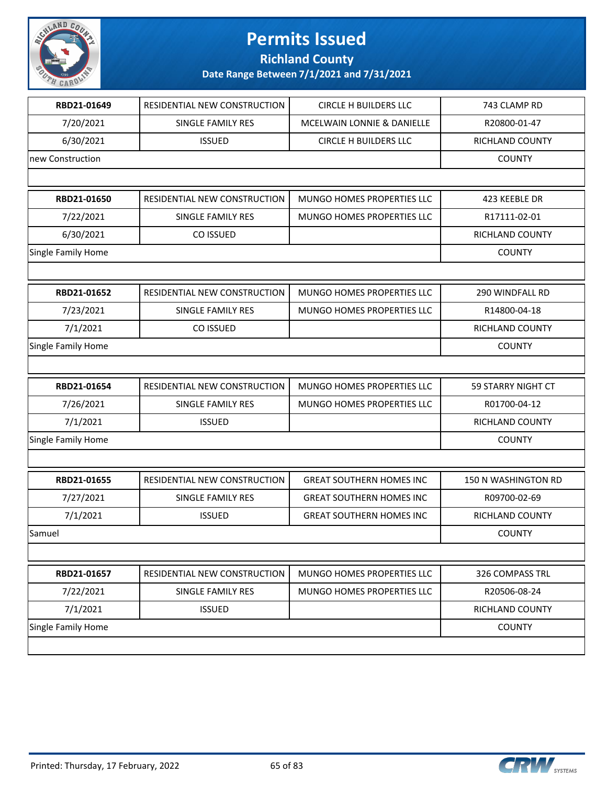

**Richland County**

| RBD21-01649        | RESIDENTIAL NEW CONSTRUCTION | <b>CIRCLE H BUILDERS LLC</b>    | 743 CLAMP RD           |
|--------------------|------------------------------|---------------------------------|------------------------|
| 7/20/2021          | <b>SINGLE FAMILY RES</b>     | MCELWAIN LONNIE & DANIELLE      | R20800-01-47           |
| 6/30/2021          | <b>ISSUED</b>                | <b>CIRCLE H BUILDERS LLC</b>    | RICHLAND COUNTY        |
| new Construction   |                              |                                 | <b>COUNTY</b>          |
|                    |                              |                                 |                        |
| RBD21-01650        | RESIDENTIAL NEW CONSTRUCTION | MUNGO HOMES PROPERTIES LLC      | 423 KEEBLE DR          |
| 7/22/2021          | SINGLE FAMILY RES            | MUNGO HOMES PROPERTIES LLC      | R17111-02-01           |
| 6/30/2021          | CO ISSUED                    |                                 | <b>RICHLAND COUNTY</b> |
| Single Family Home |                              |                                 | <b>COUNTY</b>          |
|                    |                              |                                 |                        |
| RBD21-01652        | RESIDENTIAL NEW CONSTRUCTION | MUNGO HOMES PROPERTIES LLC      | 290 WINDFALL RD        |
| 7/23/2021          | SINGLE FAMILY RES            | MUNGO HOMES PROPERTIES LLC      | R14800-04-18           |
| 7/1/2021           | CO ISSUED                    |                                 | RICHLAND COUNTY        |
| Single Family Home |                              |                                 | <b>COUNTY</b>          |
|                    |                              |                                 |                        |
| RBD21-01654        | RESIDENTIAL NEW CONSTRUCTION | MUNGO HOMES PROPERTIES LLC      | 59 STARRY NIGHT CT     |
| 7/26/2021          | SINGLE FAMILY RES            | MUNGO HOMES PROPERTIES LLC      | R01700-04-12           |
| 7/1/2021           | <b>ISSUED</b>                |                                 | RICHLAND COUNTY        |
| Single Family Home |                              |                                 | <b>COUNTY</b>          |
|                    |                              |                                 |                        |
| RBD21-01655        | RESIDENTIAL NEW CONSTRUCTION | <b>GREAT SOUTHERN HOMES INC</b> | 150 N WASHINGTON RD    |
| 7/27/2021          | SINGLE FAMILY RES            | <b>GREAT SOUTHERN HOMES INC</b> | R09700-02-69           |
| 7/1/2021           | <b>ISSUED</b>                | <b>GREAT SOUTHERN HOMES INC</b> | RICHLAND COUNTY        |
| Samuel             |                              |                                 | <b>COUNTY</b>          |
|                    |                              |                                 |                        |
| RBD21-01657        | RESIDENTIAL NEW CONSTRUCTION | MUNGO HOMES PROPERTIES LLC      | 326 COMPASS TRL        |
| 7/22/2021          | SINGLE FAMILY RES            | MUNGO HOMES PROPERTIES LLC      | R20506-08-24           |
| 7/1/2021           | <b>ISSUED</b>                |                                 | RICHLAND COUNTY        |
| Single Family Home |                              |                                 | <b>COUNTY</b>          |
|                    |                              |                                 |                        |
|                    |                              |                                 |                        |

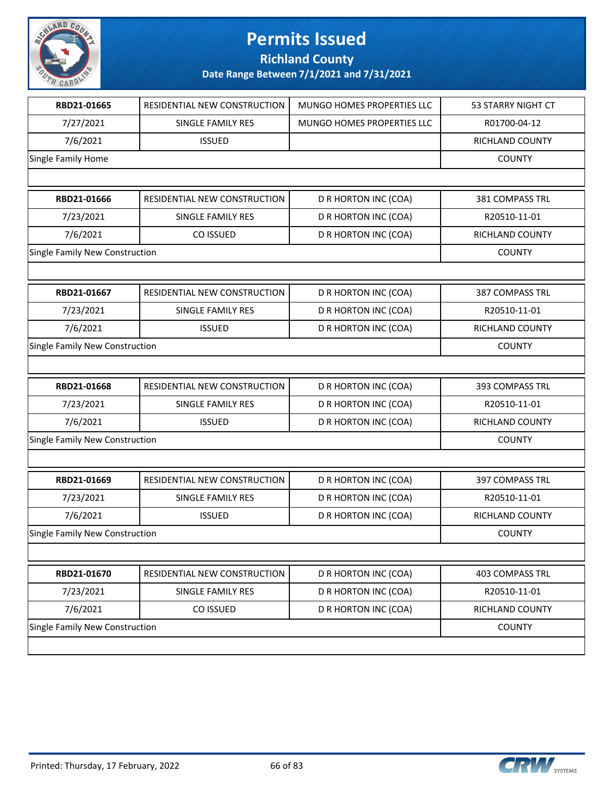

**Richland County**

| RBD21-01665                    | RESIDENTIAL NEW CONSTRUCTION   | MUNGO HOMES PROPERTIES LLC  | 53 STARRY NIGHT CT     |  |
|--------------------------------|--------------------------------|-----------------------------|------------------------|--|
| 7/27/2021                      | SINGLE FAMILY RES              | MUNGO HOMES PROPERTIES LLC  | R01700-04-12           |  |
| 7/6/2021                       | <b>ISSUED</b>                  |                             | RICHLAND COUNTY        |  |
| Single Family Home             |                                |                             |                        |  |
|                                |                                |                             |                        |  |
| RBD21-01666                    | RESIDENTIAL NEW CONSTRUCTION   | D R HORTON INC (COA)        | 381 COMPASS TRL        |  |
| 7/23/2021                      | SINGLE FAMILY RES              | D R HORTON INC (COA)        | R20510-11-01           |  |
| 7/6/2021                       | CO ISSUED                      | D R HORTON INC (COA)        | RICHLAND COUNTY        |  |
| Single Family New Construction |                                |                             | <b>COUNTY</b>          |  |
|                                |                                |                             |                        |  |
| RBD21-01667                    | RESIDENTIAL NEW CONSTRUCTION   | D R HORTON INC (COA)        | <b>387 COMPASS TRL</b> |  |
| 7/23/2021                      | SINGLE FAMILY RES              | D R HORTON INC (COA)        | R20510-11-01           |  |
| 7/6/2021                       | <b>ISSUED</b>                  | D R HORTON INC (COA)        | RICHLAND COUNTY        |  |
| Single Family New Construction |                                |                             | <b>COUNTY</b>          |  |
|                                |                                |                             |                        |  |
| RBD21-01668                    | RESIDENTIAL NEW CONSTRUCTION   | D R HORTON INC (COA)        | 393 COMPASS TRL        |  |
| 7/23/2021                      | SINGLE FAMILY RES              | D R HORTON INC (COA)        | R20510-11-01           |  |
| 7/6/2021                       | <b>ISSUED</b>                  | D R HORTON INC (COA)        | RICHLAND COUNTY        |  |
| Single Family New Construction |                                |                             | <b>COUNTY</b>          |  |
|                                |                                |                             |                        |  |
| RBD21-01669                    | RESIDENTIAL NEW CONSTRUCTION   | D R HORTON INC (COA)        | <b>397 COMPASS TRL</b> |  |
| 7/23/2021                      | SINGLE FAMILY RES              | D R HORTON INC (COA)        | R20510-11-01           |  |
| 7/6/2021                       | <b>ISSUED</b>                  | D R HORTON INC (COA)        | <b>RICHLAND COUNTY</b> |  |
| Single Family New Construction |                                |                             | <b>COUNTY</b>          |  |
|                                |                                |                             |                        |  |
| RBD21-01670                    | RESIDENTIAL NEW CONSTRUCTION   | D R HORTON INC (COA)        | <b>403 COMPASS TRL</b> |  |
| 7/23/2021                      | SINGLE FAMILY RES              | D R HORTON INC (COA)        | R20510-11-01           |  |
| 7/6/2021                       | CO ISSUED                      | <b>D R HORTON INC (COA)</b> | RICHLAND COUNTY        |  |
|                                | Single Family New Construction |                             |                        |  |
|                                |                                |                             |                        |  |

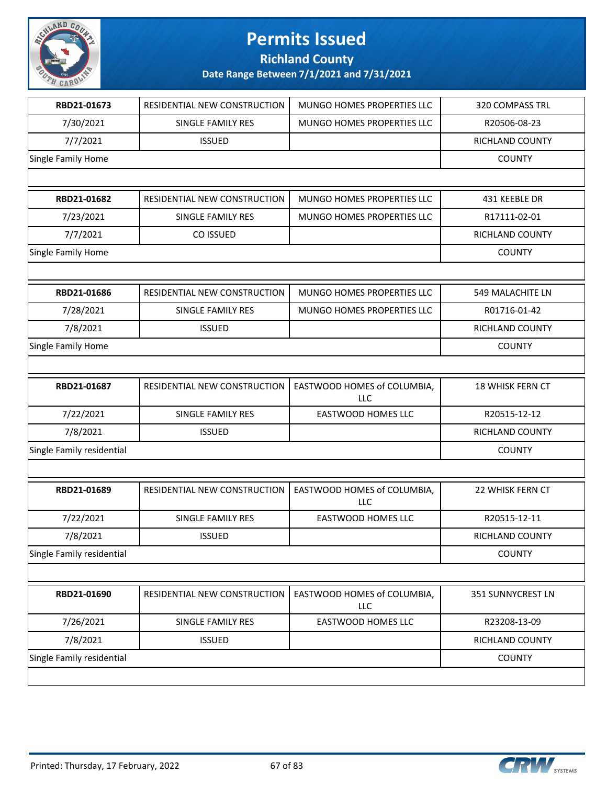

**Richland County**

| RBD21-01673               | RESIDENTIAL NEW CONSTRUCTION | MUNGO HOMES PROPERTIES LLC         | <b>320 COMPASS TRL</b>  |
|---------------------------|------------------------------|------------------------------------|-------------------------|
| 7/30/2021                 | SINGLE FAMILY RES            | MUNGO HOMES PROPERTIES LLC         | R20506-08-23            |
| 7/7/2021                  | <b>ISSUED</b>                |                                    | RICHLAND COUNTY         |
| Single Family Home        |                              |                                    | <b>COUNTY</b>           |
|                           |                              |                                    |                         |
| RBD21-01682               | RESIDENTIAL NEW CONSTRUCTION | MUNGO HOMES PROPERTIES LLC         | 431 KEEBLE DR           |
| 7/23/2021                 | SINGLE FAMILY RES            | MUNGO HOMES PROPERTIES LLC         | R17111-02-01            |
| 7/7/2021                  | CO ISSUED                    |                                    | RICHLAND COUNTY         |
| Single Family Home        |                              |                                    | <b>COUNTY</b>           |
|                           |                              |                                    |                         |
| RBD21-01686               | RESIDENTIAL NEW CONSTRUCTION | MUNGO HOMES PROPERTIES LLC         | 549 MALACHITE LN        |
| 7/28/2021                 | SINGLE FAMILY RES            | MUNGO HOMES PROPERTIES LLC         | R01716-01-42            |
| 7/8/2021                  | <b>ISSUED</b>                |                                    | RICHLAND COUNTY         |
| Single Family Home        |                              |                                    | <b>COUNTY</b>           |
|                           |                              |                                    |                         |
| RBD21-01687               | RESIDENTIAL NEW CONSTRUCTION | EASTWOOD HOMES of COLUMBIA,<br>LLC | <b>18 WHISK FERN CT</b> |
| 7/22/2021                 | SINGLE FAMILY RES            | EASTWOOD HOMES LLC                 | R20515-12-12            |
| 7/8/2021                  | <b>ISSUED</b>                |                                    | RICHLAND COUNTY         |
| Single Family residential |                              |                                    | <b>COUNTY</b>           |
|                           |                              |                                    |                         |
| RBD21-01689               | RESIDENTIAL NEW CONSTRUCTION | EASTWOOD HOMES of COLUMBIA,<br>LLC | 22 WHISK FERN CT        |
| 7/22/2021                 | SINGLE FAMILY RES            | <b>EASTWOOD HOMES LLC</b>          | R20515-12-11            |
| 7/8/2021                  | <b>ISSUED</b>                |                                    | RICHLAND COUNTY         |
| Single Family residential |                              |                                    | <b>COUNTY</b>           |
|                           |                              |                                    |                         |
| RBD21-01690               | RESIDENTIAL NEW CONSTRUCTION | EASTWOOD HOMES of COLUMBIA,<br>LLC | 351 SUNNYCREST LN       |
| 7/26/2021                 | SINGLE FAMILY RES            | EASTWOOD HOMES LLC                 | R23208-13-09            |
| 7/8/2021                  | <b>ISSUED</b>                |                                    | RICHLAND COUNTY         |
| Single Family residential |                              |                                    | <b>COUNTY</b>           |
|                           |                              |                                    |                         |

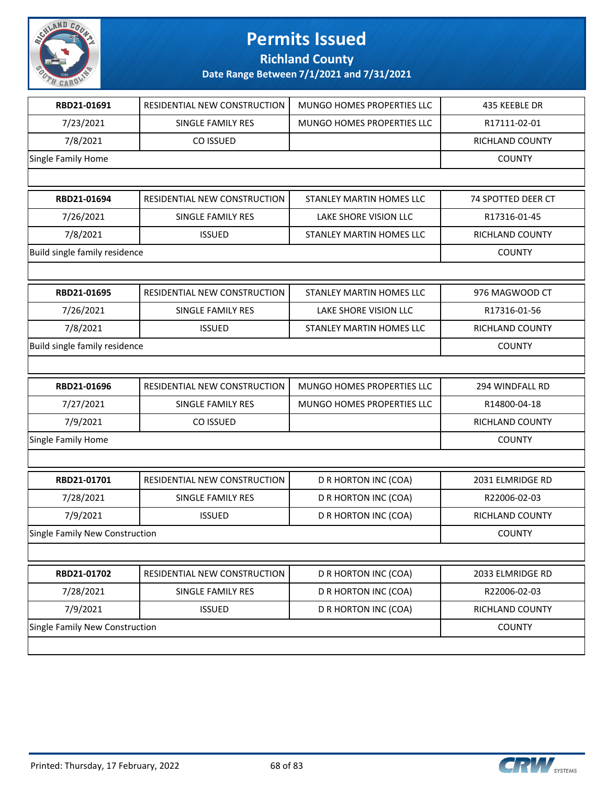

**Richland County**

| RESIDENTIAL NEW CONSTRUCTION   | MUNGO HOMES PROPERTIES LLC | 435 KEEBLE DR      |
|--------------------------------|----------------------------|--------------------|
| SINGLE FAMILY RES              | MUNGO HOMES PROPERTIES LLC | R17111-02-01       |
| CO ISSUED                      |                            | RICHLAND COUNTY    |
|                                |                            | <b>COUNTY</b>      |
|                                |                            |                    |
| RESIDENTIAL NEW CONSTRUCTION   | STANLEY MARTIN HOMES LLC   | 74 SPOTTED DEER CT |
| SINGLE FAMILY RES              | LAKE SHORE VISION LLC      | R17316-01-45       |
| <b>ISSUED</b>                  | STANLEY MARTIN HOMES LLC   | RICHLAND COUNTY    |
| Build single family residence  |                            | <b>COUNTY</b>      |
|                                |                            |                    |
| RESIDENTIAL NEW CONSTRUCTION   | STANLEY MARTIN HOMES LLC   | 976 MAGWOOD CT     |
| SINGLE FAMILY RES              | LAKE SHORE VISION LLC      | R17316-01-56       |
| <b>ISSUED</b>                  | STANLEY MARTIN HOMES LLC   | RICHLAND COUNTY    |
| Build single family residence  |                            | <b>COUNTY</b>      |
|                                |                            |                    |
| RESIDENTIAL NEW CONSTRUCTION   | MUNGO HOMES PROPERTIES LLC | 294 WINDFALL RD    |
| SINGLE FAMILY RES              | MUNGO HOMES PROPERTIES LLC | R14800-04-18       |
| CO ISSUED                      |                            | RICHLAND COUNTY    |
| Single Family Home             |                            |                    |
|                                |                            |                    |
| RESIDENTIAL NEW CONSTRUCTION   | D R HORTON INC (COA)       | 2031 ELMRIDGE RD   |
| SINGLE FAMILY RES              | D R HORTON INC (COA)       | R22006-02-03       |
| <b>ISSUED</b>                  | D R HORTON INC (COA)       | RICHLAND COUNTY    |
| Single Family New Construction |                            |                    |
|                                |                            |                    |
|                                |                            |                    |
| RESIDENTIAL NEW CONSTRUCTION   | D R HORTON INC (COA)       | 2033 ELMRIDGE RD   |
| SINGLE FAMILY RES              | D R HORTON INC (COA)       | R22006-02-03       |
| <b>ISSUED</b>                  | D R HORTON INC (COA)       | RICHLAND COUNTY    |
| Single Family New Construction |                            | <b>COUNTY</b>      |
|                                |                            |                    |

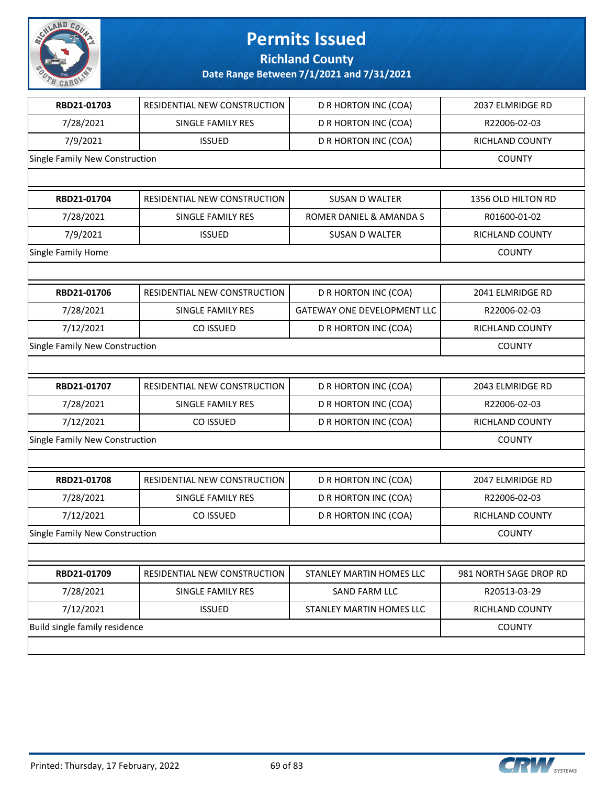

| RBD21-01703                    | RESIDENTIAL NEW CONSTRUCTION | D R HORTON INC (COA)               | 2037 ELMRIDGE RD       |
|--------------------------------|------------------------------|------------------------------------|------------------------|
| 7/28/2021                      | <b>SINGLE FAMILY RES</b>     | D R HORTON INC (COA)               | R22006-02-03           |
| 7/9/2021                       | <b>ISSUED</b>                | D R HORTON INC (COA)               | RICHLAND COUNTY        |
| Single Family New Construction |                              |                                    | <b>COUNTY</b>          |
|                                |                              |                                    |                        |
| RBD21-01704                    | RESIDENTIAL NEW CONSTRUCTION | <b>SUSAN D WALTER</b>              | 1356 OLD HILTON RD     |
| 7/28/2021                      | <b>SINGLE FAMILY RES</b>     | ROMER DANIEL & AMANDA S            | R01600-01-02           |
| 7/9/2021                       | <b>ISSUED</b>                | <b>SUSAN D WALTER</b>              | RICHLAND COUNTY        |
| Single Family Home             |                              |                                    | <b>COUNTY</b>          |
|                                |                              |                                    |                        |
| RBD21-01706                    | RESIDENTIAL NEW CONSTRUCTION | D R HORTON INC (COA)               | 2041 ELMRIDGE RD       |
| 7/28/2021                      | SINGLE FAMILY RES            | <b>GATEWAY ONE DEVELOPMENT LLC</b> | R22006-02-03           |
| 7/12/2021                      | CO ISSUED                    | D R HORTON INC (COA)               | RICHLAND COUNTY        |
| Single Family New Construction |                              |                                    | <b>COUNTY</b>          |
|                                |                              |                                    |                        |
| RBD21-01707                    | RESIDENTIAL NEW CONSTRUCTION | D R HORTON INC (COA)               | 2043 ELMRIDGE RD       |
| 7/28/2021                      | SINGLE FAMILY RES            | D R HORTON INC (COA)               | R22006-02-03           |
| 7/12/2021                      | CO ISSUED                    | D R HORTON INC (COA)               | RICHLAND COUNTY        |
| Single Family New Construction |                              | <b>COUNTY</b>                      |                        |
|                                |                              |                                    |                        |
| RBD21-01708                    | RESIDENTIAL NEW CONSTRUCTION | D R HORTON INC (COA)               | 2047 ELMRIDGE RD       |
| 7/28/2021                      | SINGLE FAMILY RES            | D R HORTON INC (COA)               | R22006-02-03           |
| 7/12/2021                      | CO ISSUED                    | D R HORTON INC (COA)               | RICHLAND COUNTY        |
| Single Family New Construction |                              |                                    | <b>COUNTY</b>          |
|                                |                              |                                    |                        |
| RBD21-01709                    | RESIDENTIAL NEW CONSTRUCTION | STANLEY MARTIN HOMES LLC           | 981 NORTH SAGE DROP RD |
| 7/28/2021                      | SINGLE FAMILY RES            | SAND FARM LLC                      | R20513-03-29           |
| 7/12/2021                      | <b>ISSUED</b>                | STANLEY MARTIN HOMES LLC           | RICHLAND COUNTY        |
| Build single family residence  |                              |                                    | <b>COUNTY</b>          |
|                                |                              |                                    |                        |

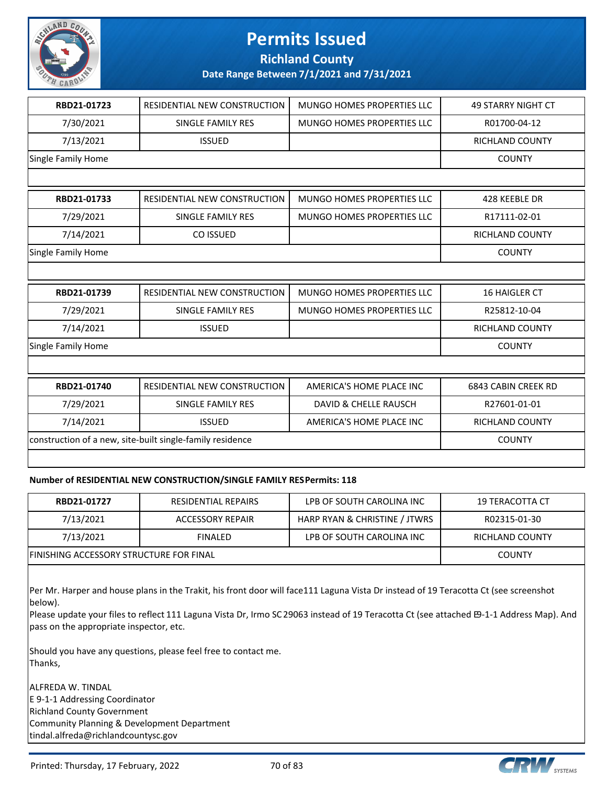

**Richland County**

**Date Range Between 7/1/2021 and 7/31/2021**

| RBD21-01723        | RESIDENTIAL NEW CONSTRUCTION                              | MUNGO HOMES PROPERTIES LLC        | <b>49 STARRY NIGHT CT</b> |
|--------------------|-----------------------------------------------------------|-----------------------------------|---------------------------|
| 7/30/2021          | <b>SINGLE FAMILY RES</b>                                  | <b>MUNGO HOMES PROPERTIES LLC</b> | R01700-04-12              |
| 7/13/2021          | <b>ISSUED</b>                                             |                                   | <b>RICHLAND COUNTY</b>    |
| Single Family Home |                                                           |                                   | <b>COUNTY</b>             |
|                    |                                                           |                                   |                           |
| RBD21-01733        | RESIDENTIAL NEW CONSTRUCTION                              | MUNGO HOMES PROPERTIES LLC        | 428 KEEBLE DR             |
| 7/29/2021          | SINGLE FAMILY RES                                         | <b>MUNGO HOMES PROPERTIES LLC</b> | R17111-02-01              |
| 7/14/2021          | CO ISSUED                                                 |                                   | <b>RICHLAND COUNTY</b>    |
| Single Family Home |                                                           |                                   | <b>COUNTY</b>             |
|                    |                                                           |                                   |                           |
| RBD21-01739        | RESIDENTIAL NEW CONSTRUCTION                              | <b>MUNGO HOMES PROPERTIES LLC</b> | <b>16 HAIGLER CT</b>      |
| 7/29/2021          | <b>SINGLE FAMILY RES</b>                                  | <b>MUNGO HOMES PROPERTIES LLC</b> | R25812-10-04              |
|                    |                                                           |                                   |                           |
| 7/14/2021          | <b>ISSUED</b>                                             |                                   | <b>RICHLAND COUNTY</b>    |
| Single Family Home |                                                           |                                   | <b>COUNTY</b>             |
|                    |                                                           |                                   |                           |
| RBD21-01740        | RESIDENTIAL NEW CONSTRUCTION                              | AMERICA'S HOME PLACE INC          | 6843 CABIN CREEK RD       |
| 7/29/2021          | SINGLE FAMILY RES                                         | DAVID & CHELLE RAUSCH             | R27601-01-01              |
| 7/14/2021          | <b>ISSUED</b>                                             | AMERICA'S HOME PLACE INC          | <b>RICHLAND COUNTY</b>    |
|                    | construction of a new, site-built single-family residence |                                   | <b>COUNTY</b>             |

#### **Number of RESIDENTIAL NEW CONSTRUCTION/SINGLE FAMILY RES Permits: 118**

| RBD21-01727                             | RESIDENTIAL REPAIRS | LPB OF SOUTH CAROLINA INC     | 19 TERACOTTA CT |
|-----------------------------------------|---------------------|-------------------------------|-----------------|
| 7/13/2021                               | ACCESSORY REPAIR    | HARP RYAN & CHRISTINE / JTWRS | R02315-01-30    |
| 7/13/2021                               | <b>FINALED</b>      | LPB OF SOUTH CAROLINA INC     | RICHLAND COUNTY |
| FINISHING ACCESSORY STRUCTURE FOR FINAL |                     |                               | <b>COUNTY</b>   |

Per Mr. Harper and house plans in the Trakit, his front door will face111 Laguna Vista Dr instead of 19 Teracotta Ct (see screenshot below).

Please update your files to reflect 111 Laguna Vista Dr, Irmo SC 29063 instead of 19 Teracotta Ct (see attached E9-1-1 Address Map). And pass on the appropriate inspector, etc.

Should you have any questions, please feel free to contact me. Thanks,

ALFREDA W. TINDAL E 9-1-1 Addressing Coordinator Richland County Government Community Planning & Development Department tindal.alfreda@richlandcountysc.gov

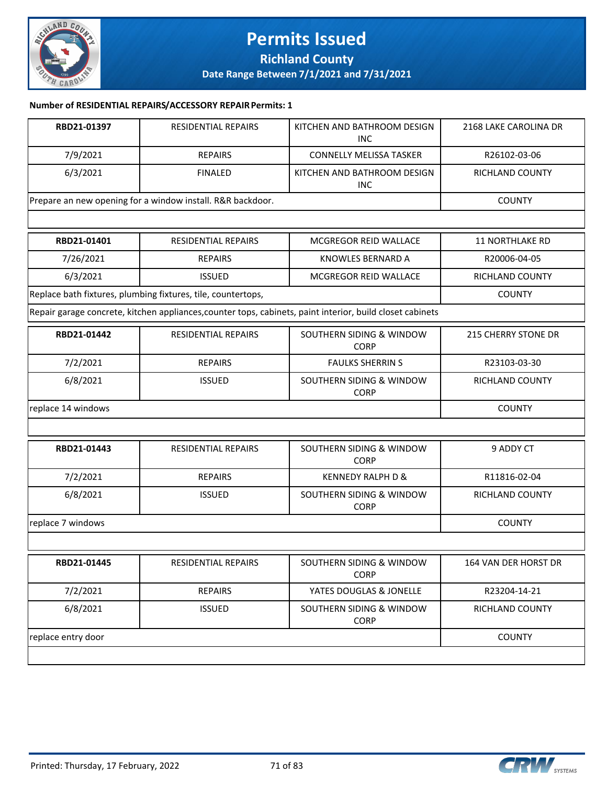

#### **Permits Issued Richland County Date Range Between 7/1/2021 and 7/31/2021**

#### **Number of RESIDENTIAL REPAIRS/ACCESSORY REPAIR Permits: 1**

| RBD21-01397        | RESIDENTIAL REPAIRS                                          | KITCHEN AND BATHROOM DESIGN<br><b>INC</b>                                                                 | 2168 LAKE CAROLINA DR      |
|--------------------|--------------------------------------------------------------|-----------------------------------------------------------------------------------------------------------|----------------------------|
| 7/9/2021           | <b>REPAIRS</b>                                               | <b>CONNELLY MELISSA TASKER</b>                                                                            | R26102-03-06               |
| 6/3/2021           | <b>FINALED</b>                                               | KITCHEN AND BATHROOM DESIGN<br><b>INC</b>                                                                 | RICHLAND COUNTY            |
|                    | Prepare an new opening for a window install. R&R backdoor.   |                                                                                                           | <b>COUNTY</b>              |
|                    |                                                              |                                                                                                           |                            |
| RBD21-01401        | RESIDENTIAL REPAIRS                                          | MCGREGOR REID WALLACE                                                                                     | <b>11 NORTHLAKE RD</b>     |
| 7/26/2021          | <b>REPAIRS</b>                                               | <b>KNOWLES BERNARD A</b>                                                                                  | R20006-04-05               |
| 6/3/2021           | <b>ISSUED</b>                                                | MCGREGOR REID WALLACE                                                                                     | RICHLAND COUNTY            |
|                    | Replace bath fixtures, plumbing fixtures, tile, countertops, |                                                                                                           | <b>COUNTY</b>              |
|                    |                                                              | Repair garage concrete, kitchen appliances, counter tops, cabinets, paint interior, build closet cabinets |                            |
| RBD21-01442        | RESIDENTIAL REPAIRS                                          | SOUTHERN SIDING & WINDOW<br><b>CORP</b>                                                                   | <b>215 CHERRY STONE DR</b> |
| 7/2/2021           | <b>REPAIRS</b>                                               | <b>FAULKS SHERRIN S</b>                                                                                   | R23103-03-30               |
| 6/8/2021           | <b>ISSUED</b>                                                | SOUTHERN SIDING & WINDOW<br><b>CORP</b>                                                                   | RICHLAND COUNTY            |
| replace 14 windows |                                                              |                                                                                                           | <b>COUNTY</b>              |
|                    |                                                              |                                                                                                           |                            |
| RBD21-01443        | RESIDENTIAL REPAIRS                                          | SOUTHERN SIDING & WINDOW<br><b>CORP</b>                                                                   | 9 ADDY CT                  |
| 7/2/2021           | <b>REPAIRS</b>                                               | <b>KENNEDY RALPH D &amp;</b>                                                                              | R11816-02-04               |
| 6/8/2021           | <b>ISSUED</b>                                                | SOUTHERN SIDING & WINDOW<br><b>CORP</b>                                                                   | RICHLAND COUNTY            |
| replace 7 windows  |                                                              |                                                                                                           | <b>COUNTY</b>              |
|                    |                                                              |                                                                                                           |                            |
| RBD21-01445        | RESIDENTIAL REPAIRS                                          | SOUTHERN SIDING & WINDOW<br><b>CORP</b>                                                                   | 164 VAN DER HORST DR       |
| 7/2/2021           | <b>REPAIRS</b>                                               | YATES DOUGLAS & JONELLE                                                                                   | R23204-14-21               |
| 6/8/2021           | <b>ISSUED</b>                                                | SOUTHERN SIDING & WINDOW<br><b>CORP</b>                                                                   | RICHLAND COUNTY            |
| replace entry door |                                                              |                                                                                                           | <b>COUNTY</b>              |
|                    |                                                              |                                                                                                           |                            |

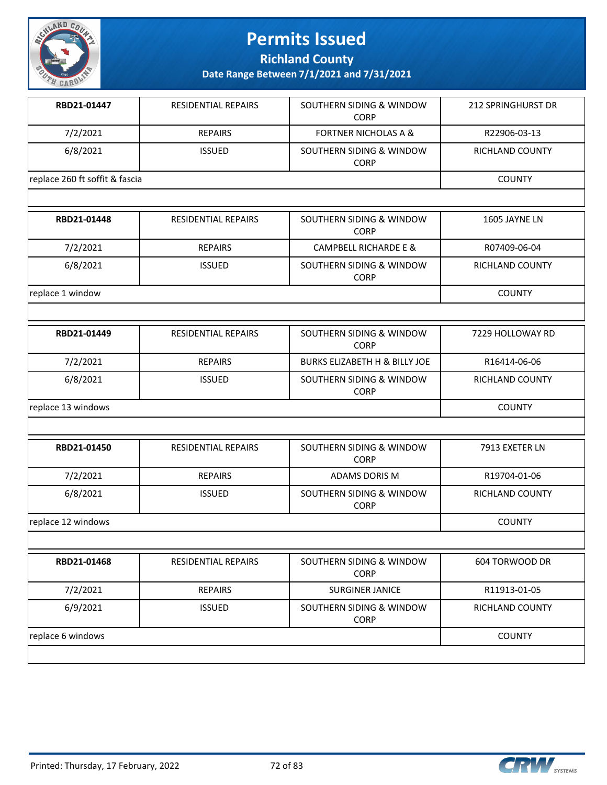

**Richland County**

| RBD21-01447                    | <b>RESIDENTIAL REPAIRS</b> | SOUTHERN SIDING & WINDOW<br><b>CORP</b>  | <b>212 SPRINGHURST DR</b> |
|--------------------------------|----------------------------|------------------------------------------|---------------------------|
| 7/2/2021                       | <b>REPAIRS</b>             | <b>FORTNER NICHOLAS A &amp;</b>          | R22906-03-13              |
| 6/8/2021                       | <b>ISSUED</b>              | SOUTHERN SIDING & WINDOW<br><b>CORP</b>  | <b>RICHLAND COUNTY</b>    |
| replace 260 ft soffit & fascia |                            |                                          | <b>COUNTY</b>             |
|                                |                            |                                          |                           |
| RBD21-01448                    | <b>RESIDENTIAL REPAIRS</b> | SOUTHERN SIDING & WINDOW<br><b>CORP</b>  | 1605 JAYNE LN             |
| 7/2/2021                       | <b>REPAIRS</b>             | <b>CAMPBELL RICHARDE E &amp;</b>         | R07409-06-04              |
| 6/8/2021                       | <b>ISSUED</b>              | SOUTHERN SIDING & WINDOW<br><b>CORP</b>  | <b>RICHLAND COUNTY</b>    |
| replace 1 window               |                            |                                          | <b>COUNTY</b>             |
|                                |                            |                                          |                           |
| RBD21-01449                    | RESIDENTIAL REPAIRS        | SOUTHERN SIDING & WINDOW<br>CORP         | 7229 HOLLOWAY RD          |
| 7/2/2021                       | <b>REPAIRS</b>             | <b>BURKS ELIZABETH H &amp; BILLY JOE</b> | R16414-06-06              |
| 6/8/2021                       | <b>ISSUED</b>              | SOUTHERN SIDING & WINDOW<br><b>CORP</b>  | RICHLAND COUNTY           |
| replace 13 windows             |                            |                                          | <b>COUNTY</b>             |
|                                |                            |                                          |                           |
| RBD21-01450                    | <b>RESIDENTIAL REPAIRS</b> | SOUTHERN SIDING & WINDOW<br><b>CORP</b>  | 7913 EXETER LN            |
| 7/2/2021                       | <b>REPAIRS</b>             | <b>ADAMS DORIS M</b>                     | R19704-01-06              |
| 6/8/2021                       | <b>ISSUED</b>              | SOUTHERN SIDING & WINDOW<br><b>CORP</b>  | <b>RICHLAND COUNTY</b>    |
|                                | replace 12 windows         |                                          |                           |

| RBD21-01468       | <b>RESIDENTIAL REPAIRS</b> | SOUTHERN SIDING & WINDOW<br><b>CORP</b> | 604 TORWOOD DR         |
|-------------------|----------------------------|-----------------------------------------|------------------------|
| 7/2/2021          | <b>REPAIRS</b>             | <b>SURGINER JANICE</b>                  | R11913-01-05           |
| 6/9/2021          | <b>ISSUED</b>              | SOUTHERN SIDING & WINDOW<br><b>CORP</b> | <b>RICHLAND COUNTY</b> |
| replace 6 windows |                            |                                         | <b>COUNTY</b>          |
|                   |                            |                                         |                        |

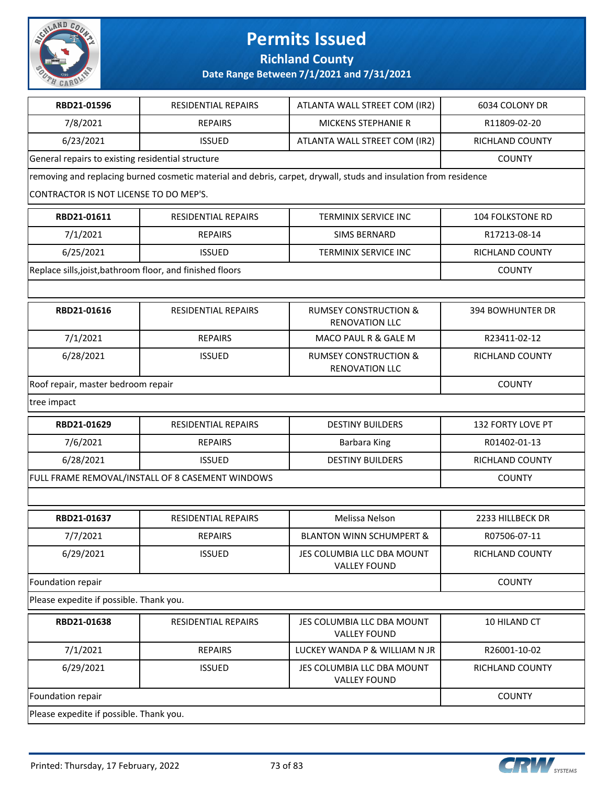

**Richland County**

RBD21-01596 RESIDENTIAL REPAIRS ATLANTA WALL STREET COM (IR2) 6034 COLONY DR

| 7/8/2021                                                  | <b>REPAIRS</b>                                   | <b>MICKENS STEPHANIE R</b>                                                                                       | R11809-02-20            |  |
|-----------------------------------------------------------|--------------------------------------------------|------------------------------------------------------------------------------------------------------------------|-------------------------|--|
| 6/23/2021                                                 | <b>ISSUED</b>                                    | ATLANTA WALL STREET COM (IR2)                                                                                    | <b>RICHLAND COUNTY</b>  |  |
| General repairs to existing residential structure         | <b>COUNTY</b>                                    |                                                                                                                  |                         |  |
|                                                           |                                                  | removing and replacing burned cosmetic material and debris, carpet, drywall, studs and insulation from residence |                         |  |
| CONTRACTOR IS NOT LICENSE TO DO MEP'S.                    |                                                  |                                                                                                                  |                         |  |
| RBD21-01611                                               | RESIDENTIAL REPAIRS                              | <b>TERMINIX SERVICE INC</b>                                                                                      | <b>104 FOLKSTONE RD</b> |  |
| 7/1/2021                                                  | <b>REPAIRS</b>                                   | SIMS BERNARD                                                                                                     | R17213-08-14            |  |
| 6/25/2021                                                 | <b>ISSUED</b>                                    | <b>TERMINIX SERVICE INC</b>                                                                                      | <b>RICHLAND COUNTY</b>  |  |
| Replace sills, joist, bathroom floor, and finished floors |                                                  |                                                                                                                  | <b>COUNTY</b>           |  |
|                                                           |                                                  |                                                                                                                  |                         |  |
| RBD21-01616                                               | RESIDENTIAL REPAIRS                              | <b>RUMSEY CONSTRUCTION &amp;</b><br><b>RENOVATION LLC</b>                                                        | <b>394 BOWHUNTER DR</b> |  |
| 7/1/2021                                                  | <b>REPAIRS</b>                                   | MACO PAUL R & GALE M                                                                                             | R23411-02-12            |  |
| 6/28/2021                                                 | <b>ISSUED</b>                                    | <b>RUMSEY CONSTRUCTION &amp;</b><br><b>RENOVATION LLC</b>                                                        | RICHLAND COUNTY         |  |
| Roof repair, master bedroom repair                        |                                                  |                                                                                                                  | <b>COUNTY</b>           |  |
| tree impact                                               |                                                  |                                                                                                                  |                         |  |
| RBD21-01629                                               | RESIDENTIAL REPAIRS                              | <b>DESTINY BUILDERS</b>                                                                                          | 132 FORTY LOVE PT       |  |
| 7/6/2021                                                  | <b>REPAIRS</b>                                   | <b>Barbara King</b>                                                                                              | R01402-01-13            |  |
| 6/28/2021                                                 | <b>ISSUED</b>                                    | <b>DESTINY BUILDERS</b>                                                                                          | RICHLAND COUNTY         |  |
|                                                           | FULL FRAME REMOVAL/INSTALL OF 8 CASEMENT WINDOWS |                                                                                                                  | <b>COUNTY</b>           |  |
|                                                           |                                                  |                                                                                                                  |                         |  |
| RBD21-01637                                               | <b>RESIDENTIAL REPAIRS</b>                       | Melissa Nelson                                                                                                   | 2233 HILLBECK DR        |  |
| 7/7/2021                                                  | <b>REPAIRS</b>                                   | <b>BLANTON WINN SCHUMPERT &amp;</b>                                                                              | R07506-07-11            |  |
| 6/29/2021                                                 | <b>ISSUED</b>                                    | JES COLUMBIA LLC DBA MOUNT<br><b>VALLEY FOUND</b>                                                                | RICHLAND COUNTY         |  |
| Foundation repair                                         |                                                  |                                                                                                                  | <b>COUNTY</b>           |  |
| Please expedite if possible. Thank you.                   |                                                  |                                                                                                                  |                         |  |
| RBD21-01638                                               | RESIDENTIAL REPAIRS                              | JES COLUMBIA LLC DBA MOUNT<br><b>VALLEY FOUND</b>                                                                | 10 HILAND CT            |  |
| 7/1/2021                                                  | <b>REPAIRS</b>                                   | LUCKEY WANDA P & WILLIAM N JR                                                                                    | R26001-10-02            |  |
| 6/29/2021                                                 | <b>ISSUED</b>                                    | JES COLUMBIA LLC DBA MOUNT<br><b>VALLEY FOUND</b>                                                                | RICHLAND COUNTY         |  |
| Foundation repair                                         | <b>COUNTY</b>                                    |                                                                                                                  |                         |  |
| Please expedite if possible. Thank you.                   |                                                  |                                                                                                                  |                         |  |

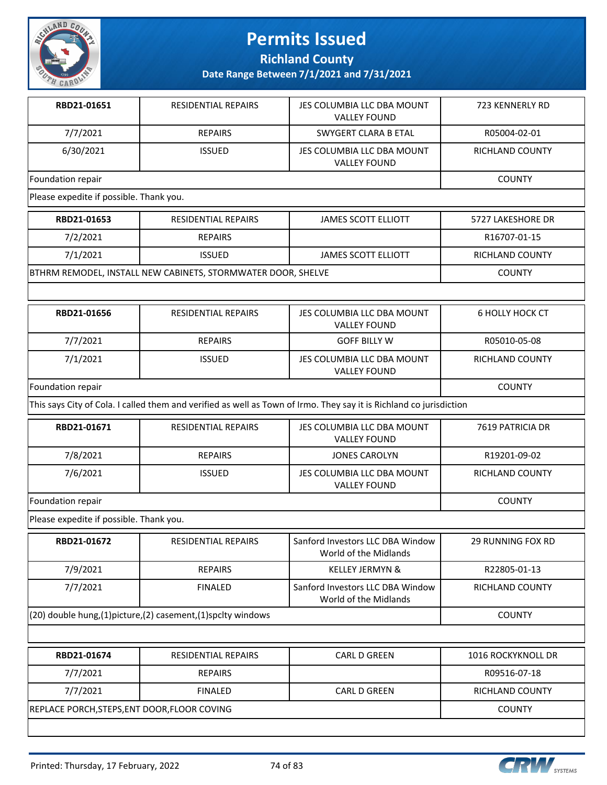

**Richland County**

| RBD21-01651                                  | <b>RESIDENTIAL REPAIRS</b>                                              | JES COLUMBIA LLC DBA MOUNT<br><b>VALLEY FOUND</b>                                                                   | 723 KENNERLY RD          |  |
|----------------------------------------------|-------------------------------------------------------------------------|---------------------------------------------------------------------------------------------------------------------|--------------------------|--|
| 7/7/2021                                     | <b>REPAIRS</b>                                                          | <b>SWYGERT CLARA B ETAL</b>                                                                                         | R05004-02-01             |  |
| 6/30/2021                                    | <b>ISSUED</b>                                                           | JES COLUMBIA LLC DBA MOUNT<br><b>VALLEY FOUND</b>                                                                   | <b>RICHLAND COUNTY</b>   |  |
| Foundation repair                            |                                                                         | <b>COUNTY</b>                                                                                                       |                          |  |
| Please expedite if possible. Thank you.      |                                                                         |                                                                                                                     |                          |  |
| RBD21-01653                                  | <b>RESIDENTIAL REPAIRS</b>                                              | <b>JAMES SCOTT ELLIOTT</b>                                                                                          | 5727 LAKESHORE DR        |  |
| 7/2/2021                                     | <b>REPAIRS</b>                                                          |                                                                                                                     | R16707-01-15             |  |
| 7/1/2021                                     | <b>ISSUED</b>                                                           | <b>JAMES SCOTT ELLIOTT</b>                                                                                          | RICHLAND COUNTY          |  |
|                                              | BTHRM REMODEL, INSTALL NEW CABINETS, STORMWATER DOOR, SHELVE            |                                                                                                                     | <b>COUNTY</b>            |  |
|                                              |                                                                         |                                                                                                                     |                          |  |
| RBD21-01656                                  | RESIDENTIAL REPAIRS                                                     | JES COLUMBIA LLC DBA MOUNT<br><b>VALLEY FOUND</b>                                                                   | <b>6 HOLLY HOCK CT</b>   |  |
| 7/7/2021                                     | <b>REPAIRS</b>                                                          | <b>GOFF BILLY W</b>                                                                                                 | R05010-05-08             |  |
| 7/1/2021                                     | <b>ISSUED</b>                                                           | JES COLUMBIA LLC DBA MOUNT<br><b>VALLEY FOUND</b>                                                                   | RICHLAND COUNTY          |  |
| Foundation repair                            |                                                                         |                                                                                                                     | <b>COUNTY</b>            |  |
|                                              |                                                                         | This says City of Cola. I called them and verified as well as Town of Irmo. They say it is Richland co jurisdiction |                          |  |
| RBD21-01671                                  | <b>RESIDENTIAL REPAIRS</b>                                              | JES COLUMBIA LLC DBA MOUNT<br><b>VALLEY FOUND</b>                                                                   | 7619 PATRICIA DR         |  |
| 7/8/2021                                     | <b>REPAIRS</b>                                                          | <b>JONES CAROLYN</b>                                                                                                | R19201-09-02             |  |
| 7/6/2021                                     | <b>ISSUED</b>                                                           | JES COLUMBIA LLC DBA MOUNT<br><b>VALLEY FOUND</b>                                                                   | RICHLAND COUNTY          |  |
| Foundation repair                            | <b>COUNTY</b>                                                           |                                                                                                                     |                          |  |
| Please expedite if possible. Thank you.      |                                                                         |                                                                                                                     |                          |  |
| RBD21-01672                                  | RESIDENTIAL REPAIRS                                                     | Sanford Investors LLC DBA Window<br>World of the Midlands                                                           | <b>29 RUNNING FOX RD</b> |  |
| 7/9/2021                                     | <b>REPAIRS</b>                                                          | <b>KELLEY JERMYN &amp;</b>                                                                                          | R22805-01-13             |  |
| 7/7/2021                                     | <b>FINALED</b>                                                          | Sanford Investors LLC DBA Window<br>World of the Midlands                                                           | RICHLAND COUNTY          |  |
|                                              | $(20)$ double hung, $(1)$ picture, $(2)$ casement, $(1)$ spclty windows |                                                                                                                     |                          |  |
|                                              |                                                                         |                                                                                                                     |                          |  |
| RBD21-01674                                  | RESIDENTIAL REPAIRS                                                     | CARL D GREEN                                                                                                        | 1016 ROCKYKNOLL DR       |  |
| 7/7/2021                                     | <b>REPAIRS</b>                                                          |                                                                                                                     | R09516-07-18             |  |
| 7/7/2021                                     | <b>FINALED</b>                                                          | CARL D GREEN                                                                                                        | RICHLAND COUNTY          |  |
| REPLACE PORCH, STEPS, ENT DOOR, FLOOR COVING |                                                                         |                                                                                                                     | <b>COUNTY</b>            |  |
|                                              |                                                                         |                                                                                                                     |                          |  |

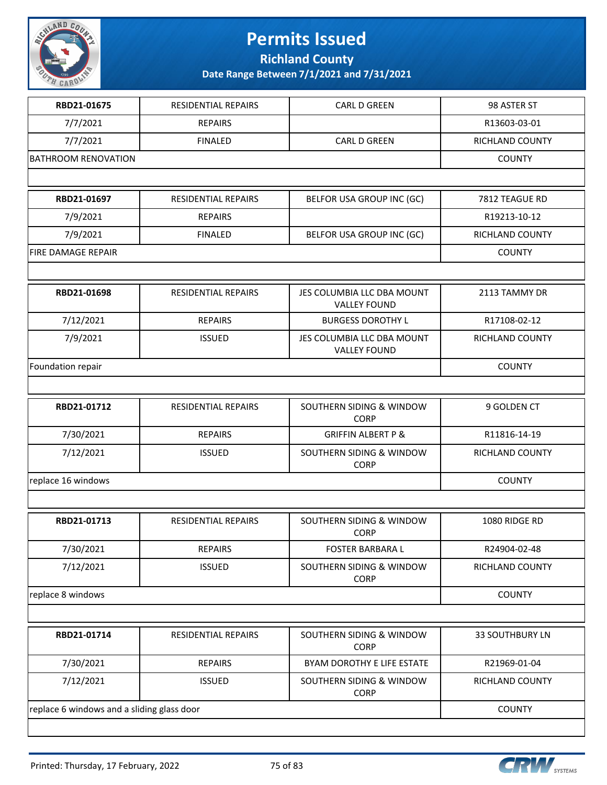

**Richland County**

| RBD21-01675                                | RESIDENTIAL REPAIRS | CARL D GREEN                                      | 98 ASTER ST            |
|--------------------------------------------|---------------------|---------------------------------------------------|------------------------|
| 7/7/2021                                   | <b>REPAIRS</b>      |                                                   | R13603-03-01           |
| 7/7/2021                                   | <b>FINALED</b>      | CARL D GREEN                                      | RICHLAND COUNTY        |
| <b>BATHROOM RENOVATION</b>                 |                     |                                                   | <b>COUNTY</b>          |
|                                            |                     |                                                   |                        |
| RBD21-01697                                | RESIDENTIAL REPAIRS | BELFOR USA GROUP INC (GC)                         | 7812 TEAGUE RD         |
| 7/9/2021                                   | <b>REPAIRS</b>      |                                                   | R19213-10-12           |
| 7/9/2021                                   | <b>FINALED</b>      | BELFOR USA GROUP INC (GC)                         | <b>RICHLAND COUNTY</b> |
| <b>FIRE DAMAGE REPAIR</b>                  |                     |                                                   | <b>COUNTY</b>          |
|                                            |                     |                                                   |                        |
| RBD21-01698                                | RESIDENTIAL REPAIRS | JES COLUMBIA LLC DBA MOUNT<br><b>VALLEY FOUND</b> | 2113 TAMMY DR          |
| 7/12/2021                                  | <b>REPAIRS</b>      | <b>BURGESS DOROTHY L</b>                          | R17108-02-12           |
| 7/9/2021                                   | <b>ISSUED</b>       | JES COLUMBIA LLC DBA MOUNT<br><b>VALLEY FOUND</b> | RICHLAND COUNTY        |
| Foundation repair                          |                     |                                                   | <b>COUNTY</b>          |
|                                            |                     |                                                   |                        |
| RBD21-01712                                | RESIDENTIAL REPAIRS | SOUTHERN SIDING & WINDOW<br><b>CORP</b>           | 9 GOLDEN CT            |
| 7/30/2021                                  | <b>REPAIRS</b>      | <b>GRIFFIN ALBERT P &amp;</b>                     | R11816-14-19           |
| 7/12/2021                                  | <b>ISSUED</b>       | SOUTHERN SIDING & WINDOW<br><b>CORP</b>           | RICHLAND COUNTY        |
| replace 16 windows                         | <b>COUNTY</b>       |                                                   |                        |
|                                            |                     |                                                   |                        |
| RBD21-01713                                | RESIDENTIAL REPAIRS | SOUTHERN SIDING & WINDOW<br><b>CORP</b>           | 1080 RIDGE RD          |
| 7/30/2021                                  | <b>REPAIRS</b>      | <b>FOSTER BARBARA L</b>                           | R24904-02-48           |
| 7/12/2021                                  | <b>ISSUED</b>       | SOUTHERN SIDING & WINDOW<br><b>CORP</b>           | RICHLAND COUNTY        |
| replace 8 windows                          |                     |                                                   | <b>COUNTY</b>          |
|                                            |                     |                                                   |                        |
| RBD21-01714                                | RESIDENTIAL REPAIRS | SOUTHERN SIDING & WINDOW<br><b>CORP</b>           | <b>33 SOUTHBURY LN</b> |
| 7/30/2021                                  | <b>REPAIRS</b>      | BYAM DOROTHY E LIFE ESTATE                        | R21969-01-04           |
| 7/12/2021                                  | <b>ISSUED</b>       | SOUTHERN SIDING & WINDOW<br><b>CORP</b>           | RICHLAND COUNTY        |
| replace 6 windows and a sliding glass door |                     |                                                   | <b>COUNTY</b>          |
|                                            |                     |                                                   |                        |

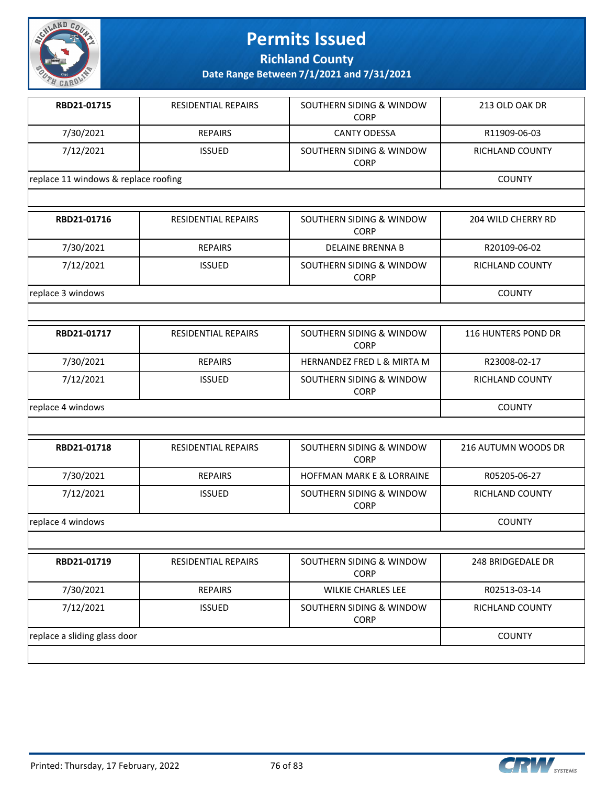

**Richland County**

| RBD21-01715                          | <b>RESIDENTIAL REPAIRS</b> | SOUTHERN SIDING & WINDOW<br><b>CORP</b> | 213 OLD OAK DR         |
|--------------------------------------|----------------------------|-----------------------------------------|------------------------|
| 7/30/2021                            | <b>REPAIRS</b>             | <b>CANTY ODESSA</b>                     | R11909-06-03           |
| 7/12/2021                            | <b>ISSUED</b>              | SOUTHERN SIDING & WINDOW<br><b>CORP</b> | <b>RICHLAND COUNTY</b> |
| replace 11 windows & replace roofing |                            |                                         | <b>COUNTY</b>          |
|                                      |                            |                                         |                        |
| RBD21-01716                          | <b>RESIDENTIAL REPAIRS</b> | SOUTHERN SIDING & WINDOW<br><b>CORP</b> | 204 WILD CHERRY RD     |
| 7/30/2021                            | <b>REPAIRS</b>             | <b>DELAINE BRENNA B</b>                 | R20109-06-02           |
| 7/12/2021                            | <b>ISSUED</b>              | SOUTHERN SIDING & WINDOW<br><b>CORP</b> | RICHLAND COUNTY        |
| replace 3 windows                    |                            |                                         | <b>COUNTY</b>          |
|                                      |                            |                                         |                        |
| RBD21-01717                          | RESIDENTIAL REPAIRS        | SOUTHERN SIDING & WINDOW<br><b>CORP</b> | 116 HUNTERS POND DR    |
| 7/30/2021                            | <b>REPAIRS</b>             | HERNANDEZ FRED L & MIRTA M              | R23008-02-17           |
| 7/12/2021                            | <b>ISSUED</b>              | SOUTHERN SIDING & WINDOW<br><b>CORP</b> | RICHLAND COUNTY        |
| replace 4 windows                    | <b>COUNTY</b>              |                                         |                        |
|                                      |                            |                                         |                        |
| RBD21-01718                          | RESIDENTIAL REPAIRS        | SOUTHERN SIDING & WINDOW<br><b>CORP</b> | 216 AUTUMN WOODS DR    |
| 7/30/2021                            | <b>REPAIRS</b>             | HOFFMAN MARK E & LORRAINE               | R05205-06-27           |
| 7/12/2021                            | <b>ISSUED</b>              | SOUTHERN SIDING & WINDOW<br>CORP        | RICHLAND COUNTY        |
| replace 4 windows                    |                            |                                         | <b>COUNTY</b>          |
|                                      |                            |                                         |                        |
| RBD21-01719                          | RESIDENTIAL REPAIRS        | SOUTHERN SIDING & WINDOW<br><b>CORP</b> | 248 BRIDGEDALE DR      |
| 7/30/2021                            | <b>REPAIRS</b>             | <b>WILKIE CHARLES LEE</b>               | R02513-03-14           |
| 7/12/2021                            | <b>ISSUED</b>              | SOUTHERN SIDING & WINDOW<br><b>CORP</b> | RICHLAND COUNTY        |
| replace a sliding glass door         | <b>COUNTY</b>              |                                         |                        |

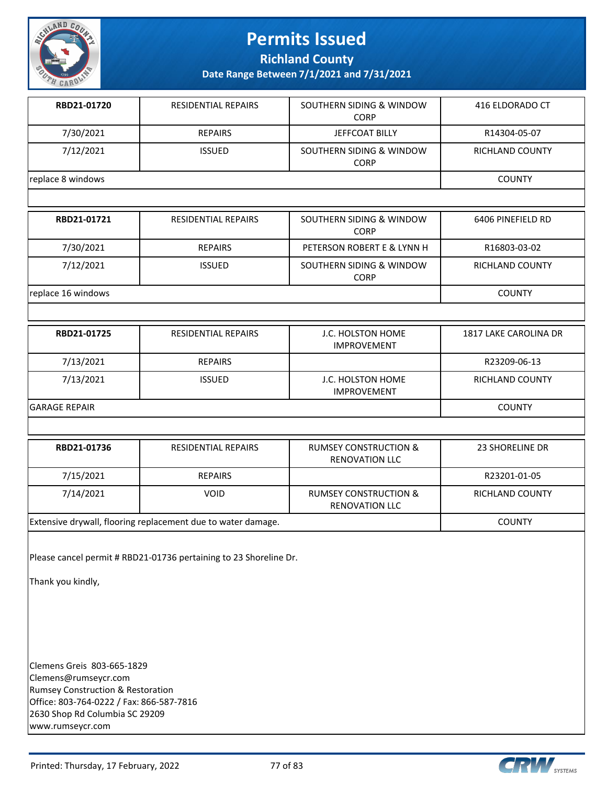

**Richland County**

**Date Range Between 7/1/2021 and 7/31/2021**

| RBD21-01720       | <b>RESIDENTIAL REPAIRS</b> | SOUTHERN SIDING & WINDOW<br><b>CORP</b> | 416 ELDORADO CT        |
|-------------------|----------------------------|-----------------------------------------|------------------------|
| 7/30/2021         | <b>REPAIRS</b>             | <b>JEFFCOAT BILLY</b>                   | R14304-05-07           |
| 7/12/2021         | <b>ISSUED</b>              | SOUTHERN SIDING & WINDOW<br><b>CORP</b> | <b>RICHLAND COUNTY</b> |
| replace 8 windows |                            |                                         | <b>COUNTY</b>          |
|                   |                            |                                         |                        |

| RBD21-01721        | <b>RESIDENTIAL REPAIRS</b> | SOUTHERN SIDING & WINDOW<br><b>CORP</b> | 6406 PINEFIELD RD |
|--------------------|----------------------------|-----------------------------------------|-------------------|
| 7/30/2021          | REPAIRS                    | PETERSON ROBERT E & LYNN H              | R16803-03-02      |
| 7/12/2021          | <b>ISSUED</b>              | SOUTHERN SIDING & WINDOW<br><b>CORP</b> | RICHLAND COUNTY   |
| replace 16 windows | <b>COUNTY</b>              |                                         |                   |

| RBD21-01725          | <b>RESIDENTIAL REPAIRS</b> | J.C. HOLSTON HOME<br><b>IMPROVEMENT</b> | 1817 LAKE CAROLINA DR |
|----------------------|----------------------------|-----------------------------------------|-----------------------|
| 7/13/2021            | <b>REPAIRS</b>             |                                         | R23209-06-13          |
| 7/13/2021            | <b>ISSUED</b>              | J.C. HOLSTON HOME<br><b>IMPROVEMENT</b> | RICHLAND COUNTY       |
| <b>GARAGE REPAIR</b> |                            |                                         | <b>COUNTY</b>         |

| RBD21-01736                                                  | <b>RESIDENTIAL REPAIRS</b> | <b>RUMSEY CONSTRUCTION &amp;</b><br><b>RENOVATION LLC</b> | 23 SHORELINE DR        |
|--------------------------------------------------------------|----------------------------|-----------------------------------------------------------|------------------------|
| 7/15/2021                                                    | <b>REPAIRS</b>             |                                                           | R23201-01-05           |
| 7/14/2021                                                    | <b>VOID</b>                | <b>RUMSEY CONSTRUCTION &amp;</b><br><b>RENOVATION LLC</b> | <b>RICHLAND COUNTY</b> |
| Extensive drywall, flooring replacement due to water damage. |                            |                                                           | <b>COUNTY</b>          |

Please cancel permit # RBD21-01736 pertaining to 23 Shoreline Dr.

Thank you kindly,

Clemens Greis 803-665-1829 Clemens@rumseycr.com Rumsey Construction & Restoration Office: 803-764-0222 / Fax: 866-587-7816 2630 Shop Rd Columbia SC 29209 www.rumseycr.com

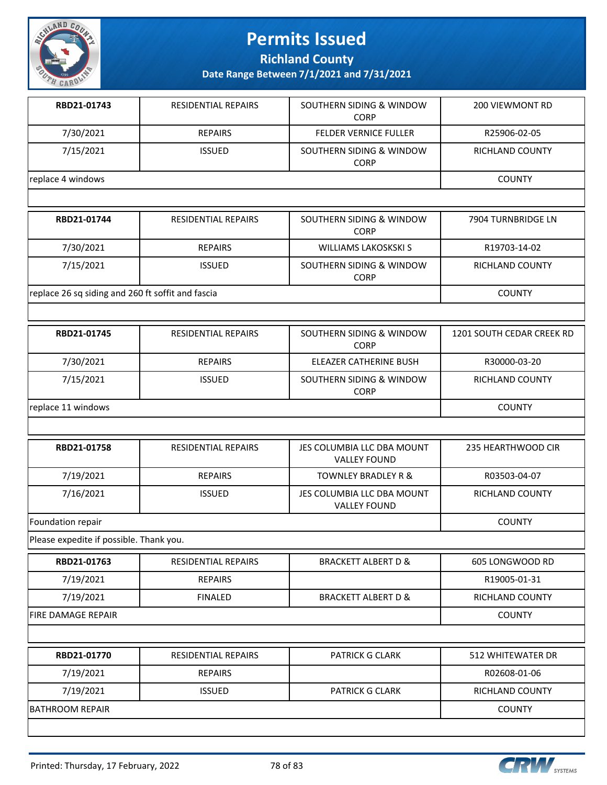

**Richland County**

**Date Range Between 7/1/2021 and 7/31/2021**

| RBD21-01743       | <b>RESIDENTIAL REPAIRS</b> | SOUTHERN SIDING & WINDOW<br><b>CORP</b> | 200 VIEWMONT RD |
|-------------------|----------------------------|-----------------------------------------|-----------------|
| 7/30/2021         | REPAIRS                    | <b>FELDER VERNICE FULLER</b>            | R25906-02-05    |
| 7/15/2021         | <b>ISSUED</b>              | SOUTHERN SIDING & WINDOW<br><b>CORP</b> | RICHLAND COUNTY |
| replace 4 windows |                            |                                         | <b>COUNTY</b>   |
|                   |                            |                                         |                 |

| RBD21-01744                                       | <b>RESIDENTIAL REPAIRS</b> | SOUTHERN SIDING & WINDOW<br><b>CORP</b> | 7904 TURNBRIDGE LN |
|---------------------------------------------------|----------------------------|-----------------------------------------|--------------------|
| 7/30/2021                                         | <b>REPAIRS</b>             | WILLIAMS LAKOSKSKI S                    | R19703-14-02       |
| 7/15/2021                                         | <b>ISSUED</b>              | SOUTHERN SIDING & WINDOW<br><b>CORP</b> | RICHLAND COUNTY    |
| replace 26 sq siding and 260 ft soffit and fascia |                            |                                         | <b>COUNTY</b>      |

| RBD21-01745        | <b>RESIDENTIAL REPAIRS</b> | SOUTHERN SIDING & WINDOW<br><b>CORP</b> | 1201 SOUTH CEDAR CREEK RD |
|--------------------|----------------------------|-----------------------------------------|---------------------------|
| 7/30/2021          | <b>REPAIRS</b>             | ELEAZER CATHERINE BUSH                  | R30000-03-20              |
| 7/15/2021          | <b>ISSUED</b>              | SOUTHERN SIDING & WINDOW<br><b>CORP</b> | RICHLAND COUNTY           |
| replace 11 windows | <b>COUNTY</b>              |                                         |                           |

| RBD21-01758       | <b>RESIDENTIAL REPAIRS</b> | JES COLUMBIA LLC DBA MOUNT<br><b>VALLEY FOUND</b> | 235 HEARTHWOOD CIR |
|-------------------|----------------------------|---------------------------------------------------|--------------------|
| 7/19/2021         | <b>REPAIRS</b>             | <b>TOWNLEY BRADLEY R &amp;</b>                    | R03503-04-07       |
| 7/16/2021         | <b>ISSUED</b>              | JES COLUMBIA LLC DBA MOUNT<br><b>VALLEY FOUND</b> | RICHLAND COUNTY    |
| Foundation repair |                            |                                                   | <b>COUNTY</b>      |

Please expedite if possible. Thank you.

| RBD21-01763               | <b>RESIDENTIAL REPAIRS</b> | <b>BRACKETT ALBERT D &amp;</b> | 605 LONGWOOD RD        |
|---------------------------|----------------------------|--------------------------------|------------------------|
| 7/19/2021                 | <b>REPAIRS</b>             |                                | R19005-01-31           |
| 7/19/2021                 | <b>FINALED</b>             | <b>BRACKETT ALBERT D &amp;</b> | <b>RICHLAND COUNTY</b> |
| <b>FIRE DAMAGE REPAIR</b> |                            |                                | <b>COUNTY</b>          |
|                           |                            |                                |                        |
| RBD21-01770               | <b>RESIDENTIAL REPAIRS</b> | <b>PATRICK G CLARK</b>         | 512 WHITEWATER DR      |
| 7/19/2021                 | <b>REPAIRS</b>             |                                | R02608-01-06           |
| 7/19/2021                 | <b>ISSUED</b>              | <b>PATRICK G CLARK</b>         | <b>RICHLAND COUNTY</b> |
| BATHROOM REPAIR           |                            |                                | <b>COUNTY</b>          |



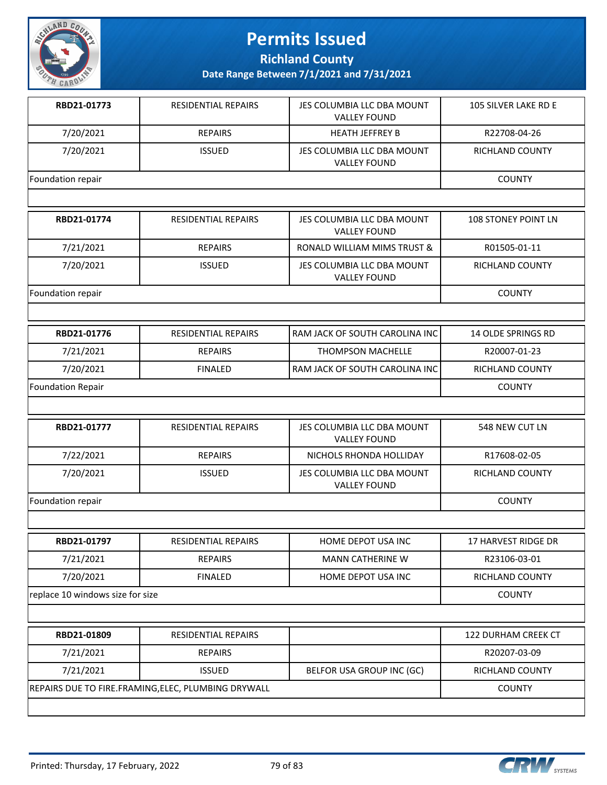

**Richland County**

| RBD21-01773                      | <b>RESIDENTIAL REPAIRS</b>                          | JES COLUMBIA LLC DBA MOUNT<br><b>VALLEY FOUND</b> | 105 SILVER LAKE RD E       |
|----------------------------------|-----------------------------------------------------|---------------------------------------------------|----------------------------|
| 7/20/2021                        | <b>REPAIRS</b>                                      | <b>HEATH JEFFREY B</b>                            | R22708-04-26               |
| 7/20/2021                        | <b>ISSUED</b>                                       | JES COLUMBIA LLC DBA MOUNT<br><b>VALLEY FOUND</b> | RICHLAND COUNTY            |
| Foundation repair                |                                                     |                                                   | <b>COUNTY</b>              |
|                                  |                                                     |                                                   |                            |
| RBD21-01774                      | RESIDENTIAL REPAIRS                                 | JES COLUMBIA LLC DBA MOUNT<br><b>VALLEY FOUND</b> | <b>108 STONEY POINT LN</b> |
| 7/21/2021                        | <b>REPAIRS</b>                                      | RONALD WILLIAM MIMS TRUST &                       | R01505-01-11               |
| 7/20/2021                        | <b>ISSUED</b>                                       | JES COLUMBIA LLC DBA MOUNT<br><b>VALLEY FOUND</b> | RICHLAND COUNTY            |
| Foundation repair                |                                                     |                                                   | <b>COUNTY</b>              |
|                                  |                                                     |                                                   |                            |
| RBD21-01776                      | <b>RESIDENTIAL REPAIRS</b>                          | RAM JACK OF SOUTH CAROLINA INC                    | 14 OLDE SPRINGS RD         |
| 7/21/2021                        | <b>REPAIRS</b>                                      | <b>THOMPSON MACHELLE</b>                          | R20007-01-23               |
| 7/20/2021                        | <b>FINALED</b>                                      | RAM JACK OF SOUTH CAROLINA INC                    | RICHLAND COUNTY            |
| <b>Foundation Repair</b>         |                                                     |                                                   | <b>COUNTY</b>              |
|                                  |                                                     |                                                   |                            |
| RBD21-01777                      | RESIDENTIAL REPAIRS                                 | JES COLUMBIA LLC DBA MOUNT<br><b>VALLEY FOUND</b> | 548 NEW CUT LN             |
| 7/22/2021                        | <b>REPAIRS</b>                                      | NICHOLS RHONDA HOLLIDAY                           | R17608-02-05               |
| 7/20/2021                        | <b>ISSUED</b>                                       | JES COLUMBIA LLC DBA MOUNT<br><b>VALLEY FOUND</b> | RICHLAND COUNTY            |
| Foundation repair                |                                                     |                                                   | <b>COUNTY</b>              |
|                                  |                                                     |                                                   |                            |
| RBD21-01797                      | RESIDENTIAL REPAIRS                                 | HOME DEPOT USA INC                                | <b>17 HARVEST RIDGE DR</b> |
| 7/21/2021                        | <b>REPAIRS</b>                                      | <b>MANN CATHERINE W</b>                           | R23106-03-01               |
| 7/20/2021                        | <b>FINALED</b>                                      | HOME DEPOT USA INC                                | RICHLAND COUNTY            |
| replace 10 windows size for size |                                                     |                                                   | <b>COUNTY</b>              |
|                                  |                                                     |                                                   |                            |
| RBD21-01809                      | RESIDENTIAL REPAIRS                                 |                                                   | 122 DURHAM CREEK CT        |
| 7/21/2021                        | <b>REPAIRS</b>                                      |                                                   | R20207-03-09               |
| 7/21/2021                        | <b>ISSUED</b>                                       | BELFOR USA GROUP INC (GC)                         | RICHLAND COUNTY            |
|                                  | REPAIRS DUE TO FIRE.FRAMING, ELEC, PLUMBING DRYWALL |                                                   | <b>COUNTY</b>              |
|                                  |                                                     |                                                   |                            |

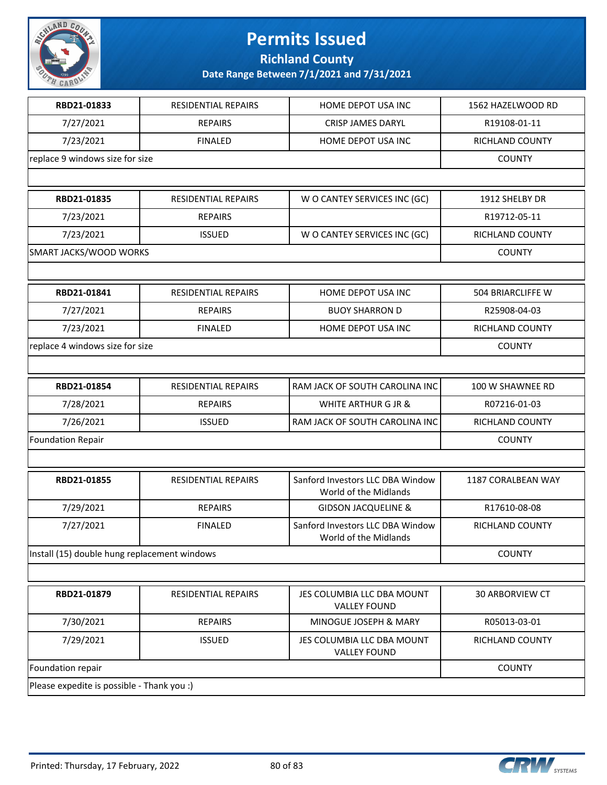

**Richland County**

| RBD21-01833                                  | RESIDENTIAL REPAIRS        | HOME DEPOT USA INC                                        | 1562 HAZELWOOD RD        |
|----------------------------------------------|----------------------------|-----------------------------------------------------------|--------------------------|
| 7/27/2021                                    | <b>REPAIRS</b>             | <b>CRISP JAMES DARYL</b>                                  | R19108-01-11             |
| 7/23/2021                                    | <b>FINALED</b>             | HOME DEPOT USA INC                                        | RICHLAND COUNTY          |
| replace 9 windows size for size              |                            |                                                           | <b>COUNTY</b>            |
|                                              |                            |                                                           |                          |
| RBD21-01835                                  | <b>RESIDENTIAL REPAIRS</b> | W O CANTEY SERVICES INC (GC)                              | 1912 SHELBY DR           |
| 7/23/2021                                    | <b>REPAIRS</b>             |                                                           | R19712-05-11             |
| 7/23/2021                                    | <b>ISSUED</b>              | W O CANTEY SERVICES INC (GC)                              | RICHLAND COUNTY          |
| SMART JACKS/WOOD WORKS                       |                            |                                                           | <b>COUNTY</b>            |
|                                              |                            |                                                           |                          |
| RBD21-01841                                  | <b>RESIDENTIAL REPAIRS</b> | HOME DEPOT USA INC                                        | <b>504 BRIARCLIFFE W</b> |
| 7/27/2021                                    | <b>REPAIRS</b>             | <b>BUOY SHARRON D</b>                                     | R25908-04-03             |
| 7/23/2021                                    | <b>FINALED</b>             | HOME DEPOT USA INC                                        | RICHLAND COUNTY          |
| replace 4 windows size for size              |                            |                                                           | <b>COUNTY</b>            |
|                                              |                            |                                                           |                          |
| RBD21-01854                                  | RESIDENTIAL REPAIRS        | RAM JACK OF SOUTH CAROLINA INC                            | 100 W SHAWNEE RD         |
| 7/28/2021                                    | <b>REPAIRS</b>             | WHITE ARTHUR G JR &                                       | R07216-01-03             |
| 7/26/2021                                    | <b>ISSUED</b>              | RAM JACK OF SOUTH CAROLINA INC                            | RICHLAND COUNTY          |
| <b>Foundation Repair</b>                     |                            |                                                           | <b>COUNTY</b>            |
|                                              |                            |                                                           |                          |
| RBD21-01855                                  | <b>RESIDENTIAL REPAIRS</b> | Sanford Investors LLC DBA Window<br>World of the Midlands | 1187 CORALBEAN WAY       |
| 7/29/2021                                    | <b>REPAIRS</b>             | <b>GIDSON JACQUELINE &amp;</b>                            | R17610-08-08             |
| 7/27/2021                                    | <b>FINALED</b>             | Sanford Investors LLC DBA Window<br>World of the Midlands | RICHLAND COUNTY          |
| Install (15) double hung replacement windows |                            |                                                           | <b>COUNTY</b>            |
|                                              |                            |                                                           |                          |
| RBD21-01879                                  | RESIDENTIAL REPAIRS        | JES COLUMBIA LLC DBA MOUNT<br><b>VALLEY FOUND</b>         | 30 ARBORVIEW CT          |
| 7/30/2021                                    | <b>REPAIRS</b>             | MINOGUE JOSEPH & MARY                                     | R05013-03-01             |
| 7/29/2021                                    | <b>ISSUED</b>              | JES COLUMBIA LLC DBA MOUNT<br><b>VALLEY FOUND</b>         | RICHLAND COUNTY          |
| Foundation repair                            |                            |                                                           | <b>COUNTY</b>            |
| Please expedite is possible - Thank you :)   |                            |                                                           |                          |

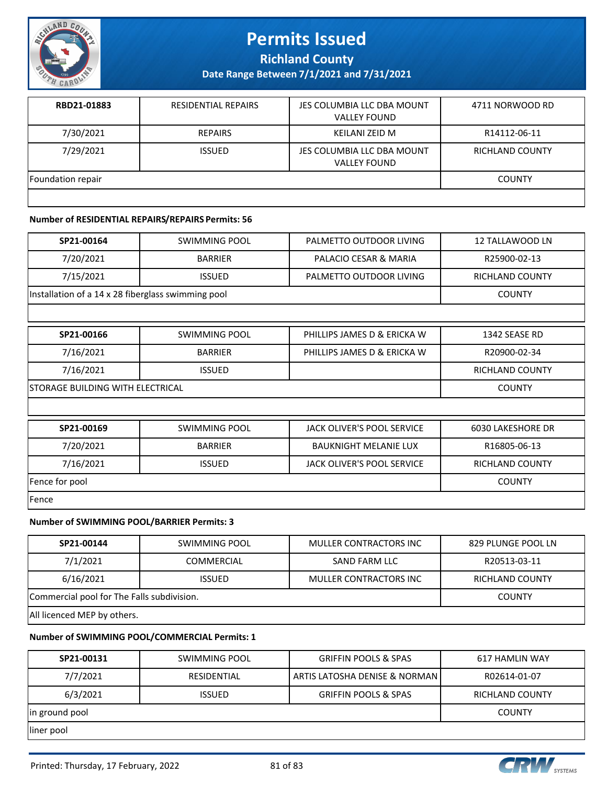

**Richland County**

**Date Range Between 7/1/2021 and 7/31/2021**

| RBD21-01883       | <b>RESIDENTIAL REPAIRS</b> | JES COLUMBIA LLC DBA MOUNT<br><b>VALLEY FOUND</b> | 4711 NORWOOD RD |
|-------------------|----------------------------|---------------------------------------------------|-----------------|
| 7/30/2021         | REPAIRS                    | KEILANI ZEID M                                    | R14112-06-11    |
| 7/29/2021         | <b>ISSUED</b>              | JES COLUMBIA LLC DBA MOUNT<br><b>VALLEY FOUND</b> | RICHLAND COUNTY |
| Foundation repair |                            |                                                   | <b>COUNTY</b>   |
|                   |                            |                                                   |                 |

### **Number of RESIDENTIAL REPAIRS/REPAIRS Permits: 56**

| SP21-00164                                         | SWIMMING POOL  | PALMETTO OUTDOOR LIVING | 12 TALLAWOOD LN |
|----------------------------------------------------|----------------|-------------------------|-----------------|
| 7/20/2021                                          | <b>BARRIER</b> | PALACIO CESAR & MARIA   | R25900-02-13    |
| 7/15/2021                                          | <b>ISSUED</b>  | PALMETTO OUTDOOR LIVING | RICHLAND COUNTY |
| Installation of a 14 x 28 fiberglass swimming pool |                |                         | <b>COUNTY</b>   |

| SP21-00166     | <b>SWIMMING POOL</b>             | PHILLIPS JAMES D & ERICKA W       | 1342 SEASE RD            |
|----------------|----------------------------------|-----------------------------------|--------------------------|
| 7/16/2021      | <b>BARRIER</b>                   | PHILLIPS JAMES D & ERICKA W       | R20900-02-34             |
| 7/16/2021      | <b>ISSUED</b>                    |                                   | <b>RICHLAND COUNTY</b>   |
|                | STORAGE BUILDING WITH ELECTRICAL |                                   |                          |
|                |                                  |                                   |                          |
| SP21-00169     | SWIMMING POOL                    | <b>JACK OLIVER'S POOL SERVICE</b> | <b>6030 LAKESHORE DR</b> |
| 7/20/2021      | <b>BARRIER</b>                   | <b>BAUKNIGHT MELANIE LUX</b>      | R16805-06-13             |
| 7/16/2021      | <b>ISSUED</b>                    | JACK OLIVER'S POOL SERVICE        | <b>RICHLAND COUNTY</b>   |
| Fence for pool |                                  |                                   | <b>COUNTY</b>            |

Fence

### **Number of SWIMMING POOL/BARRIER Permits: 3**

| SP21-00144                                 | SWIMMING POOL     | MULLER CONTRACTORS INC | 829 PLUNGE POOL LN |
|--------------------------------------------|-------------------|------------------------|--------------------|
| 7/1/2021                                   | <b>COMMERCIAL</b> | SAND FARM LLC          | R20513-03-11       |
| 6/16/2021                                  | <b>ISSUED</b>     | MULLER CONTRACTORS INC | RICHLAND COUNTY    |
| Commercial pool for The Falls subdivision. |                   |                        | <b>COUNTY</b>      |
| All licenced MEP by others.                |                   |                        |                    |

#### **Number of SWIMMING POOL/COMMERCIAL Permits: 1**

| SP21-00131     | SWIMMING POOL | <b>GRIFFIN POOLS &amp; SPAS</b> | 617 HAMLIN WAY  |
|----------------|---------------|---------------------------------|-----------------|
| 7/7/2021       | RESIDENTIAL   | ARTIS LATOSHA DENISE & NORMAN   | R02614-01-07    |
| 6/3/2021       | <b>ISSUED</b> | <b>GRIFFIN POOLS &amp; SPAS</b> | RICHLAND COUNTY |
| in ground pool |               |                                 | <b>COUNTY</b>   |
| lliner pool    |               |                                 |                 |

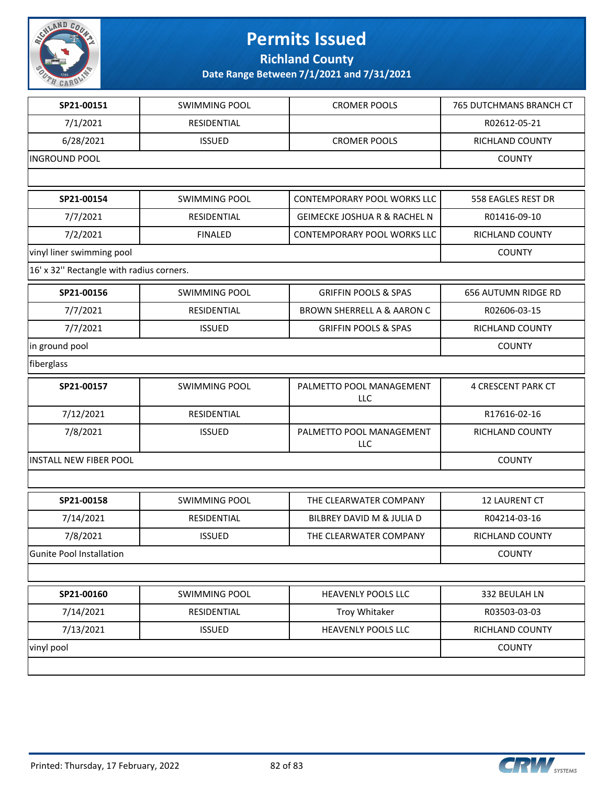

**Richland County**

| SP21-00151                               | <b>SWIMMING POOL</b> | <b>CROMER POOLS</b>                     | 765 DUTCHMANS BRANCH CT |
|------------------------------------------|----------------------|-----------------------------------------|-------------------------|
| 7/1/2021                                 | RESIDENTIAL          |                                         | R02612-05-21            |
| 6/28/2021                                | <b>ISSUED</b>        | <b>CROMER POOLS</b>                     | RICHLAND COUNTY         |
| <b>INGROUND POOL</b>                     |                      |                                         | <b>COUNTY</b>           |
|                                          |                      |                                         |                         |
| SP21-00154                               | <b>SWIMMING POOL</b> | CONTEMPORARY POOL WORKS LLC             | 558 EAGLES REST DR      |
| 7/7/2021                                 | RESIDENTIAL          | <b>GEIMECKE JOSHUA R &amp; RACHEL N</b> | R01416-09-10            |
| 7/2/2021                                 | <b>FINALED</b>       | CONTEMPORARY POOL WORKS LLC             | RICHLAND COUNTY         |
| vinyl liner swimming pool                |                      |                                         | <b>COUNTY</b>           |
| 16' x 32" Rectangle with radius corners. |                      |                                         |                         |
| SP21-00156                               | <b>SWIMMING POOL</b> | <b>GRIFFIN POOLS &amp; SPAS</b>         | 656 AUTUMN RIDGE RD     |
| 7/7/2021                                 | RESIDENTIAL          | <b>BROWN SHERRELL A &amp; AARON C</b>   | R02606-03-15            |
| 7/7/2021                                 | <b>ISSUED</b>        | <b>GRIFFIN POOLS &amp; SPAS</b>         | RICHLAND COUNTY         |
| in ground pool                           |                      |                                         | <b>COUNTY</b>           |
| fiberglass                               |                      |                                         |                         |
| SP21-00157                               | <b>SWIMMING POOL</b> | PALMETTO POOL MANAGEMENT<br>LLC         | 4 CRESCENT PARK CT      |
| 7/12/2021                                | RESIDENTIAL          |                                         | R17616-02-16            |
| 7/8/2021                                 | <b>ISSUED</b>        | PALMETTO POOL MANAGEMENT<br>LLC         | RICHLAND COUNTY         |
| <b>INSTALL NEW FIBER POOL</b>            |                      |                                         | <b>COUNTY</b>           |
|                                          |                      |                                         |                         |
| SP21-00158                               | <b>SWIMMING POOL</b> | THE CLEARWATER COMPANY                  | 12 LAURENT CT           |
| 7/14/2021                                | RESIDENTIAL          | BILBREY DAVID M & JULIA D               | R04214-03-16            |
| 7/8/2021                                 | <b>ISSUED</b>        | THE CLEARWATER COMPANY                  | <b>RICHLAND COUNTY</b>  |
| Gunite Pool Installation                 |                      |                                         | <b>COUNTY</b>           |
|                                          |                      |                                         |                         |
| SP21-00160                               | <b>SWIMMING POOL</b> | HEAVENLY POOLS LLC                      | 332 BEULAH LN           |
| 7/14/2021                                | RESIDENTIAL          | Troy Whitaker                           | R03503-03-03            |
| 7/13/2021                                | <b>ISSUED</b>        | HEAVENLY POOLS LLC                      | RICHLAND COUNTY         |
| vinyl pool                               |                      |                                         | <b>COUNTY</b>           |
|                                          |                      |                                         |                         |